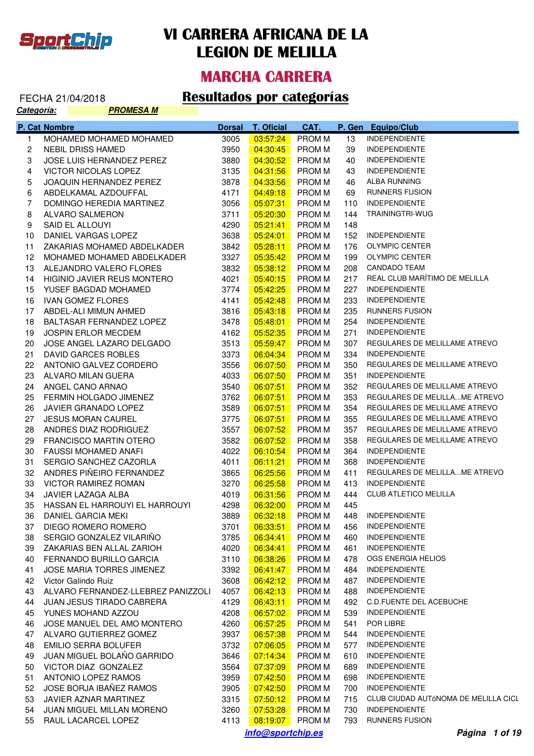

#### **MARCHA CARRERA**

| <u> Categoría:</u> | <u>PROMESA M</u>                   |               |                   |               |     |                                      |
|--------------------|------------------------------------|---------------|-------------------|---------------|-----|--------------------------------------|
|                    | P. Cat Nombre                      | <b>Dorsal</b> | <b>T. Oficial</b> | CAT.          |     | P. Gen Equipo/Club                   |
| $\mathbf{1}$       | MOHAMED MOHAMED MOHAMED            | 3005          | 03:57:24          | PROM M        | 13  | <b>INDEPENDIENTE</b>                 |
| 2                  | <b>NEBIL DRISS HAMED</b>           | 3950          | 04:30:45          | <b>PROMM</b>  | 39  | <b>INDEPENDIENTE</b>                 |
| 3                  | JOSE LUIS HERNANDEZ PEREZ          | 3880          | 04:30:52          | <b>PROMM</b>  | 40  | <b>INDEPENDIENTE</b>                 |
| 4                  | VICTOR NICOLAS LOPEZ               | 3135          | 04:31:56          | <b>PROMM</b>  | 43  | <b>INDEPENDIENTE</b>                 |
| 5                  | JOAQUIN HERNANDEZ PEREZ            | 3878          | 04:33:56          | <b>PROMM</b>  | 46  | ALBA RUNNING                         |
| 6                  | ABDELKAMAL AZDOUFFAL               | 4171          | 04:49:18          | <b>PROMM</b>  | 69  | RUNNERS FUSION                       |
| 7                  | DOMINGO HEREDIA MARTINEZ           | 3056          | 05:07:31          | <b>PROMM</b>  | 110 | <b>INDEPENDIENTE</b>                 |
| 8                  | ALVARO SALMERON                    | 3711          | 05:20:30          | <b>PROMM</b>  | 144 | TRAININGTRI-WUG                      |
| 9                  | SAID EL ALLOUYI                    | 4290          | 05:21:41          | <b>PROMM</b>  | 148 |                                      |
| 10                 | DANIEL VARGAS LOPEZ                | 3638          | 05:24:01          | <b>PROMM</b>  | 152 | <b>INDEPENDIENTE</b>                 |
| 11                 | ZAKARIAS MOHAMED ABDELKADER        | 3842          | 05:28:11          | <b>PROMM</b>  | 176 | <b>OLYMPIC CENTER</b>                |
| 12                 | MOHAMED MOHAMED ABDELKADER         | 3327          | 05:35:42          | <b>PROMM</b>  | 199 | <b>OLYMPIC CENTER</b>                |
| 13                 | ALEJANDRO VALERO FLORES            | 3832          | 05:38:12          | <b>PROMM</b>  | 208 | <b>CANDADO TEAM</b>                  |
| 14                 | HIGINIO JAVIER REUS MONTERO        | 4021          | 05:40:15          | <b>PROMM</b>  | 217 | REAL CLUB MARÍTIMO DE MELILLA        |
| 15                 | YUSEF BAGDAD MOHAMED               | 3774          | 05:42:25          | <b>PROMM</b>  | 227 | <b>INDEPENDIENTE</b>                 |
| 16                 | <b>IVAN GOMEZ FLORES</b>           | 4141          | 05:42:48          | <b>PROMM</b>  | 233 | <b>INDEPENDIENTE</b>                 |
| 17                 | ABDEL-ALI MIMUN AHMED              | 3816          | 05:43:18          | <b>PROMM</b>  | 235 | <b>RUNNERS FUSION</b>                |
| 18                 | BALTASAR FERNANDEZ LOPEZ           | 3478          | 05:48:01          | <b>PROMM</b>  | 254 | <b>INDEPENDIENTE</b>                 |
| 19                 | <b>JOSPIN ERLOR MECDEM</b>         | 4162          | 05:52:35          | <b>PROMM</b>  | 271 | <b>INDEPENDIENTE</b>                 |
| 20                 | JOSE ANGEL LAZARO DELGADO          | 3513          | 05:59:47          | <b>PROMM</b>  | 307 | REGULARES DE MELILLAME ATREVO        |
| 21                 | DAVID GARCES ROBLES                | 3373          | 06:04:34          | <b>PROMM</b>  | 334 | <b>INDEPENDIENTE</b>                 |
| 22                 | ANTONIO GALVEZ CORDERO             | 3556          | 06:07:50          | <b>PROMM</b>  | 350 | REGULARES DE MELILLAME ATREVO        |
| 23                 | ALVARO MILAN GUERA                 | 4033          | 06:07:50          | <b>PROMM</b>  | 351 | <b>INDEPENDIENTE</b>                 |
| 24                 | ANGEL CANO ARNAO                   | 3540          | 06:07:51          | <b>PROMM</b>  | 352 | REGULARES DE MELILLAME ATREVO        |
| 25                 | FERMIN HOLGADO JIMENEZ             | 3762          | 06:07:51          | <b>PROMM</b>  | 353 | REGULARES DE MELILLAME ATREVO        |
| 26                 | JAVIER GRANADO LOPEZ               | 3589          | 06:07:51          | <b>PROMM</b>  | 354 | REGULARES DE MELILLAME ATREVO        |
| 27                 | <b>JESUS MORAN CAUREL</b>          | 3775          | 06:07:51          | <b>PROM M</b> | 355 | REGULARES DE MELILLAME ATREVO        |
| 28                 | ANDRES DIAZ RODRIGUEZ              | 3557          | 06:07:52          | <b>PROM M</b> | 357 | REGULARES DE MELILLAME ATREVO        |
| 29                 | <b>FRANCISCO MARTIN OTERO</b>      | 3582          | 06:07:52          | <b>PROM M</b> | 358 | REGULARES DE MELILLAME ATREVO        |
| 30                 | <b>FAUSSI MOHAMED ANAFI</b>        | 4022          | 06:10:54          | <b>PROM M</b> | 364 | <b>INDEPENDIENTE</b>                 |
| 31                 | SERGIO SANCHEZ CAZORLA             | 4011          | 06:11:21          | <b>PROM M</b> | 368 | <b>INDEPENDIENTE</b>                 |
| 32                 | ANDRES PIÑEIRO FERNANDEZ           | 3865          | 06:25:56          | <b>PROM M</b> | 411 | REGULARES DE MELILLAME ATREVO        |
| 33                 | <b>VICTOR RAMIREZ ROMAN</b>        | 3270          | 06:25:58          | <b>PROM M</b> | 413 | <b>INDEPENDIENTE</b>                 |
| 34                 | JAVIER LAZAGA ALBA                 | 4019          | 06:31:56          | <b>PROM M</b> | 444 | <b>CLUB ATLETICO MELILLA</b>         |
| 35                 | HASSAN EL HARROUYI EL HARROUYI     | 4298          | 06:32:00          | <b>PROM M</b> | 445 |                                      |
| 36                 | DANIEL GARCIA MEKI                 | 3889          | 06:32:18          | <b>PROM M</b> | 448 | <b>INDEPENDIENTE</b>                 |
| 37                 | DIEGO ROMERO ROMERO                | 3701          | 06:33:51          | <b>PROMM</b>  | 456 | <b>INDEPENDIENTE</b>                 |
| 38                 | SERGIO GONZALEZ VILARIÑO           | 3785          | 06:34:41          | <b>PROM M</b> | 460 | <b>INDEPENDIENTE</b>                 |
| 39                 | ZAKARIAS BEN ALLAL ZARIOH          | 4020          | 06:34:41          | <b>PROM M</b> | 461 | <b>INDEPENDIENTE</b>                 |
| 40                 | FERNANDO BURILLO GARCIA            | 3110          | 06:38:26          | <b>PROM M</b> | 478 | OGS ENERGIA HELIOS                   |
| 41                 | JOSE MARIA TORRES JIMENEZ          | 3392          | 06:41:47          | <b>PROM M</b> | 484 | <b>INDEPENDIENTE</b>                 |
| 42                 | Victor Galindo Ruiz                | 3608          | 06:42:12          | <b>PROMM</b>  | 487 | <b>INDEPENDIENTE</b>                 |
| 43                 | ALVARO FERNANDEZ-LLEBREZ PANIZZOLI | 4057          | 06:42:13          | <b>PROM M</b> | 488 | <b>INDEPENDIENTE</b>                 |
| 44                 | <b>JUAN JESUS TIRADO CABRERA</b>   | 4129          | 06:43:11          | <b>PROM M</b> | 492 | <b>C.D.FUENTE DEL ACEBUCHE</b>       |
| 45                 | YUNES MOHAND AZZOU                 | 4208          | 06:57:02          | <b>PROM M</b> | 539 | <b>INDEPENDIENTE</b>                 |
| 46                 | JOSE MANUEL DEL AMO MONTERO        | 4260          | 06:57:25          | <b>PROM M</b> | 541 | POR LIBRE                            |
| 47                 | ALVARO GUTIERREZ GOMEZ             | 3937          | 06:57:38          | <b>PROM M</b> | 544 | <b>INDEPENDIENTE</b>                 |
| 48                 | <b>EMILIO SERRA BOLUFER</b>        | 3732          | 07:06:05          | <b>PROM M</b> | 577 | <b>INDEPENDIENTE</b>                 |
| 49                 | JUAN MIGUEL BOLAÑO GARRIDO         | 3646          | 07:14:34          | <b>PROM M</b> | 610 | <b>INDEPENDIENTE</b>                 |
| 50                 | VICTOR DIAZ GONZALEZ               | 3564          | 07:37:09          | <b>PROM M</b> | 689 | <b>INDEPENDIENTE</b>                 |
| 51                 | ANTONIO LOPEZ RAMOS                | 3959          | 07:42:50          | <b>PROM M</b> | 698 | <b>INDEPENDIENTE</b>                 |
| 52                 | JOSE BORJA IBAÑEZ RAMOS            | 3905          | 07:42:50          | <b>PROM M</b> | 700 | <b>INDEPENDIENTE</b>                 |
| 53                 | JAVIER AZNAR MARTINEZ              | 3315          | 07:50:12          | <b>PROM M</b> | 715 | CLUB CIUDAD AUTÓNOMA DE MELILLA CICL |
| 54                 | <b>JUAN MIGUEL MILLAN MORENO</b>   | 3260          | 07:53:28          | <b>PROM M</b> | 730 | <b>INDEPENDIENTE</b>                 |
| 55                 | RAUL LACARCEL LOPEZ                | 4113          | 08:19:07          | <b>PROM M</b> | 793 | <b>RUNNERS FUSION</b>                |
|                    |                                    |               | info@sportchip.es |               |     | Página 1 of 19                       |
|                    |                                    |               |                   |               |     |                                      |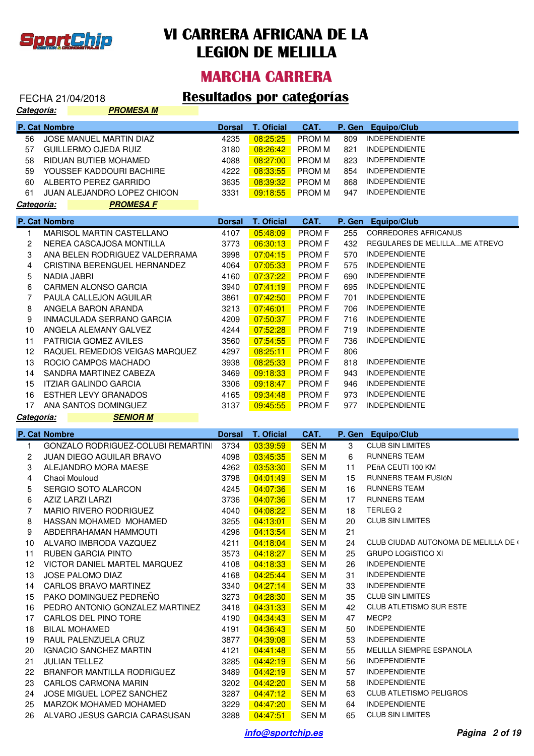

### **MARCHA CARRERA**

## FECHA 21/04/2018 **Resultados por categorías**

| <b>Categoría:</b>       | <b>PROMESA M</b>                                        |               |                             |                |            |                                                 |
|-------------------------|---------------------------------------------------------|---------------|-----------------------------|----------------|------------|-------------------------------------------------|
|                         | P. Cat Nombre                                           | <b>Dorsal</b> | <b>T. Oficial</b>           | CAT.           | P. Gen     | <b>Equipo/Club</b>                              |
| 56                      | <b>JOSE MANUEL MARTIN DIAZ</b>                          | 4235          | 08:25:25                    | <b>PROMM</b>   | 809        | <b>INDEPENDIENTE</b>                            |
| 57                      | <b>GUILLERMO OJEDA RUIZ</b>                             | 3180          | 08:26:42                    | <b>PROMM</b>   | 821        | <b>INDEPENDIENTE</b>                            |
| 58                      | RIDUAN BUTIEB MOHAMED                                   | 4088          | 08:27:00                    | <b>PROMM</b>   | 823        | <b>INDEPENDIENTE</b>                            |
| 59                      | YOUSSEF KADDOURI BACHIRE                                | 4222          | 08:33:55                    | <b>PROMM</b>   | 854        | <b>INDEPENDIENTE</b>                            |
| 60                      | ALBERTO PEREZ GARRIDO                                   | 3635          | 08:39:32                    | <b>PROM M</b>  | 868        | <b>INDEPENDIENTE</b>                            |
| 61                      | JUAN ALEJANDRO LOPEZ CHICON                             | 3331          | 09:18:55                    | <b>PROM M</b>  | 947        | <b>INDEPENDIENTE</b>                            |
| Categoría:              | <b>PROMESA F</b>                                        |               |                             |                |            |                                                 |
|                         | P. Cat Nombre                                           | <b>Dorsal</b> | <b>T. Oficial</b>           | CAT.           |            | P. Gen Equipo/Club                              |
| 1                       | MARISOL MARTIN CASTELLANO                               | 4107          | 05:48:09                    | PROM F         | 255        | <b>CORREDORES AFRICANUS</b>                     |
| $\overline{\mathbf{c}}$ | NEREA CASCAJOSA MONTILLA                                | 3773          | 06:30:13                    | <b>PROM F</b>  | 432        | REGULARES DE MELILLAME ATREVO                   |
| 3                       | ANA BELEN RODRIGUEZ VALDERRAMA                          | 3998          | 07:04:15                    | <b>PROM F</b>  | 570        | <b>INDEPENDIENTE</b>                            |
| 4                       | CRISTINA BERENGUEL HERNANDEZ                            | 4064          | 07:05:33                    | <b>PROM F</b>  | 575        | <b>INDEPENDIENTE</b>                            |
| 5                       | NADIA JABRI                                             | 4160          | 07:37:22                    | PROM F         | 690        | <b>INDEPENDIENTE</b>                            |
| 6                       | <b>CARMEN ALONSO GARCIA</b>                             | 3940          | 07:41:19                    | PROM F         | 695        | <b>INDEPENDIENTE</b>                            |
| 7                       | PAULA CALLEJON AGUILAR                                  | 3861          | 07:42:50                    | PROM F         | 701        | <b>INDEPENDIENTE</b>                            |
| 8                       | ANGELA BARON ARANDA                                     | 3213          | 07:46:01                    | PROM F         | 706        | <b>INDEPENDIENTE</b>                            |
| 9                       | INMACULADA SERRANO GARCIA                               | 4209          | 07:50:37                    | PROM F         | 716        | <b>INDEPENDIENTE</b>                            |
|                         |                                                         | 4244          |                             | PROM F         |            | <b>INDEPENDIENTE</b>                            |
| 10<br>11                | ANGELA ALEMANY GALVEZ<br>PATRICIA GOMEZ AVILES          | 3560          | 07:52:28<br>07:54:55        | PROM F         | 719<br>736 | <b>INDEPENDIENTE</b>                            |
| 12                      | RAQUEL REMEDIOS VEIGAS MARQUEZ                          | 4297          | 08:25:11                    | PROM F         | 806        |                                                 |
|                         |                                                         |               |                             |                |            |                                                 |
| 13                      | ROCIO CAMPOS MACHADO                                    | 3938          | 08:25:33                    | <b>PROM F</b>  | 818        | <b>INDEPENDIENTE</b>                            |
| 14                      | SANDRA MARTINEZ CABEZA                                  | 3469          | 09:18:33                    | <b>PROM F</b>  | 943        | <b>INDEPENDIENTE</b>                            |
| 15                      | <b>ITZIAR GALINDO GARCIA</b>                            | 3306          | 09:18:47                    | <b>PROM F</b>  | 946        | <b>INDEPENDIENTE</b>                            |
| 16                      | <b>ESTHER LEVY GRANADOS</b>                             | 4165          | 09:34:48                    | PROM F         | 973        | <b>INDEPENDIENTE</b>                            |
| 17                      | ANA SANTOS DOMINGUEZ                                    | 3137          | 09:45:55                    | PROM F         | 977        | <b>INDEPENDIENTE</b>                            |
| Categoría:              | <b>SENIOR M</b>                                         |               |                             |                |            |                                                 |
|                         | P. Cat Nombre                                           | <b>Dorsal</b> | <b>T. Oficial</b>           | CAT.           |            | P. Gen Equipo/Club                              |
| 1                       | GONZALO RODRIGUEZ-COLUBI REMARTIN                       | 3734          | 03:39:59                    | <b>SENM</b>    | 3          | <b>CLUB SIN LIMITES</b>                         |
| 2                       | <b>JUAN DIEGO AGUILAR BRAVO</b>                         | 4098          | 03:45:35                    | SEN M          | 6          | <b>RUNNERS TEAM</b>                             |
| 3                       | ALEJANDRO MORA MAESE                                    | 4262          | 03:53:30                    | SEN M          | 11         | PEñA CEUTI 100 KM                               |
| 4                       | Chaoi Mouloud                                           | 3798          | 04:01:49                    | SEN M          | 15         | RUNNERS TEAM FUSIÓN                             |
| 5                       | SERGIO SOTO ALARCON                                     | 4245          | 04:07:36                    | <b>SENM</b>    | 16         | <b>RUNNERS TEAM</b>                             |
| 6                       | AZIZ LARZI LARZI                                        | 3736          | 04:07:36                    | <b>SENM</b>    | 17         | <b>RUNNERS TEAM</b>                             |
| 7                       | MARIO RIVERO RODRIGUEZ                                  | 4040          | 04:08:22                    | <b>SENM</b>    | 18         | <b>TERLEG 2</b>                                 |
| 8                       | HASSAN MOHAMED MOHAMED                                  | 3255          | 04:13:01                    | <b>SENM</b>    | 20         | <b>CLUB SIN LIMITES</b>                         |
| 9                       | ABDERRAHAMAN HAMMOUTI                                   | 4296          | 04:13:54                    | <b>SENM</b>    | 21         |                                                 |
| 10                      | ALVARO IMBRODA VAZQUEZ                                  | 4211          | 04:18:04                    | <b>SENM</b>    | 24         | CLUB CIUDAD AUTONOMA DE MELILLA DE (            |
| 11                      | <b>RUBEN GARCIA PINTO</b>                               | 3573          | 04:18:27                    | <b>SENM</b>    | 25         | <b>GRUPO LOGISTICO XI</b>                       |
| 12                      | VICTOR DANIEL MARTEL MARQUEZ                            | 4108          | 04:18:33                    | <b>SENM</b>    | 26         | <b>INDEPENDIENTE</b>                            |
| 13                      | JOSE PALOMO DIAZ                                        | 4168          | 04:25:44                    | <b>SENM</b>    | 31         | <b>INDEPENDIENTE</b>                            |
| 14                      | CARLOS BRAVO MARTINEZ                                   | 3340          | 04:27:14                    | <b>SENM</b>    | 33         | <b>INDEPENDIENTE</b>                            |
| 15                      | PAKO DOMINGUEZ PEDREÑO                                  | 3273          | 04:28:30                    | <b>SENM</b>    | 35         | <b>CLUB SIN LIMITES</b>                         |
| 16                      | PEDRO ANTONIO GONZALEZ MARTINEZ                         | 3418          | 04:31:33                    | <b>SENM</b>    | 42         | CLUB ATLETISMO SUR ESTE                         |
| 17                      | CARLOS DEL PINO TORE                                    | 4190          | 04:34:43                    | <b>SENM</b>    | 47         | MECP2                                           |
| 18                      | <b>BILAL MOHAMED</b>                                    | 4191          | 04:36:43                    | SEN M          | 50         | <b>INDEPENDIENTE</b>                            |
| 19                      | RAUL PALENZUELA CRUZ                                    | 3877          | 04:39:08                    | SEN M          | 53         | <b>INDEPENDIENTE</b>                            |
| 20                      | IGNACIO SANCHEZ MARTIN                                  | 4121          | 04:41:48                    | SEN M          | 55         | MELILLA SIEMPRE ESPANOLA                        |
| 21                      | <b>JULIAN TELLEZ</b>                                    | 3285          | 04:42:19                    | SEN M          | 56         | <b>INDEPENDIENTE</b>                            |
| 22                      | BRANFOR MANTILLA RODRIGUEZ                              | 3489          | 04:42:19                    | SEN M          | 57         | <b>INDEPENDIENTE</b>                            |
| 23                      | CARLOS CARMONA MARIN                                    | 3202          | 04:42:20                    | SEN M          | 58         | <b>INDEPENDIENTE</b>                            |
| 24                      | JOSE MIGUEL LOPEZ SANCHEZ                               | 3287          | 04:47:12                    | SEN M          | 63         | <b>CLUB ATLETISMO PELIGROS</b>                  |
| 25                      |                                                         |               |                             |                |            |                                                 |
|                         |                                                         |               |                             |                |            |                                                 |
| 26                      | MARZOK MOHAMED MOHAMED<br>ALVARO JESUS GARCIA CARASUSAN | 3229<br>3288  | 04:47:20<br><u>04:47:51</u> | SEN M<br>SEN M | 64<br>65   | <b>INDEPENDIENTE</b><br><b>CLUB SIN LIMITES</b> |

**info@sportchip.es Página 2 of 19**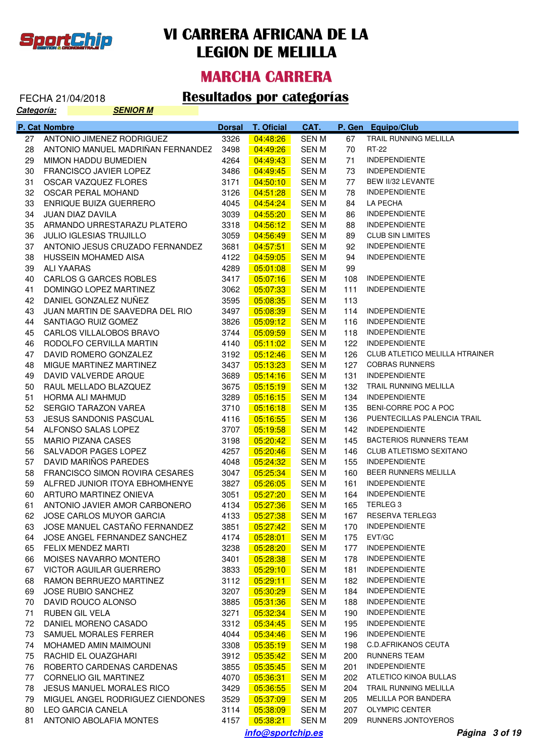

### **MARCHA CARRERA**

# FECHA 21/04/2018 **Resultados por categorías**<br>Categoría: **Categoría**

| <u>Categoría:</u> |               | <b>SENIOR M</b>                                  |               |                       |                       |            |                                                     |
|-------------------|---------------|--------------------------------------------------|---------------|-----------------------|-----------------------|------------|-----------------------------------------------------|
|                   | P. Cat Nombre |                                                  | <b>Dorsal</b> | <b>T. Oficial</b>     | CAT.                  | P. Gen     | <b>Equipo/Club</b>                                  |
| 27                |               | ANTONIO JIMENEZ RODRIGUEZ                        | 3326          | 04:48:26              | <b>SENM</b>           | 67         | TRAIL RUNNING MELILLA                               |
| 28                |               | ANTONIO MANUEL MADRIÑAN FERNANDEZ                | 3498          | 04:49:26              | SEN M                 | 70         | RT-22                                               |
| 29                |               | MIMON HADDU BUMEDIEN                             | 4264          | 04:49:43              | SEN M                 | 71         | <b>INDEPENDIENTE</b>                                |
| 30                |               | FRANCISCO JAVIER LOPEZ                           | 3486          | 04:49:45              | SEN M                 | 73         | <b>INDEPENDIENTE</b>                                |
| 31                |               | OSCAR VAZQUEZ FLORES                             | 3171          | 04:50:10              | <b>SEN M</b>          | 77         | BEW II/32 LEVANTE                                   |
| 32                |               | OSCAR PERAL MOHAND                               | 3126          | 04:51:28              | SEN M                 | 78         | <b>INDEPENDIENTE</b>                                |
| 33                |               | <b>ENRIQUE BUIZA GUERRERO</b>                    | 4045          | 04:54:24              | <b>SEN M</b>          | 84         | LA PECHA                                            |
| 34                |               | JUAN DIAZ DAVILA                                 | 3039          | 04:55:20              | <b>SEN M</b>          | 86         | <b>INDEPENDIENTE</b>                                |
| 35                |               | ARMANDO URRESTARAZU PLATERO                      | 3318          | 04:56:12              | <b>SEN M</b>          | 88         | <b>INDEPENDIENTE</b>                                |
| 36                |               | <b>JULIO IGLESIAS TRUJILLO</b>                   | 3059          | 04:56:49              | <b>SEN M</b>          | 89         | <b>CLUB SIN LIMITES</b>                             |
| 37                |               | ANTONIO JESUS CRUZADO FERNANDEZ                  | 3681          | 04:57:51              | SEN M                 | 92         | <b>INDEPENDIENTE</b>                                |
| 38                |               | HUSSEIN MOHAMED AISA                             | 4122          | 04:59:05              | SEN M                 | 94         | <b>INDEPENDIENTE</b>                                |
| 39                |               | ALI YAARAS                                       | 4289          | 05:01:08              | <b>SEN M</b>          | 99         |                                                     |
| 40                |               | CARLOS G GARCES ROBLES                           | 3417          | 05:07:16              | <b>SEN M</b>          | 108        | <b>INDEPENDIENTE</b>                                |
| 41                |               | DOMINGO LOPEZ MARTINEZ                           | 3062          | 05:07:33              | <b>SEN M</b>          | 111        | <b>INDEPENDIENTE</b>                                |
| 42                |               | DANIEL GONZALEZ NUÑEZ                            | 3595          | 05:08:35              | SEN M                 | 113        |                                                     |
| 43                |               | JUAN MARTIN DE SAAVEDRA DEL RIO                  | 3497          | 05:08:39              | SEN M                 | 114        | <b>INDEPENDIENTE</b>                                |
| 44                |               | SANTIAGO RUIZ GOMEZ                              | 3826          | 05:09:12              | <b>SEN M</b>          | 116        | <b>INDEPENDIENTE</b>                                |
| 45                |               | CARLOS VILLALOBOS BRAVO                          | 3744          | 05:09:59              | <b>SEN M</b>          | 118        | <b>INDEPENDIENTE</b>                                |
| 46                |               | RODOLFO CERVILLA MARTIN                          | 4140          | 05:11:02              | <b>SEN M</b>          | 122        | <b>INDEPENDIENTE</b>                                |
| 47                |               | DAVID ROMERO GONZALEZ                            | 3192          | 05:12:46              | SEN M                 | 126        | <b>CLUB ATLETICO MELILLA HTRAINER</b>               |
| 48                |               | MIGUE MARTINEZ MARTINEZ                          | 3437          | 05:13:23              | SEN M                 | 127        | <b>COBRAS RUNNERS</b>                               |
| 49                |               | DAVID VALVERDE ARQUE                             | 3689          | 05:14:16              | SEN M                 | 131        | <b>INDEPENDIENTE</b>                                |
| 50                |               | RAUL MELLADO BLAZQUEZ                            | 3675          | 05:15:19              | <b>SEN M</b>          | 132        | TRAIL RUNNING MELILLA                               |
| 51                |               | HORMA ALI MAHMUD                                 | 3289          | 05:16:15              | <b>SEN M</b>          | 134        | <b>INDEPENDIENTE</b>                                |
| 52                |               | SERGIO TARAZON VAREA                             | 3710          | 05:16:18              | <b>SEN M</b>          | 135        | BENI-CORRE POC A POC<br>PUENTECILLAS PALENCIA TRAIL |
| 53                |               | <b>JESUS SANDONIS PASCUAL</b>                    | 4116          | 05:16:55              | SEN M                 | 136        | <b>INDEPENDIENTE</b>                                |
| 54<br>55          |               | ALFONSO SALAS LOPEZ<br><b>MARIO PIZANA CASES</b> | 3707          | 05:19:58<br>05:20:42  | SEN M<br><b>SEN M</b> | 142<br>145 | <b>BACTERIOS RUNNERS TEAM</b>                       |
| 56                |               | SALVADOR PAGES LOPEZ                             | 3198<br>4257  |                       | <b>SEN M</b>          | 146        | <b>CLUB ATLETISMO SEXITANO</b>                      |
| 57                |               | DAVID MARIÑOS PAREDES                            | 4048          | 05:20:46<br>05:24:32  | <b>SEN M</b>          | 155        | <b>INDEPENDIENTE</b>                                |
| 58                |               | <b>FRANCISCO SIMON ROVIRA CESARES</b>            | 3047          | 05:25:34              | SEN M                 | 160        | BEER RUNNERS MELILLA                                |
| 59                |               | ALFRED JUNIOR ITOYA EBHOMHENYE                   | 3827          | 05:26:05              | SEN M                 | 161        | <b>INDEPENDIENTE</b>                                |
| 60                |               | ARTURO MARTINEZ ONIEVA                           | 3051          | 05:27:20              | <b>SEN M</b>          | 164        | <b>INDEPENDIENTE</b>                                |
| 61                |               | ANTONIO JAVIER AMOR CARBONERO                    | 4134          | 05:27:36              | SEN M                 | 165        | TERLEG <sub>3</sub>                                 |
| 62 -              |               | JOSE CARLOS MUYOR GARCIA                         | 4133          | $\overline{05:27:38}$ | SEN M                 |            | 167 RESERVA TERLEG3                                 |
| 63                |               | JOSE MANUEL CASTAÑO FERNANDEZ                    | 3851          | 05:27:42              | SEN M                 |            | 170 INDEPENDIENTE                                   |
| 64                |               | JOSE ANGEL FERNANDEZ SANCHEZ                     | 4174          | 05:28:01              | <b>SEN M</b>          | 175        | EVT/GC                                              |
| 65                |               | <b>FELIX MENDEZ MARTI</b>                        | 3238          | 05:28:20              | <b>SEN M</b>          | 177        | <b>INDEPENDIENTE</b>                                |
| 66                |               | MOISES NAVARRO MONTERO                           | 3401          | 05:28:38              | SEN M                 | 178        | <b>INDEPENDIENTE</b>                                |
| 67                |               | VICTOR AGUILAR GUERRERO                          | 3833          | 05:29:10              | SEN M                 | 181        | <b>INDEPENDIENTE</b>                                |
| 68                |               | RAMON BERRUEZO MARTINEZ                          | 3112          | 05:29:11              | SEN M                 | 182        | <b>INDEPENDIENTE</b>                                |
| 69                |               | <b>JOSE RUBIO SANCHEZ</b>                        | 3207          | 05:30:29              | SEN M                 | 184        | <b>INDEPENDIENTE</b>                                |
| 70                |               | DAVID ROUCO ALONSO                               | 3885          | 05:31:36              | SEN M                 | 188        | <b>INDEPENDIENTE</b>                                |
| 71                |               | RUBEN GIL VELA                                   | 3271          | 05:32:34              | SEN M                 | 190        | <b>INDEPENDIENTE</b>                                |
| 72                |               | DANIEL MORENO CASADO                             | 3312          | 05:34:45              | SEN M                 | 195        | <b>INDEPENDIENTE</b>                                |
| 73                |               | SAMUEL MORALES FERRER                            | 4044          | 05:34:46              | SEN M                 | 196        | <b>INDEPENDIENTE</b>                                |
| 74                |               | MOHAMED AMIN MAIMOUNI                            | 3308          | 05:35:19              | SEN M                 | 198        | <b>C.D.AFRIKANOS CEUTA</b>                          |
| 75                |               | RACHID EL OUAZGHARI                              | 3912          | 05:35:42              | SEN M                 | 200        | RUNNERS TEAM                                        |
| 76                |               | ROBERTO CARDENAS CARDENAS                        | 3855          | 05:35:45              | SEN M                 | 201        | <b>INDEPENDIENTE</b>                                |
| 77                |               | <b>CORNELIO GIL MARTINEZ</b>                     | 4070          | 05:36:31              | SEN M                 | 202        | ATLETICO KINOA BULLAS                               |
| 78                |               | JESUS MANUEL MORALES RICO                        | 3429          | 05:36:55              | SEN M                 | 204        | TRAIL RUNNING MELILLA                               |
| 79                |               | MIGUEL ANGEL RODRIGUEZ CIENDONES                 | 3529          | 05:37:09              | SEN M                 | 205        | MELILLA POR BANDERA                                 |
| 80                |               | LEO GARCIA CANELA                                | 3114          | 05:38:09              | SEN M                 | 207        | <b>OLYMPIC CENTER</b>                               |
| 81                |               | ANTONIO ABOLAFIA MONTES                          | 4157          | 05:38:21              | SEN M                 |            | 209 RUNNERS JONTOYEROS                              |

**info@sportchip.es Página 3 of 19**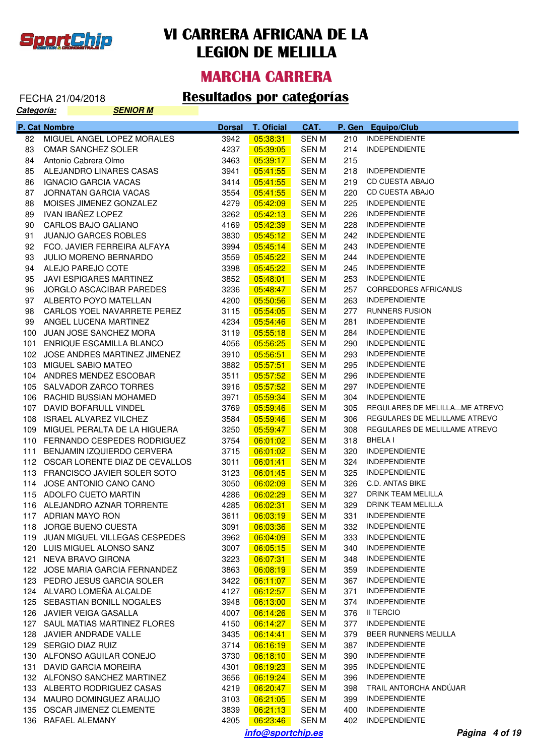

### **MARCHA CARRERA**

#### FECHA 21/04/2018 **Resultados por categorías**

| Categoría: |               | <b>SENIOR M</b>                               |               |                      |                |            |                                              |
|------------|---------------|-----------------------------------------------|---------------|----------------------|----------------|------------|----------------------------------------------|
|            | P. Cat Nombre |                                               | <b>Dorsal</b> | <b>T. Oficial</b>    | CAT.           |            | P. Gen Equipo/Club                           |
| 82         |               | MIGUEL ANGEL LOPEZ MORALES                    | 3942          | 05:38:31             | SEN M          | 210        | <b>INDEPENDIENTE</b>                         |
| 83         |               | OMAR SANCHEZ SOLER                            | 4237          | 05:39:05             | <b>SENM</b>    | 214        | <b>INDEPENDIENTE</b>                         |
| 84         |               | Antonio Cabrera Olmo                          | 3463          | 05:39:17             | SEN M          | 215        |                                              |
| 85         |               | ALEJANDRO LINARES CASAS                       | 3941          | 05:41:55             | SEN M          | 218        | <b>INDEPENDIENTE</b>                         |
| 86         |               | IGNACIO GARCIA VACAS                          | 3414          | 05:41:55             | SEN M          | 219        | CD CUESTA ABAJO                              |
| 87         |               | JORNATAN GARCIA VACAS                         | 3554          | 05:41:55             | SEN M          | 220        | CD CUESTA ABAJO                              |
| 88         |               | MOISES JIMENEZ GONZALEZ                       | 4279          | 05:42:09             | SEN M          | 225        | <b>INDEPENDIENTE</b>                         |
| 89         |               | IVAN IBAÑEZ LOPEZ                             | 3262          | 05:42:13             | SEN M          | 226        | <b>INDEPENDIENTE</b>                         |
| 90         |               | CARLOS BAJO GALIANO                           | 4169          | 05:42:39             | SEN M          | 228        | <b>INDEPENDIENTE</b>                         |
| 91         |               | <b>JUANJO GARCES ROBLES</b>                   | 3830          | 05:45:12             | SEN M          | 242        | <b>INDEPENDIENTE</b>                         |
| 92         |               | FCO. JAVIER FERREIRA ALFAYA                   | 3994          | 05:45:14             | SEN M          | 243        | <b>INDEPENDIENTE</b>                         |
| 93         |               | <b>JULIO MORENO BERNARDO</b>                  | 3559          | 05:45:22             | SEN M          | 244        | <b>INDEPENDIENTE</b>                         |
| 94         |               | ALEJO PAREJO COTE                             | 3398          | 05:45:22             | SEN M          | 245        | <b>INDEPENDIENTE</b>                         |
| 95         |               | JAVI ESPIGARES MARTINEZ                       | 3852          | 05:48:01             | SEN M          | 253        | <b>INDEPENDIENTE</b>                         |
| 96         |               | JORGLO ASCACIBAR PAREDES                      | 3236          | 05:48:47             | SEN M          | 257        | <b>CORREDORES AFRICANUS</b>                  |
| 97         |               | ALBERTO POYO MATELLAN                         | 4200          | 05:50:56             | SEN M          | 263        | <b>INDEPENDIENTE</b>                         |
| 98         |               | CARLOS YOEL NAVARRETE PEREZ                   | 3115          | 05:54:05             | SEN M          | 277        | RUNNERS FUSION                               |
| 99         |               | ANGEL LUCENA MARTINEZ                         | 4234          | 05:54:46             | SEN M          | 281        | <b>INDEPENDIENTE</b>                         |
| 100        |               | JUAN JOSE SANCHEZ MORA                        | 3119          | 05:55:18             | SEN M          | 284        | <b>INDEPENDIENTE</b>                         |
| 101        |               | ENRIQUE ESCAMILLA BLANCO                      | 4056          | 05:56:25             | SEN M          | 290        | <b>INDEPENDIENTE</b>                         |
|            |               | 102 JOSE ANDRES MARTINEZ JIMENEZ              | 3910          | 05:56:51             | SEN M          | 293        | <b>INDEPENDIENTE</b>                         |
|            |               | 103 MIGUEL SABIO MATEO                        | 3882          | 05:57:51             | SEN M          | 295        | <b>INDEPENDIENTE</b>                         |
|            |               | 104 ANDRES MENDEZ ESCOBAR                     | 3511          | 05:57:52             | SEN M          | 296        | <b>INDEPENDIENTE</b>                         |
|            |               | 105 SALVADOR ZARCO TORRES                     | 3916          | 05:57:52             | SEN M          | 297        | <b>INDEPENDIENTE</b>                         |
|            |               | 106 RACHID BUSSIAN MOHAMED                    | 3971          | 05:59:34             | SEN M          | 304        | <b>INDEPENDIENTE</b>                         |
|            |               | 107 DAVID BOFARULL VINDEL                     | 3769          | 05:59:46             | SEN M          | 305        | REGULARES DE MELILLAME ATREVO                |
|            |               | 108 ISRAEL ALVAREZ VILCHEZ                    | 3584          | 05:59:46             | SEN M          | 306        | REGULARES DE MELILLAME ATREVO                |
| 109        |               | MIGUEL PERALTA DE LA HIGUERA                  | 3250          | 05:59:47             | SEN M          | 308        | REGULARES DE MELILLAME ATREVO                |
|            |               | 110 FERNANDO CESPEDES RODRIGUEZ               | 3754          | 06:01:02             | SEN M          | 318        | BHELA I                                      |
| 111        |               | BENJAMIN IZQUIERDO CERVERA                    | 3715          | 06:01:02             | SEN M          | 320        | <b>INDEPENDIENTE</b>                         |
|            |               | 112 OSCAR LORENTE DIAZ DE CEVALLOS            | 3011          | 06:01:41             | SEN M          | 324        | <b>INDEPENDIENTE</b>                         |
|            |               | 113 FRANCISCO JAVIER SOLER SOTO               | 3123          | 06:01:45             | SEN M          | 325        | <b>INDEPENDIENTE</b>                         |
|            |               | 114 JOSE ANTONIO CANO CANO                    | 3050          | 06:02:09             | SEN M          | 326        | C.D. ANTAS BIKE                              |
|            |               | 115 ADOLFO CUETO MARTIN                       | 4286          | 06:02:29             | <b>SENM</b>    | 327        | DRINK TEAM MELILLA                           |
|            |               | 116 ALEJANDRO AZNAR TORRENTE                  | 4285          | 06:02:31             | SEN M          | 329        | DRINK TEAM MELILLA                           |
|            |               | 117 ADRIAN MAYO RON<br>118 JORGE BUENO CUESTA | 3611<br>3091  | 06:03:19             | SEN M          | 331<br>332 | <b>INDEPENDIENTE</b><br><b>INDEPENDIENTE</b> |
|            |               | 119 JUAN MIGUEL VILLEGAS CESPEDES             | 3962          | 06:03:36<br>06:04:09 | SEN M          | 333        | <b>INDEPENDIENTE</b>                         |
|            |               | 120 LUIS MIGUEL ALONSO SANZ                   | 3007          | 06:05:15             | SEN M<br>SEN M | 340        | <b>INDEPENDIENTE</b>                         |
|            |               | 121 NEVA BRAVO GIRONA                         | 3223          | 06:07:31             | SEN M          | 348        | <b>INDEPENDIENTE</b>                         |
|            |               | 122 JOSE MARIA GARCIA FERNANDEZ               | 3863          | 06:08:19             | SEN M          | 359        | <b>INDEPENDIENTE</b>                         |
|            |               | 123 PEDRO JESUS GARCIA SOLER                  | 3422          | 06:11:07             | SEN M          | 367        | <b>INDEPENDIENTE</b>                         |
|            |               | 124 ALVARO LOMEÑA ALCALDE                     | 4127          | 06:12:57             | SEN M          | 371        | <b>INDEPENDIENTE</b>                         |
|            |               | 125 SEBASTIAN BONILL NOGALES                  | 3948          | 06:13:00             | SEN M          | 374        | <b>INDEPENDIENTE</b>                         |
|            |               | 126 JAVIER VEIGA GASALLA                      | 4007          | 06:14:26             | SEN M          | 376        | II TERCIO                                    |
|            |               | 127 SAUL MATIAS MARTINEZ FLORES               | 4150          | 06:14:27             | SEN M          | 377        | <b>INDEPENDIENTE</b>                         |
|            |               | 128 JAVIER ANDRADE VALLE                      | 3435          | 06:14:41             | SEN M          | 379        | BEER RUNNERS MELILLA                         |
|            |               | 129 SERGIO DIAZ RUIZ                          | 3714          | 06:16:19             | SEN M          | 387        | <b>INDEPENDIENTE</b>                         |
|            |               | 130 ALFONSO AGUILAR CONEJO                    | 3730          | 06:18:10             | SEN M          | 390        | <b>INDEPENDIENTE</b>                         |
|            |               | 131 DAVID GARCIA MOREIRA                      | 4301          | 06:19:23             | SEN M          | 395        | <b>INDEPENDIENTE</b>                         |
|            |               | 132 ALFONSO SANCHEZ MARTINEZ                  | 3656          | 06:19:24             | SEN M          | 396        | <b>INDEPENDIENTE</b>                         |
|            |               | 133 ALBERTO RODRIGUEZ CASAS                   | 4219          | 06:20:47             | SEN M          | 398        | TRAIL ANTORCHA ANDUJAR                       |
|            |               | 134 MAURO DOMINGUEZ ARAUJO                    | 3103          | 06:21:05             | SEN M          | 399        | <b>INDEPENDIENTE</b>                         |
|            |               | 135 OSCAR JIMENEZ CLEMENTE                    | 3839          | 06:21:13             | <b>SEN M</b>   | 400        | <b>INDEPENDIENTE</b>                         |
|            |               | 136 RAFAEL ALEMANY                            |               |                      |                |            | 402 INDEPENDIENTE                            |

**info@sportchip.es Página 4 of 19**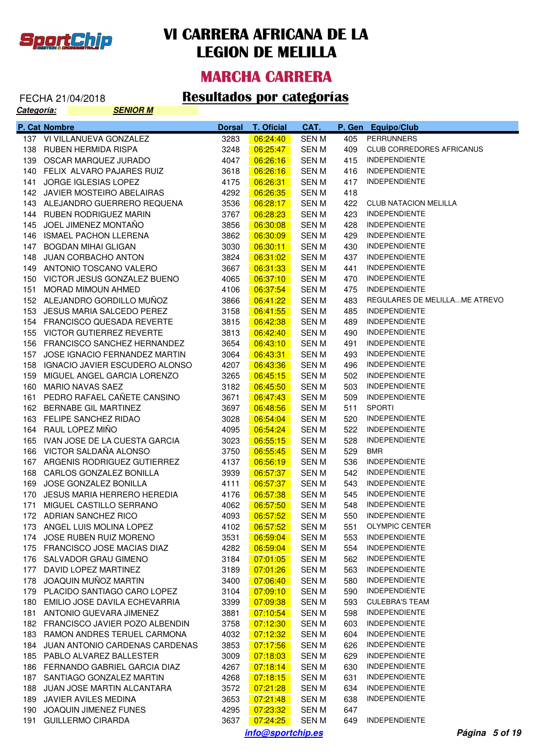

**Categoría: SENIOR MARGAZING** 

## **VI CARRERA AFRICANA DE LA LEGION DE MELILLA**

#### **MARCHA CARRERA**

# FECHA 21/04/2018 **Resultados por categorías**<br>Categoría: **Categoría**

|      | P. Cat Nombre                      | <b>Dorsal</b> | <b>T. Oficial</b> | CAT.         |     | P. Gen Equipo/Club               |
|------|------------------------------------|---------------|-------------------|--------------|-----|----------------------------------|
|      | 137 VI VILLANUEVA GONZALEZ         | 3283          | 06:24:40          | <b>SENM</b>  | 405 | <b>PERRUNNERS</b>                |
|      | 138 RUBEN HERMIDA RISPA            | 3248          | 06:25:47          | <b>SENM</b>  | 409 | <b>CLUB CORREDORES AFRICANUS</b> |
|      | 139 OSCAR MARQUEZ JURADO           | 4047          | 06:26:16          | SEN M        | 415 | <b>INDEPENDIENTE</b>             |
|      | 140 FELIX ALVARO PAJARES RUIZ      | 3618          | 06:26:16          | SEN M        | 416 | <b>INDEPENDIENTE</b>             |
| 141  | JORGE IGLESIAS LOPEZ               | 4175          | 06:26:31          | SEN M        | 417 | <b>INDEPENDIENTE</b>             |
|      | 142 JAVIER MOSTEIRO ABELAIRAS      | 4292          | 06:26:35          | SEN M        | 418 |                                  |
|      | 143 ALEJANDRO GUERRERO REQUENA     | 3536          | 06:28:17          | SEN M        | 422 | <b>CLUB NATACION MELILLA</b>     |
|      | 144 RUBEN RODRIGUEZ MARIN          | 3767          | 06:28:23          | SEN M        | 423 | <b>INDEPENDIENTE</b>             |
| 145  | JOEL JIMENEZ MONTAÑO               | 3856          | 06:30:08          | <b>SENM</b>  | 428 | <b>INDEPENDIENTE</b>             |
|      | 146 ISMAEL PACHON LLERENA          | 3862          | 06:30:09          | <b>SENM</b>  | 429 | <b>INDEPENDIENTE</b>             |
| 147  | <b>BOGDAN MIHAI GLIGAN</b>         | 3030          | 06:30:11          | SEN M        | 430 | <b>INDEPENDIENTE</b>             |
| 148  | <b>JUAN CORBACHO ANTON</b>         | 3824          | 06:31:02          | SEN M        | 437 | <b>INDEPENDIENTE</b>             |
|      | 149 ANTONIO TOSCANO VALERO         | 3667          | 06:31:33          | SEN M        | 441 | <b>INDEPENDIENTE</b>             |
|      | 150 VICTOR JESUS GONZALEZ BUENO    | 4065          | 06:37:10          | SEN M        | 470 | <b>INDEPENDIENTE</b>             |
| 151  | MORAD MIMOUN AHMED                 | 4106          | 06:37:54          | <b>SENM</b>  | 475 | <b>INDEPENDIENTE</b>             |
|      | 152 ALEJANDRO GORDILLO MUÑOZ       | 3866          | 06:41:22          | SEN M        | 483 | REGULARES DE MELILLAME ATREVO    |
| 153  | JESUS MARIA SALCEDO PEREZ          | 3158          |                   |              | 485 | <b>INDEPENDIENTE</b>             |
|      | 154 FRANCISCO QUESADA REVERTE      | 3815          | 06:41:55          | SEN M        | 489 | <b>INDEPENDIENTE</b>             |
|      |                                    |               | 06:42:38          | SEN M        |     | <b>INDEPENDIENTE</b>             |
|      | 155 VICTOR GUTIERREZ REVERTE       | 3813          | 06:42:40          | SEN M        | 490 |                                  |
|      | 156 FRANCISCO SANCHEZ HERNANDEZ    | 3654          | 06:43:10          | SEN M        | 491 | <b>INDEPENDIENTE</b>             |
| 157  | JOSE IGNACIO FERNANDEZ MARTIN      | 3064          | 06:43:31          | SEN M        | 493 | <b>INDEPENDIENTE</b>             |
|      | 158 IGNACIO JAVIER ESCUDERO ALONSO | 4207          | 06:43:36          | SEN M        | 496 | <b>INDEPENDIENTE</b>             |
| 159  | MIGUEL ANGEL GARCIA LORENZO        | 3265          | 06:45:15          | SEN M        | 502 | <b>INDEPENDIENTE</b>             |
| 160  | MARIO NAVAS SAEZ                   | 3182          | 06:45:50          | SEN M        | 503 | <b>INDEPENDIENTE</b>             |
| 161  | PEDRO RAFAEL CAÑETE CANSINO        | 3671          | 06:47:43          | SEN M        | 509 | <b>INDEPENDIENTE</b>             |
|      | 162 BERNABE GIL MARTINEZ           | 3697          | 06:48:56          | SEN M        | 511 | <b>SPORTI</b>                    |
|      | 163 FELIPE SANCHEZ RIDAO           | 3028          | 06:54:04          | SEN M        | 520 | <b>INDEPENDIENTE</b>             |
|      | 164 RAUL LOPEZ MIÑO                | 4095          | 06:54:24          | SEN M        | 522 | <b>INDEPENDIENTE</b>             |
|      | 165 IVAN JOSE DE LA CUESTA GARCIA  | 3023          | 06:55:15          | SEN M        | 528 | <b>INDEPENDIENTE</b>             |
|      | 166 VICTOR SALDAÑA ALONSO          | 3750          | 06:55:45          | SEN M        | 529 | BMR                              |
|      | 167 ARGENIS RODRIGUEZ GUTIERREZ    | 4137          | 06:56:19          | SEN M        | 536 | <b>INDEPENDIENTE</b>             |
| 168  | CARLOS GONZALEZ BONILLA            | 3939          | 06:57:37          | SEN M        | 542 | <b>INDEPENDIENTE</b>             |
| 169  | JOSE GONZALEZ BONILLA              | 4111          | 06:57:37          | SEN M        | 543 | <b>INDEPENDIENTE</b>             |
| 170  | JESUS MARIA HERRERO HEREDIA        | 4176          | 06:57:38          | SEN M        | 545 | <b>INDEPENDIENTE</b>             |
| 171  | MIGUEL CASTILLO SERRANO            | 4062          | 06:57:50          | <b>SEN M</b> | 548 | <b>INDEPENDIENTE</b>             |
|      | 172 ADRIAN SANCHEZ RICO            | 4093          | 06:57:52          | SEN M        | 550 | INDEPENDIENTE                    |
| 173  | ANGEL LUIS MOLINA LOPEZ            | 4102          | 06:57:52          | SEN M        | 551 | <b>OLYMPIC CENTER</b>            |
| 174  | JOSE RUBEN RUIZ MORENO             | 3531          | 06:59:04          | <b>SENM</b>  | 553 | <b>INDEPENDIENTE</b>             |
| 175  | FRANCISCO JOSE MACIAS DIAZ         | 4282          | 06:59:04          | <b>SEN M</b> | 554 | <b>INDEPENDIENTE</b>             |
| 176  | SALVADOR GRAU GIMENO               | 3184          | 07:01:05          | <b>SEN M</b> | 562 | <b>INDEPENDIENTE</b>             |
| 177  | DAVID LOPEZ MARTINEZ               | 3189          | 07:01:26          | <b>SENM</b>  | 563 | <b>INDEPENDIENTE</b>             |
| 178  | JOAQUIN MUÑOZ MARTIN               | 3400          | 07:06:40          | <b>SEN M</b> | 580 | <b>INDEPENDIENTE</b>             |
| 179  | PLACIDO SANTIAGO CARO LOPEZ        | 3104          | 07:09:10          | <b>SEN M</b> | 590 | <b>INDEPENDIENTE</b>             |
| 180  | EMILIO JOSE DAVILA ECHEVARRIA      | 3399          | 07:09:38          | <b>SEN M</b> | 593 | <b>CULEBRA'S TEAM</b>            |
| 181  | ANTONIO GUEVARA JIMENEZ            | 3881          | 07:10:54          | <b>SEN M</b> | 598 | INDEPENDIENTE                    |
|      | 182 FRANCISCO JAVIER POZO ALBENDIN | 3758          | 07:12:30          | <b>SEN M</b> | 603 | <b>INDEPENDIENTE</b>             |
| 183. | RAMON ANDRES TERUEL CARMONA        | 4032          | 07:12:32          | <b>SEN M</b> | 604 | INDEPENDIENTE                    |
| 184  | JUAN ANTONIO CARDENAS CARDENAS     | 3853          | 07:17:56          | <b>SEN M</b> | 626 | <b>INDEPENDIENTE</b>             |
|      | 185 PABLO ALVAREZ BALLESTER        | 3009          | 07:18:03          | <b>SEN M</b> | 629 | INDEPENDIENTE                    |
|      | 186 FERNANDO GABRIEL GARCIA DIAZ   | 4267          | 07:18:14          | <b>SEN M</b> | 630 | <b>INDEPENDIENTE</b>             |
| 187  | SANTIAGO GONZALEZ MARTIN           | 4268          | 07:18:15          | <b>SEN M</b> | 631 | <b>INDEPENDIENTE</b>             |
| 188  | JUAN JOSE MARTIN ALCANTARA         | 3572          | 07:21:28          | <b>SEN M</b> | 634 | <b>INDEPENDIENTE</b>             |
| 189. | JAVIER AVILES MEDINA               | 3653          | 07:21:48          | SEN M        | 638 | <b>INDEPENDIENTE</b>             |
| 190  | <b>JOAQUIN JIMENEZ FUNES</b>       | 4295          | 07:23:32          | SEN M        | 647 |                                  |
| 191  | <b>GUILLERMO CIRARDA</b>           | 3637          | 07:24:25          | SEN M        | 649 | <b>INDEPENDIENTE</b>             |
|      |                                    |               | info@sportchip.es |              |     | Página 5 of 19                   |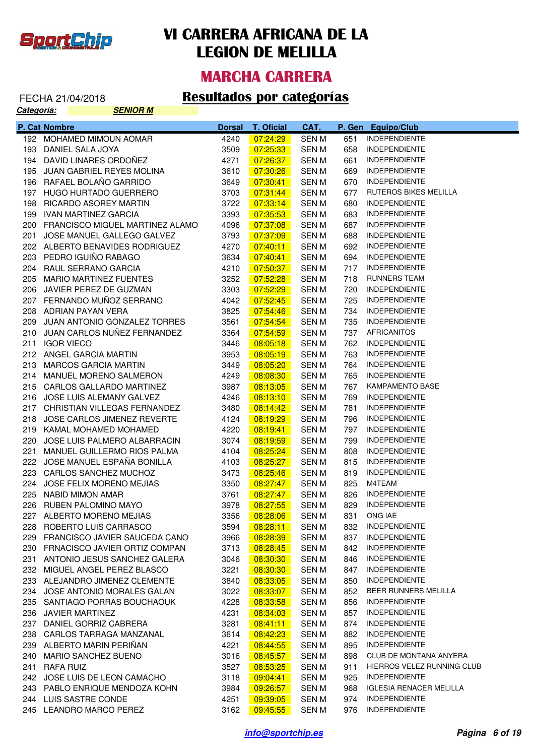

#### **MARCHA CARRERA**

| Categoría: |               | <b>SENIOR M</b>                                                |               |                      |                |            |                                 |
|------------|---------------|----------------------------------------------------------------|---------------|----------------------|----------------|------------|---------------------------------|
|            | P. Cat Nombre |                                                                | <b>Dorsal</b> | <b>T. Oficial</b>    | CAT.           | P. Gen     | <b>Equipo/Club</b>              |
|            |               | 192 MOHAMED MIMOUN AOMAR                                       | 4240          | 07:24:29             | <b>SENM</b>    | 651        | <b>INDEPENDIENTE</b>            |
|            |               | 193 DANIEL SALA JOYA                                           | 3509          | 07:25:33             | <b>SENM</b>    | 658        | <b>INDEPENDIENTE</b>            |
|            |               | 194 DAVID LINARES ORDOÑEZ                                      | 4271          | 07:26:37             | SEN M          | 661        | <b>INDEPENDIENTE</b>            |
|            |               | 195 JUAN GABRIEL REYES MOLINA                                  | 3610          | 07:30:26             | SEN M          | 669        | <b>INDEPENDIENTE</b>            |
|            |               | 196 RAFAEL BOLAÑO GARRIDO                                      | 3649          | 07:30:41             | SEN M          | 670        | <b>INDEPENDIENTE</b>            |
|            |               | 197 HUGO HURTADO GUERRERO                                      | 3703          | 07:31:44             | <b>SENM</b>    | 677        | RUTEROS BIKES MELILLA           |
|            |               | 198 RICARDO ASOREY MARTIN                                      | 3722          | 07:33:14             | SEN M          | 680        | <b>INDEPENDIENTE</b>            |
|            |               | 199 IVAN MARTINEZ GARCIA                                       | 3393          | 07:35:53             | SEN M          | 683        | <b>INDEPENDIENTE</b>            |
|            |               | 200 FRANCISCO MIGUEL MARTINEZ ALAMO                            | 4096          | 07:37:08             | SEN M          | 687        | <b>INDEPENDIENTE</b>            |
|            |               | 201 JOSE MANUEL GALLEGO GALVEZ                                 | 3793          | 07:37:09             | SEN M          | 688        | <b>INDEPENDIENTE</b>            |
|            |               | 202 ALBERTO BENAVIDES RODRIGUEZ                                | 4270          | 07:40:11             | SEN M          | 692        | <b>INDEPENDIENTE</b>            |
|            |               | 203 PEDRO IGUIÑO RABAGO                                        | 3634          | 07:40:41             | <b>SENM</b>    | 694        | <b>INDEPENDIENTE</b>            |
|            |               | 204 RAUL SERRANO GARCIA                                        | 4210          | 07:50:37             | <b>SENM</b>    | 717        | <b>INDEPENDIENTE</b>            |
|            |               | 205 MARIO MARTINEZ FUENTES                                     | 3252          | 07:52:28             | SEN M          | 718        | <b>RUNNERS TEAM</b>             |
|            |               | 206 JAVIER PEREZ DE GUZMAN                                     | 3303          | 07:52:29             | SEN M          | 720        | <b>INDEPENDIENTE</b>            |
|            |               | 207 FERNANDO MUÑOZ SERRANO                                     | 4042          | 07:52:45             | SEN M          | 725        | <b>INDEPENDIENTE</b>            |
|            |               | 208 ADRIAN PAYAN VERA                                          | 3825          | 07:54:46             | SEN M          | 734        | <b>INDEPENDIENTE</b>            |
|            |               | 209 JUAN ANTONIO GONZALEZ TORRES                               | 3561          | 07:54:54             | SEN M          | 735        | <b>INDEPENDIENTE</b>            |
|            |               | 210 JUAN CARLOS NUÑEZ FERNANDEZ                                | 3364          | 07:54:59             | SEN M          | 737        | <b>AFRICANITOS</b>              |
| 211        |               | <b>IGOR VIECO</b>                                              | 3446          | 08:05:18             | SEN M          | 762        | <b>INDEPENDIENTE</b>            |
|            |               | 212 ANGEL GARCIA MARTIN                                        | 3953          | 08:05:19             | SEN M          | 763        | <b>INDEPENDIENTE</b>            |
|            |               | 213 MARCOS GARCIA MARTIN                                       | 3449          | 08:05:20             | SEN M          | 764        | <b>INDEPENDIENTE</b>            |
|            |               | 214 MANUEL MORENO SALMERON                                     | 4249          | 08:08:30             | SEN M          | 765        | <b>INDEPENDIENTE</b>            |
|            |               | 215 CARLOS GALLARDO MARTINEZ                                   | 3987          | 08:13:05             | SEN M          | 767        | <b>KAMPAMENTO BASE</b>          |
|            |               | 216 JOSE LUIS ALEMANY GALVEZ                                   | 4246          | 08:13:10             | SEN M          | 769        | <b>INDEPENDIENTE</b>            |
|            |               | 217 CHRISTIAN VILLEGAS FERNANDEZ                               | 3480          | 08:14:42             | SEN M          | 781        | <b>INDEPENDIENTE</b>            |
|            |               | 218 JOSE CARLOS JIMENEZ REVERTE                                | 4124          | 08:19:29             | SEN M          | 796        | <b>INDEPENDIENTE</b>            |
|            |               | 219 KAMAL MOHAMED MOHAMED                                      | 4220          | 08:19:41             | SEN M          | 797        | <b>INDEPENDIENTE</b>            |
|            |               | 220 JOSE LUIS PALMERO ALBARRACIN                               | 3074          | 08:19:59             | SEN M          | 799        | <b>INDEPENDIENTE</b>            |
| 221        |               | MANUEL GUILLERMO RIOS PALMA                                    | 4104          | 08:25:24             | SEN M          | 808        | <b>INDEPENDIENTE</b>            |
|            |               | 222 JOSE MANUEL ESPAÑA BONILLA                                 | 4103          | 08:25:27             | SEN M          | 815        | <b>INDEPENDIENTE</b>            |
|            |               | 223 CARLOS SANCHEZ MUCHOZ                                      | 3473          | 08:25:46             | SEN M          | 819        | <b>INDEPENDIENTE</b>            |
|            |               | 224 JOSE FELIX MORENO MEJIAS                                   | 3350          | 08:27:47             | SEN M          | 825        | M4TEAM                          |
|            |               | 225 NABID MIMON AMAR                                           | 3761          | 08:27:47             | <b>SENM</b>    | 826        | <b>INDEPENDIENTE</b>            |
|            |               | 226 RUBEN PALOMINO MAYO                                        | 3978          | 08:27:55             | SEN M          | 829        | INDEPENDIENTE                   |
|            |               | 227 ALBERTO MORENO MEJIAS                                      | 3356          | 08:28:06             | SEN M          | 831        | ONG IAE<br><b>INDEPENDIENTE</b> |
|            |               | 228 ROBERTO LUIS CARRASCO<br>229 FRANCISCO JAVIER SAUCEDA CANO | 3594          | 08:28:11             | SEN M          | 832<br>837 | <b>INDEPENDIENTE</b>            |
|            |               | 230 FRNACISCO JAVIER ORTIZ COMPAN                              | 3966<br>3713  | 08:28:39<br>08:28:45 | SEN M<br>SEN M | 842        | <b>INDEPENDIENTE</b>            |
|            |               | 231 ANTONIO JESUS SANCHEZ GALERA                               | 3046          | 08:30:30             | SEN M          | 846        | <b>INDEPENDIENTE</b>            |
|            |               | 232 MIGUEL ANGEL PEREZ BLASCO                                  | 3221          | 08:30:30             | SEN M          | 847        | <b>INDEPENDIENTE</b>            |
|            |               | 233 ALEJANDRO JIMENEZ CLEMENTE                                 | 3840          | 08:33:05             | SEN M          | 850        | <b>INDEPENDIENTE</b>            |
|            |               | 234 JOSE ANTONIO MORALES GALAN                                 | 3022          | 08:33:07             | SEN M          | 852        | BEER RUNNERS MELILLA            |
|            |               | 235 SANTIAGO PORRAS BOUCHAOUK                                  | 4228          | 08:33:58             | SEN M          | 856        | <b>INDEPENDIENTE</b>            |
|            |               | 236 JAVIER MARTINEZ                                            | 4231          | 08:34:03             | SEN M          | 857        | <b>INDEPENDIENTE</b>            |
|            |               | 237 DANIEL GORRIZ CABRERA                                      | 3281          | 08:41:11             | SEN M          | 874        | <b>INDEPENDIENTE</b>            |
|            |               | 238 CARLOS TARRAGA MANZANAL                                    | 3614          | 08:42:23             | SEN M          | 882        | <b>INDEPENDIENTE</b>            |
|            |               | 239 ALBERTO MARIN PERIÑAN                                      | 4221          | 08:44:55             | SEN M          | 895        | <b>INDEPENDIENTE</b>            |
|            |               | 240 MARIO SANCHEZ BUENO                                        | 3016          | 08:45:57             | SEN M          | 898        | CLUB DE MONTANA ANYERA          |
|            | 241 RAFA RUIZ |                                                                | 3527          | 08:53:25             | SEN M          | 911        | HIERROS VELEZ RUNNING CLUB      |
|            |               | 242 JOSE LUIS DE LEON CAMACHO                                  | 3118          | 09:04:41             | SEN M          | 925        | <b>INDEPENDIENTE</b>            |
|            |               | 243 PABLO ENRIQUE MENDOZA KOHN                                 | 3984          | 09:26:57             | SEN M          | 968        | <b>IGLESIA RENACER MELILLA</b>  |
|            |               | 244 LUIS SASTRE CONDE                                          | 4251          | 09:39:05             | SEN M          | 974        | <b>INDEPENDIENTE</b>            |
|            |               | 245 LEANDRO MARCO PEREZ                                        | 3162          | 09:45:55             | SEN M          | 976        | <b>INDEPENDIENTE</b>            |
|            |               |                                                                |               |                      |                |            |                                 |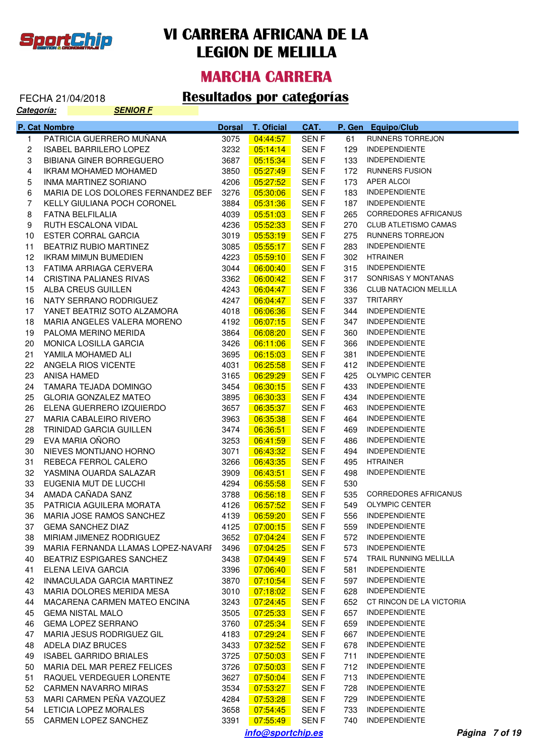

#### **MARCHA CARRERA**

#### FECHA 21/04/2018 **Resultados por categorías**

| Categoría:   |               | <b>SENIOR F</b>                                           |               |                      |                |            |                                              |
|--------------|---------------|-----------------------------------------------------------|---------------|----------------------|----------------|------------|----------------------------------------------|
|              | P. Cat Nombre |                                                           | <b>Dorsal</b> | <b>T. Oficial</b>    | CAT.           |            | P. Gen Equipo/Club                           |
| $\mathbf{1}$ |               | PATRICIA GUERRERO MUÑANA                                  | 3075          | 04:44:57             | <b>SENF</b>    | 61         | RUNNERS TORREJON                             |
| $\mathbf{2}$ |               | <b>ISABEL BARRILERO LOPEZ</b>                             | 3232          | 05:14:14             | <b>SENF</b>    | 129        | <b>INDEPENDIENTE</b>                         |
| 3            |               | <b>BIBIANA GINER BORREGUERO</b>                           | 3687          | 05:15:34             | <b>SENF</b>    | 133        | <b>INDEPENDIENTE</b>                         |
| 4            |               | <b>IKRAM MOHAMED MOHAMED</b>                              | 3850          | 05:27:49             | <b>SENF</b>    | 172        | <b>RUNNERS FUSION</b>                        |
| 5            |               | INMA MARTINEZ SORIANO                                     | 4206          | 05:27:52             | <b>SENF</b>    | 173        | APER ALCOI                                   |
| 6            |               | MARIA DE LOS DOLORES FERNANDEZ BEF                        | 3276          | 05:30:06             | SEN F          | 183        | <b>INDEPENDIENTE</b>                         |
| 7            |               | KELLY GIULIANA POCH CORONEL                               | 3884          | 05:31:36             | SEN F          | 187        | <b>INDEPENDIENTE</b>                         |
| 8            |               | FATNA BELFILALIA                                          | 4039          | 05:51:03             | SEN F          | 265        | <b>CORREDORES AFRICANUS</b>                  |
| 9            |               | RUTH ESCALONA VIDAL                                       | 4236          | 05:52:33             | <b>SENF</b>    | 270        | <b>CLUB ATLETISMO CAMAS</b>                  |
| 10           |               | ESTER CORRAL GARCIA                                       | 3019          | 05:53:19             | <b>SENF</b>    | 275        | RUNNERS TORREJON                             |
| 11           |               | BEATRIZ RUBIO MARTINEZ                                    | 3085          | 05:55:17             | SEN F          | 283        | <b>INDEPENDIENTE</b>                         |
| 12           |               | <b>IKRAM MIMUN BUMEDIEN</b>                               | 4223          | 05:59:10             | <b>SENF</b>    | 302        | <b>HTRAINER</b>                              |
| 13           |               | FATIMA ARRIAGA CERVERA                                    | 3044          | 06:00:40             | <b>SENF</b>    | 315        | <b>INDEPENDIENTE</b>                         |
| 14           |               | CRISTINA PALIANES RIVAS                                   | 3362          | 06:00:42             | SEN F          | 317        | SONRISAS Y MONTANAS                          |
| 15           |               | ALBA CREUS GUILLEN                                        | 4243          | 06:04:47             | SEN F          | 336        | <b>CLUB NATACION MELILLA</b>                 |
| 16           |               | NATY SERRANO RODRIGUEZ                                    | 4247          | 06:04:47             | SEN F          | 337        | <b>TRITARRY</b>                              |
| 17           |               | YANET BEATRIZ SOTO ALZAMORA                               | 4018          | 06:06:36             | SEN F          | 344        | <b>INDEPENDIENTE</b>                         |
| 18           |               | MARIA ANGELES VALERA MORENO                               | 4192          | 06:07:15             | SEN F          | 347        | <b>INDEPENDIENTE</b>                         |
| 19           |               | PALOMA MERINO MERIDA                                      | 3864          | 06:08:20             | SEN F          | 360        | <b>INDEPENDIENTE</b>                         |
| 20           |               | MONICA LOSILLA GARCIA                                     | 3426          | 06:11:06             | SEN F          | 366        | <b>INDEPENDIENTE</b>                         |
| 21           |               | YAMILA MOHAMED ALI                                        | 3695          | 06:15:03             | SEN F          | 381        | <b>INDEPENDIENTE</b>                         |
| 22           |               | ANGELA RIOS VICENTE                                       | 4031          | 06:25:58             | SEN F          | 412        | <b>INDEPENDIENTE</b>                         |
| 23           |               | ANISA HAMED                                               | 3165          | 06:29:29             | SEN F          | 425        | <b>OLYMPIC CENTER</b>                        |
| 24           |               | TAMARA TEJADA DOMINGO                                     | 3454          | 06:30:15             | SEN F          | 433        | <b>INDEPENDIENTE</b>                         |
| 25           |               | <b>GLORIA GONZALEZ MATEO</b>                              | 3895          | 06:30:33             | SEN F          | 434        | <b>INDEPENDIENTE</b>                         |
| 26           |               | ELENA GUERRERO IZQUIERDO                                  | 3657          | 06:35:37             | SEN F          | 463        | <b>INDEPENDIENTE</b>                         |
| 27           |               | MARIA CABALEIRO RIVERO                                    | 3963          | 06:35:38             | SEN F          | 464        | <b>INDEPENDIENTE</b>                         |
| 28           |               | TRINIDAD GARCIA GUILLEN                                   | 3474          | 06:36:51             | SEN F          | 469        | <b>INDEPENDIENTE</b>                         |
| 29           |               | EVA MARIA OÑORO                                           | 3253          | 06:41:59             | SEN F          | 486        | <b>INDEPENDIENTE</b>                         |
| 30           |               | NIEVES MONTIJANO HORNO                                    | 3071          | 06:43:32             | SEN F          | 494        | <b>INDEPENDIENTE</b>                         |
| 31           |               | REBECA FERROL CALERO                                      | 3266          | 06:43:35             | SEN F          | 495        | <b>HTRAINER</b>                              |
| 32           |               | YASMINA OUARDA SALAZAR                                    | 3909          | 06:43:51             | SEN F          | 498        | <b>INDEPENDIENTE</b>                         |
| 33           |               | EUGENIA MUT DE LUCCHI                                     | 4294          | 06:55:58             | SEN F          | 530        |                                              |
| 34           |               | AMADA CAÑADA SANZ                                         | 3788          | 06:56:18             | SEN F          | 535        | <b>CORREDORES AFRICANUS</b>                  |
|              |               | 35 PATRICIA AGUILERA MORATA                               | 4126          | 06:57:52             | <b>SENF</b>    |            | 549 OLYMPIC CENTER                           |
| 36           |               | MARIA JOSE RAMOS SANCHEZ                                  | 4139          | 06:59:20             | SEN F          | 556        | <b>INDEPENDIENTE</b>                         |
| 37           |               | <b>GEMA SANCHEZ DIAZ</b>                                  | 4125          | 07:00:15             | SEN F          | 559        | <b>INDEPENDIENTE</b>                         |
| 38           |               | MIRIAM JIMENEZ RODRIGUEZ                                  | 3652          | 07:04:24             | SEN F          | 572        | <b>INDEPENDIENTE</b>                         |
| 39           |               | MARIA FERNANDA LLAMAS LOPEZ-NAVARI 3496                   |               | 07:04:25             | SEN F          | 573        | <b>INDEPENDIENTE</b>                         |
| 40           |               | <b>BEATRIZ ESPIGARES SANCHEZ</b>                          | 3438          | 07:04:49             | SEN F          | 574        | TRAIL RUNNING MELILLA                        |
| 41           |               | ELENA LEIVA GARCIA                                        | 3396          | 07:06:40             | SEN F          | 581        | <b>INDEPENDIENTE</b><br><b>INDEPENDIENTE</b> |
| 42<br>43     |               | INMACULADA GARCIA MARTINEZ                                | 3870          | 07:10:54             | SEN F          | 597<br>628 | <b>INDEPENDIENTE</b>                         |
| 44           |               | MARIA DOLORES MERIDA MESA<br>MACARENA CARMEN MATEO ENCINA | 3010          | 07:18:02             | SEN F          | 652        | CT RINCON DE LA VICTORIA                     |
| 45           |               |                                                           | 3243          | 07:24:45<br>07:25:33 | SEN F          | 657        | <b>INDEPENDIENTE</b>                         |
| 46           |               | <b>GEMA NISTAL MALO</b><br><b>GEMA LOPEZ SERRANO</b>      | 3505<br>3760  | 07:25:34             | SEN F<br>SEN F | 659        | <b>INDEPENDIENTE</b>                         |
| 47           |               | MARIA JESUS RODRIGUEZ GIL                                 | 4183          | 07:29:24             | SEN F          | 667        | <b>INDEPENDIENTE</b>                         |
| 48           |               | ADELA DIAZ BRUCES                                         | 3433          | 07:32:52             | SEN F          | 678        | <b>INDEPENDIENTE</b>                         |
| 49           |               | ISABEL GARRIDO BRIALES                                    | 3725          | 07:50:03             | SEN F          | 711        | <b>INDEPENDIENTE</b>                         |
| 50           |               | MARIA DEL MAR PEREZ FELICES                               | 3726          | 07:50:03             | SEN F          | 712        | <b>INDEPENDIENTE</b>                         |
| 51           |               | RAQUEL VERDEGUER LORENTE                                  | 3627          | 07:50:04             | SEN F          | 713        | <b>INDEPENDIENTE</b>                         |
| 52           |               | <b>CARMEN NAVARRO MIRAS</b>                               | 3534          | 07:53:27             | SEN F          | 728        | <b>INDEPENDIENTE</b>                         |
| 53           |               | MARI CARMEN PEÑA VAZQUEZ                                  | 4284          | 07:53:28             | SEN F          | 729        | <b>INDEPENDIENTE</b>                         |
| 54           |               | LETICIA LOPEZ MORALES                                     | 3658          | 07:54:45             | SEN F          | 733        | <b>INDEPENDIENTE</b>                         |
|              |               | 55 CARMEN LOPEZ SANCHEZ                                   | 3391          | 07:55:49             | SEN F          | 740        | INDEPENDIENTE                                |

**info@sportchip.es Página 7 of 19**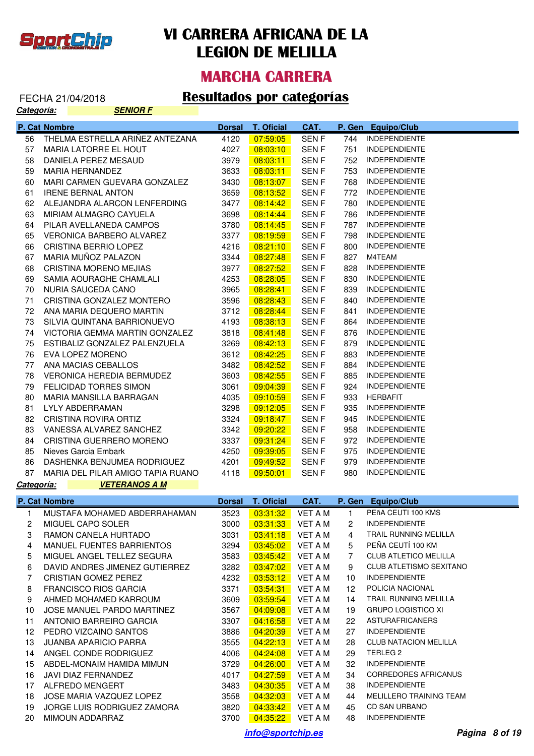

### **MARCHA CARRERA**

#### FECHA 21/04/2018 **Resultados por categorías**

| <u>Categoría:</u> | <b>SENIOR F</b>                   |               |                   |             |              |                              |
|-------------------|-----------------------------------|---------------|-------------------|-------------|--------------|------------------------------|
|                   | P. Cat Nombre                     | <b>Dorsal</b> | <b>T. Oficial</b> | CAT.        | P. Gen       | <b>Equipo/Club</b>           |
| 56                | THELMA ESTRELLA ARIÑEZ ANTEZANA   | 4120          | 07:59:05          | SEN F       | 744          | <b>INDEPENDIENTE</b>         |
| 57                | MARIA LATORRE EL HOUT             | 4027          | 08:03:10          | <b>SENF</b> | 751          | <b>INDEPENDIENTE</b>         |
| 58                | DANIELA PEREZ MESAUD              | 3979          | 08:03:11          | <b>SENF</b> | 752          | <b>INDEPENDIENTE</b>         |
| 59                | MARIA HERNANDEZ                   | 3633          | 08:03:11          | <b>SENF</b> | 753          | <b>INDEPENDIENTE</b>         |
| 60                | MARI CARMEN GUEVARA GONZALEZ      | 3430          | 08:13:07          | <b>SENF</b> | 768          | <b>INDEPENDIENTE</b>         |
| 61                | <b>IRENE BERNAL ANTON</b>         | 3659          | 08:13:52          | <b>SENF</b> | 772          | <b>INDEPENDIENTE</b>         |
| 62                | ALEJANDRA ALARCON LENFERDING      | 3477          | 08:14:42          | <b>SENF</b> | 780          | <b>INDEPENDIENTE</b>         |
| 63                | MIRIAM ALMAGRO CAYUELA            | 3698          | 08:14:44          | <b>SENF</b> | 786          | <b>INDEPENDIENTE</b>         |
| 64                | PILAR AVELLANEDA CAMPOS           | 3780          | 08:14:45          | <b>SENF</b> | 787          | <b>INDEPENDIENTE</b>         |
| 65                | <b>VERONICA BARBERO ALVAREZ</b>   | 3377          | 08:19:59          | <b>SENF</b> | 798          | <b>INDEPENDIENTE</b>         |
| 66                | CRISTINA BERRIO LOPEZ             | 4216          | 08:21:10          | <b>SENF</b> | 800          | <b>INDEPENDIENTE</b>         |
| 67                | MARIA MUÑOZ PALAZON               | 3344          | 08:27:48          | <b>SENF</b> | 827          | M4TEAM                       |
| 68                | CRISTINA MORENO MEJIAS            | 3977          | 08:27:52          | <b>SENF</b> | 828          | <b>INDEPENDIENTE</b>         |
| 69                | SAMIA AOURAGHE CHAMLALI           | 4253          | 08:28:05          | <b>SENF</b> | 830          | <b>INDEPENDIENTE</b>         |
| 70                | NURIA SAUCEDA CANO                | 3965          | 08:28:41          | <b>SENF</b> | 839          | <b>INDEPENDIENTE</b>         |
| 71                | CRISTINA GONZALEZ MONTERO         | 3596          | 08:28:43          | <b>SENF</b> | 840          | <b>INDEPENDIENTE</b>         |
| 72                | ANA MARIA DEQUERO MARTIN          | 3712          | 08:28:44          | <b>SENF</b> | 841          | <b>INDEPENDIENTE</b>         |
| 73                | SILVIA QUINTANA BARRIONUEVO       | 4193          | 08:38:13          | <b>SENF</b> | 864          | <b>INDEPENDIENTE</b>         |
| 74                | VICTORIA GEMMA MARTIN GONZALEZ    | 3818          | 08:41:48          | <b>SENF</b> | 876          | <b>INDEPENDIENTE</b>         |
| 75                | ESTIBALIZ GONZALEZ PALENZUELA     | 3269          | 08:42:13          | <b>SENF</b> | 879          | <b>INDEPENDIENTE</b>         |
| 76                | EVA LOPEZ MORENO                  | 3612          | 08:42:25          | <b>SENF</b> | 883          | <b>INDEPENDIENTE</b>         |
| 77                | ANA MACIAS CEBALLOS               | 3482          | 08:42:52          | <b>SENF</b> | 884          | <b>INDEPENDIENTE</b>         |
| 78                | <b>VERONICA HEREDIA BERMUDEZ</b>  | 3603          | 08:42:55          | <b>SENF</b> | 885          | <b>INDEPENDIENTE</b>         |
| 79                | <b>FELICIDAD TORRES SIMON</b>     | 3061          | 09:04:39          | <b>SENF</b> | 924          | <b>INDEPENDIENTE</b>         |
| 80                | MARIA MANSILLA BARRAGAN           | 4035          | 09:10:59          | <b>SENF</b> | 933          | <b>HERBAFIT</b>              |
| 81                | LYLY ABDERRAMAN                   | 3298          | 09:12:05          | <b>SENF</b> | 935          | <b>INDEPENDIENTE</b>         |
| 82                | CRISTINA ROVIRA ORTIZ             | 3324          | 09:18:47          | <b>SENF</b> | 945          | <b>INDEPENDIENTE</b>         |
| 83                | VANESSA ALVAREZ SANCHEZ           | 3342          | 09:20:22          | <b>SENF</b> | 958          | <b>INDEPENDIENTE</b>         |
| 84                | CRISTINA GUERRERO MORENO          | 3337          | 09:31:24          | <b>SENF</b> | 972          | <b>INDEPENDIENTE</b>         |
| 85                | Nieves Garcia Embark              | 4250          | 09:39:05          | <b>SENF</b> | 975          | <b>INDEPENDIENTE</b>         |
| 86                | DASHENKA BENJUMEA RODRIGUEZ       | 4201          | 09:49:52          | SEN F       | 979          | <b>INDEPENDIENTE</b>         |
| 87                | MARIA DEL PILAR AMIGO TAPIA RUANO | 4118          | 09:50:01          | SEN F       | 980          | <b>INDEPENDIENTE</b>         |
| Categoría:        | <b>VETERANOS A M</b>              |               |                   |             |              |                              |
|                   | P. Cat Nombre                     | <b>Dorsal</b> | <b>T. Oficial</b> | CAT.        | P. Gen       | <b>Equipo/Club</b>           |
| 1                 | MUSTAFA MOHAMED ABDERRAHAMAN      | 3523          | 03:31:32          | VET A M     | $\mathbf{1}$ | PEñA CEUTI 100 KMS           |
| 2                 | MIGUEL CAPO SOLER                 | 3000          | 03:31:33          | VET A M     | 2            | <b>INDEPENDIENTE</b>         |
| 3                 | RAMON CANELA HURTADO              | 3031          | 03:41:18          | VET A M     | 4            | TRAIL RUNNING MELILLA        |
| 4                 | MANUEL FUENTES BARRIENTOS         | 3294          | 03:45:02          | VET A M     | 5            | PEÑA CEUTÍ 100 KM            |
| 5                 | MIGUEL ANGEL TELLEZ SEGURA        | 3583          | 03:45:42          | VET A M     | 7            | <b>CLUB ATLETICO MELILLA</b> |
| 6                 | DAVID ANDRES JIMENEZ GUTIERREZ    | 3282          | 03:47:02          | VET A M     | 9            | CLUB ATLETISMO SEXITANO      |
| 7                 | CRISTIAN GOMEZ PEREZ              | 4232          | 03:53:12          | VET A M     | 10           | <b>INDEPENDIENTE</b>         |
| 8                 | <b>FRANCISCO RIOS GARCIA</b>      | 3371          | 03:54:31          | VET A M     | 12           | POLICIA NACIONAL             |
| 9                 | AHMED MOHAMED KARROUM             | 3609          | 03:59:54          | VET A M     | 14           | TRAIL RUNNING MELILLA        |
| 10                | JOSE MANUEL PARDO MARTINEZ        | 3567          | 04:09:08          | VET A M     | 19           | <b>GRUPO LOGISTICO XI</b>    |
| 11                | ANTONIO BARREIRO GARCIA           | 3307          | 04:16:58          | VET A M     | 22           | <b>ASTURAFRICANERS</b>       |
| 12 <sup>°</sup>   | PEDRO VIZCAINO SANTOS             | 3886          | 04:20:39          | VET A M     | 27           | <b>INDEPENDIENTE</b>         |
| 13                | <b>JUANBA APARICIO PARRA</b>      | 3555          | 04:22:13          | VET A M     | 28           | <b>CLUB NATACION MELILLA</b> |
| 14                | ANGEL CONDE RODRIGUEZ             | 4006          | 04:24:08          | VET A M     | 29           | TERLEG <sub>2</sub>          |
| 15                | ABDEL-MONAIM HAMIDA MIMUN         | 3729          | 04:26:00          | VET A M     | 32           | <b>INDEPENDIENTE</b>         |
| 16                | JAVI DIAZ FERNANDEZ               | 4017          | 04:27:59          | VET A M     | 34           | <b>CORREDORES AFRICANUS</b>  |
| 17                | ALFREDO MENGERT                   | 3483          | 04:30:35          | VET A M     | 38           | <b>INDEPENDIENTE</b>         |
| 18                | JOSE MARIA VAZQUEZ LOPEZ          | 3558          | 04:32:03          | VET A M     | 44           | MELILLERO TRAINING TEAM      |

**info@sportchip.es Página 8 of 19**

19 JORGE LUIS RODRIGUEZ ZAMORA 3820 04:33:42 VET A M 45 CD SAN URBANO 20 MIMOUN ADDARRAZ 3700 04:35:22 VET A M 48 INDEPENDIENTE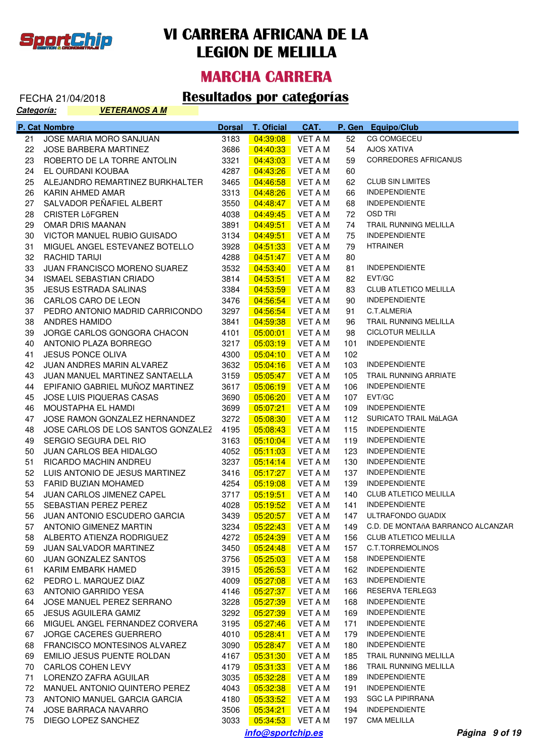

#### **MARCHA CARRERA**

#### FECHA 21/04/2018 **Resultados por categorías**

| Categoría: |               | <b>VETERANOS A M</b>               |               |                   |                |        |                                   |
|------------|---------------|------------------------------------|---------------|-------------------|----------------|--------|-----------------------------------|
|            | P. Cat Nombre |                                    | <b>Dorsal</b> | <b>T. Oficial</b> | CAT.           | P. Gen | <b>Equipo/Club</b>                |
| 21         |               | JOSE MARIA MORO SANJUAN            | 3183          | 04:39:08          | VET A M        | 52     | CG COMGECEU                       |
| 22         |               | <b>JOSE BARBERA MARTINEZ</b>       | 3686          | 04:40:33          | <b>VET A M</b> | 54     | <b>AJOS XATIVA</b>                |
| 23         |               | ROBERTO DE LA TORRE ANTOLIN        | 3321          | 04:43:03          | <b>VET A M</b> | 59     | CORREDORES AFRICANUS              |
| 24         |               | EL OURDANI KOUBAA                  | 4287          | 04:43:26          | <b>VET A M</b> | 60     |                                   |
| 25         |               | ALEJANDRO REMARTINEZ BURKHALTER    | 3465          | 04:46:58          | <b>VET A M</b> | 62     | <b>CLUB SIN LIMITES</b>           |
| 26         |               | KARIN AHMED AMAR                   | 3313          | 04:48:26          | <b>VET A M</b> | 66     | <b>INDEPENDIENTE</b>              |
| 27         |               | SALVADOR PEÑAFIEL ALBERT           | 3550          | 04:48:47          | <b>VET A M</b> | 68     | <b>INDEPENDIENTE</b>              |
| 28         |               | <b>CRISTER LÖFGREN</b>             | 4038          | 04:49:45          | VET A M        | 72     | <b>OSD TRI</b>                    |
| 29         |               | OMAR DRIS MAANAN                   | 3891          | 04:49:51          | <b>VET A M</b> | 74     | TRAIL RUNNING MELILLA             |
| 30         |               | VICTOR MANUEL RUBIO GUISADO        | 3134          | 04:49:51          | <b>VET A M</b> | 75     | <b>INDEPENDIENTE</b>              |
| 31         |               | MIGUEL ANGEL ESTEVANEZ BOTELLO     | 3928          | 04:51:33          | <b>VET A M</b> | 79     | <b>HTRAINER</b>                   |
| 32         |               | <b>RACHID TARIJI</b>               | 4288          | 04:51:47          | <b>VET A M</b> | 80     |                                   |
| 33         |               | JUAN FRANCISCO MORENO SUAREZ       | 3532          | 04:53:40          | <b>VET A M</b> | 81     | <b>INDEPENDIENTE</b>              |
| 34         |               | <b>ISMAEL SEBASTIAN CRIADO</b>     | 3814          | 04:53:51          | <b>VET A M</b> | 82     | EVT/GC                            |
| 35         |               | <b>JESUS ESTRADA SALINAS</b>       | 3384          | 04:53:59          | <b>VET A M</b> | 83     | CLUB ATLETICO MELILLA             |
| 36         |               | CARLOS CARO DE LEON                | 3476          | 04:56:54          | <b>VET A M</b> | 90     | <b>INDEPENDIENTE</b>              |
| 37         |               | PEDRO ANTONIO MADRID CARRICONDO    | 3297          | 04:56:54          | <b>VET A M</b> | 91     | C.T.ALMERÍA                       |
| 38         |               | ANDRES HAMIDO                      | 3841          | 04:59:38          | VET A M        | 96     | TRAIL RUNNING MELILLA             |
| 39         |               | JORGE CARLOS GONGORA CHACON        | 4101          | 05:00:01          | VET A M        | 98     | <b>CICLOTUR MELILLA</b>           |
| 40         |               | ANTONIO PLAZA BORREGO              | 3217          | 05:03:19          | <b>VET A M</b> | 101    | <b>INDEPENDIENTE</b>              |
| 41         |               | <b>JESUS PONCE OLIVA</b>           | 4300          | 05:04:10          | VET A M        | 102    |                                   |
| 42         |               | JUAN ANDRES MARIN ALVAREZ          | 3632          | 05:04:16          | VET A M        | 103    | <b>INDEPENDIENTE</b>              |
| 43         |               | JUAN MANUEL MARTINEZ SANTAELLA     | 3159          | 05:05:47          | <b>VET A M</b> | 105    | TRAIL RUNNING ARRIATE             |
| 44         |               | EPIFANIO GABRIEL MUÑOZ MARTINEZ    | 3617          | 05:06:19          | <b>VET A M</b> | 106    | <b>INDEPENDIENTE</b>              |
| 45         |               | JOSE LUIS PIQUERAS CASAS           | 3690          | 05:06:20          | VET A M        | 107    | EVT/GC                            |
| 46         |               | MOUSTAPHA EL HAMDI                 | 3699          | 05:07:21          | VET A M        | 109    | <b>INDEPENDIENTE</b>              |
| 47         |               | JOSE RAMON GONZALEZ HERNANDEZ      | 3272          | 05:08:30          | VET A M        | 112    | SURICATO TRAIL MáLAGA             |
| 48         |               | JOSE CARLOS DE LOS SANTOS GONZALEZ | 4195          | 05:08:43          | VET A M        | 115    | <b>INDEPENDIENTE</b>              |
| 49         |               | SERGIO SEGURA DEL RIO              | 3163          | 05:10:04          | VET A M        | 119    | <b>INDEPENDIENTE</b>              |
| 50         |               | JUAN CARLOS BEA HIDALGO            | 4052          | 05:11:03          | VET A M        | 123    | <b>INDEPENDIENTE</b>              |
| 51         |               | <b>RICARDO MACHIN ANDREU</b>       | 3237          | 05:14:14          | VET A M        | 130    | <b>INDEPENDIENTE</b>              |
| 52         |               | LUIS ANTONIO DE JESUS MARTINEZ     | 3416          | 05:17:27          | VET A M        | 137    | <b>INDEPENDIENTE</b>              |
| 53         |               | FARID BUZIAN MOHAMED               | 4254          | 05:19:08          | <b>VET A M</b> | 139    | <b>INDEPENDIENTE</b>              |
| 54         |               | JUAN CARLOS JIMENEZ CAPEL          | 3717          | 05:19:51          | <b>VET A M</b> | 140    | CLUB ATLETICO MELILLA             |
| 55         |               | SEBASTIAN PEREZ PEREZ              |               |                   |                |        | 141 INDEPENDIENTE                 |
| 56         |               | JUAN ANTONIO ESCUDERO GARCIA       | 3439          | 05:20:57          | VET A M        |        | 147 ULTRAFONDO GUADIX             |
| 57         |               | <b>ANTONIO GIMENEZ MARTIN</b>      | 3234          | 05:22:43          | VET A M        | 149    | C.D. DE MONTAñA BARRANCO ALCANZAR |
| 58         |               | ALBERTO ATIENZA RODRIGUEZ          | 4272          | 05:24:39          | VET A M        | 156    | <b>CLUB ATLETICO MELILLA</b>      |
| 59         |               | <b>JUAN SALVADOR MARTINEZ</b>      | 3450          | 05:24:48          | VET A M        | 157    | C.T.TORREMOLINOS                  |
| 60         |               | JUAN GONZALEZ SANTOS               | 3756          | 05:25:03          | VET A M        | 158    | <b>INDEPENDIENTE</b>              |
| 61         |               | KARIM EMBARK HAMED                 | 3915          | 05:26:53          | VET A M        | 162    | <b>INDEPENDIENTE</b>              |
| 62         |               | PEDRO L. MARQUEZ DIAZ              | 4009          | 05:27:08          | VET A M        | 163    | <b>INDEPENDIENTE</b>              |
| 63         |               | ANTONIO GARRIDO YESA               | 4146          | 05:27:37          | VET A M        | 166    | RESERVA TERLEG3                   |
| 64         |               | JOSE MANUEL PEREZ SERRANO          | 3228          | 05:27:39          | VET A M        | 168    | <b>INDEPENDIENTE</b>              |
| 65         |               | <b>JESUS AGUILERA GAMIZ</b>        | 3292          | 05:27:39          | VET A M        | 169    | <b>INDEPENDIENTE</b>              |
| 66         |               | MIGUEL ANGEL FERNANDEZ CORVERA     | 3195          | 05:27:46          | VET A M        | 171    | <b>INDEPENDIENTE</b>              |
| 67         |               | <b>JORGE CACERES GUERRERO</b>      | 4010          | 05:28:41          | VET A M        | 179    | <b>INDEPENDIENTE</b>              |
| 68         |               | FRANCISCO MONTESINOS ALVAREZ       | 3090          | 05:28:47          | VET A M        | 180    | <b>INDEPENDIENTE</b>              |
| 69         |               | EMILIO JESUS PUENTE ROLDAN         | 4167          | 05:31:30          | VET A M        | 185    | TRAIL RUNNING MELILLA             |
| 70         |               | CARLOS COHEN LEVY                  | 4179          | 05:31:33          | VET A M        | 186    | TRAIL RUNNING MELILLA             |
| 71         |               | LORENZO ZAFRA AGUILAR              | 3035          | 05:32:28          | VET A M        | 189    | <b>INDEPENDIENTE</b>              |
| 72         |               | MANUEL ANTONIO QUINTERO PEREZ      | 4043          | 05:32:38          | VET A M        | 191    | <b>INDEPENDIENTE</b>              |
| 73         |               | ANTONIO MANUEL GARCIA GARCIA       | 4180          | 05:33:52          | VET A M        | 193    | <b>SGC LA PIPIRRANA</b>           |
| 74         |               | <b>JOSE BARRACA NAVARRO</b>        | 3506          | 05:34:21          | VET A M        | 194    | <b>INDEPENDIENTE</b>              |
| 75         |               | DIEGO LOPEZ SANCHEZ                | 3033          | 05:34:53          | VET A M        | 197    | <b>CMA MELILLA</b>                |
|            |               |                                    |               |                   |                |        |                                   |

**info@sportchip.es Página 9 of 19**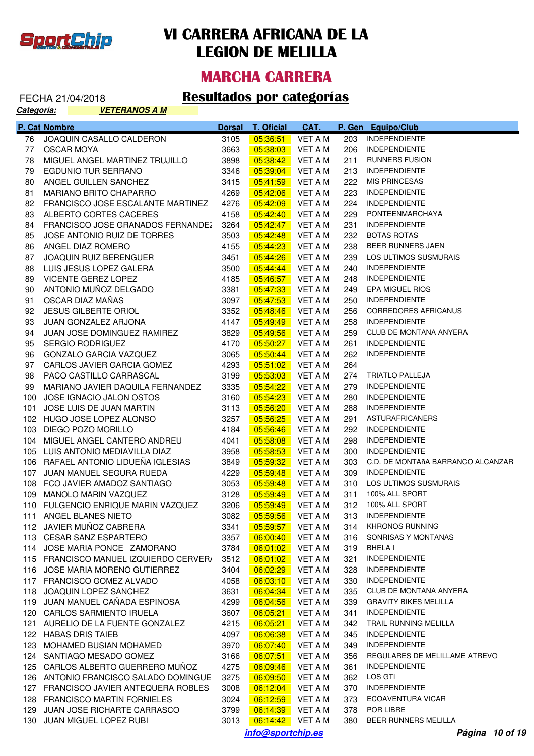

#### **MARCHA CARRERA**

| FEURA ZIJUHZUTO |                      |  |
|-----------------|----------------------|--|
| Categoría:      | <b>VETERANOS A M</b> |  |

|     | P. Cat Nombre                                                | <b>Dorsal</b> | T. Oficial           | CAT.               |            | P. Gen Equipo/Club                           |
|-----|--------------------------------------------------------------|---------------|----------------------|--------------------|------------|----------------------------------------------|
| 76  | JOAQUIN CASALLO CALDERON                                     | 3105          | 05:36:51             | <b>VET A M</b>     | 203        | <b>INDEPENDIENTE</b>                         |
| 77  | <b>OSCAR MOYA</b>                                            | 3663          | 05:38:03             | VET A M            | 206        | <b>INDEPENDIENTE</b>                         |
| 78  | MIGUEL ANGEL MARTINEZ TRUJILLO                               | 3898          | 05:38:42             | VET A M            | 211        | <b>RUNNERS FUSION</b>                        |
| 79  | EGDUNIO TUR SERRANO                                          | 3346          | 05:39:04             | VET A M            | 213        | <b>INDEPENDIENTE</b>                         |
| 80  | ANGEL GUILLEN SANCHEZ                                        | 3415          | 05:41:59             | VET A M            | 222        | <b>MIS PRINCESAS</b>                         |
| 81  | MARIANO BRITO CHAPARRO                                       | 4269          | 05:42:06             | VET A M            | 223        | <b>INDEPENDIENTE</b>                         |
| 82  | FRANCISCO JOSE ESCALANTE MARTINEZ                            | 4276          | 05:42:09             | VET A M            | 224        | <b>INDEPENDIENTE</b>                         |
| 83  | ALBERTO CORTES CACERES                                       | 4158          | 05:42:40             | VET A M            | 229        | PONTEENMARCHAYA                              |
| 84  | FRANCISCO JOSE GRANADOS FERNANDEZ                            | 3264          | 05:42:47             | VET A M            | 231        | <b>INDEPENDIENTE</b>                         |
| 85  | JOSE ANTONIO RUIZ DE TORRES                                  | 3503          | 05:42:48             | VET A M            | 232        | <b>BOTAS ROTAS</b>                           |
| 86  | ANGEL DIAZ ROMERO                                            | 4155          | 05:44:23             | VET A M            | 238        | BEER RUNNERS JAEN                            |
| 87  | JOAQUIN RUIZ BERENGUER                                       | 3451          | 05:44:26             | VET A M            | 239        | LOS ULTIMOS SUSMURAIS                        |
| 88  | LUIS JESUS LOPEZ GALERA                                      | 3500          | 05:44:44             | VET A M            | 240        | <b>INDEPENDIENTE</b>                         |
| 89  | VICENTE GEREZ LOPEZ                                          | 4185          | 05:46:57             | VET A M            | 248        | <b>INDEPENDIENTE</b>                         |
| 90  | ANTONIO MUÑOZ DELGADO                                        | 3381          | 05:47:33             | VET A M            | 249        | EPA MIGUEL RIOS                              |
| 91  | OSCAR DIAZ MAÑAS                                             | 3097          | 05:47:53             | VET A M            | 250        | <b>INDEPENDIENTE</b>                         |
| 92  | JESUS GILBERTE ORIOL                                         | 3352          | 05:48:46             | VET A M            | 256        | <b>CORREDORES AFRICANUS</b>                  |
| 93  | JUAN GONZALEZ ARJONA                                         | 4147          | 05:49:49             | VET A M            | 258        | <b>INDEPENDIENTE</b>                         |
| 94  | JUAN JOSE DOMINGUEZ RAMIREZ                                  | 3829          | 05:49:56             | VET A M            | 259        | <b>CLUB DE MONTANA ANYERA</b>                |
| 95  | <b>SERGIO RODRIGUEZ</b>                                      | 4170          | 05:50:27             | VET A M            | 261        | <b>INDEPENDIENTE</b>                         |
| 96  | GONZALO GARCIA VAZQUEZ                                       | 3065          | 05:50:44             | VET A M            | 262        | <b>INDEPENDIENTE</b>                         |
| 97  | CARLOS JAVIER GARCIA GOMEZ                                   | 4293          | 05:51:02             | VET A M            | 264        |                                              |
| 98  | PACO CASTILLO CARRASCAL                                      | 3199          | 05:53:03             | VET A M            | 274        | <b>TRIATLO PALLEJA</b>                       |
| 99  | MARIANO JAVIER DAQUILA FERNANDEZ                             | 3335          | 05:54:22             | VET A M            | 279        | <b>INDEPENDIENTE</b>                         |
|     | 100 JOSE IGNACIO JALON OSTOS                                 | 3160          | 05:54:23             | VET A M            | 280        | <b>INDEPENDIENTE</b>                         |
| 101 | JOSE LUIS DE JUAN MARTIN                                     | 3113          | 05:56:20             | VET A M            | 288        | <b>INDEPENDIENTE</b>                         |
|     | 102 HUGO JOSE LOPEZ ALONSO                                   | 3257          | 05:56:25             | VET A M            | 291        | <b>ASTURAFRICANERS</b>                       |
| 103 | DIEGO POZO MORILLO                                           | 4184          | 05:56:46             | VET A M            | 292        | <b>INDEPENDIENTE</b>                         |
|     | 104 MIGUEL ANGEL CANTERO ANDREU                              | 4041          | 05:58:08             | VET A M            | 298        | <b>INDEPENDIENTE</b>                         |
|     | 105 LUIS ANTONIO MEDIAVILLA DIAZ                             | 3958          | 05:58:53             | VET A M            | 300        | <b>INDEPENDIENTE</b>                         |
|     | 106 RAFAEL ANTONIO LIDUEÑA IGLESIAS                          | 3849          | 05:59:32             | VET A M            | 303        | C.D. DE MONTAñA BARRANCO ALCANZAR            |
|     | 107 JUAN MANUEL SEGURA RUEDA                                 | 4229          | 05:59:48             | VET A M            | 309        | <b>INDEPENDIENTE</b>                         |
|     | 108 FCO JAVIER AMADOZ SANTIAGO                               | 3053          | 05:59:48             | VET A M            | 310        | <b>LOS ULTIMOS SUSMURAIS</b>                 |
|     | 109 MANOLO MARIN VAZQUEZ                                     | 3128          | 05:59:49             | VET A M            | 311        | 100% ALL SPORT                               |
|     | 110 FULGENCIO ENRIQUE MARIN VAZQUEZ                          | 3206          | 05:59:49             | VET A M            |            | 312 100% ALL SPORT                           |
|     | 111 ANGEL BLANES NIETO                                       | 3082          | 05:59:56             | VET A M            |            | 313 INDEPENDIENTE                            |
|     | 112 JAVIER MUNOZ CABRERA                                     | 3341          | 05:59:57             | VET A M            | 314        | <b>KHRONOS RUNNING</b>                       |
|     | 113 CESAR SANZ ESPARTERO                                     | 3357          | 06:00:40             | <b>VET A M</b>     | 316        | SONRISAS Y MONTANAS                          |
|     | 114 JOSE MARIA PONCE ZAMORANO                                | 3784          | 06:01:02             | <b>VET A M</b>     | 319        | BHELA I                                      |
|     | 115 FRANCISCO MANUEL IZQUIERDO CERVER                        | 3512          | 06:01:02             | <b>VET A M</b>     | 321        | <b>INDEPENDIENTE</b><br><b>INDEPENDIENTE</b> |
|     | 116 JOSE MARIA MORENO GUTIERREZ                              | 3404          | 06:02:29             | VET A M            | 328        | <b>INDEPENDIENTE</b>                         |
|     | 117 FRANCISCO GOMEZ ALVADO                                   | 4058          | 06:03:10             | VET A M            | 330        | <b>CLUB DE MONTANA ANYERA</b>                |
|     | 118 JOAQUIN LOPEZ SANCHEZ<br>119 JUAN MANUEL CAÑADA ESPINOSA | 3631          | 06:04:34             | VET A M            | 335        | <b>GRAVITY BIKES MELILLA</b>                 |
|     | 120 CARLOS SARMIENTO IRUELA                                  | 4299          | 06:04:56             | VET A M            | 339        | <b>INDEPENDIENTE</b>                         |
|     |                                                              | 3607          | 06:05:21             | VET A M            | 341        | TRAIL RUNNING MELILLA                        |
| 121 | AURELIO DE LA FUENTE GONZALEZ                                | 4215          | 06:05:21             | <b>VET A M</b>     | 342        | <b>INDEPENDIENTE</b>                         |
|     | 122 HABAS DRIS TAIEB                                         | 4097          | 06:06:38             | VET A M            | 345        | <b>INDEPENDIENTE</b>                         |
| 123 | MOHAMED BUSIAN MOHAMED<br>124 SANTIAGO MESADO GOMEZ          | 3970<br>3166  | 06:07:40             | VET A M<br>VET A M | 349<br>356 | REGULARES DE MELILLAME ATREVO                |
|     | 125 CARLOS ALBERTO GUERRERO MUÑOZ                            | 4275          | 06:07:51             | <b>VET A M</b>     | 361        | <b>INDEPENDIENTE</b>                         |
|     | 126 ANTONIO FRANCISCO SALADO DOMINGUE                        | 3275          | 06:09:46             | VET A M            | 362        | LOS GTI                                      |
|     | 127 FRANCISCO JAVIER ANTEQUERA ROBLES                        | 3008          | 06:09:50<br>06:12:04 | VET A M            | 370        | <b>INDEPENDIENTE</b>                         |
|     | 128 FRANCISCO MARTIN FORNIELES                               | 3024          | 06:12:59             | VET A M            | 373        | ECOAVENTURA VICAR                            |
| 129 | JUAN JOSE RICHARTE CARRASCO                                  | 3799          | 06:14:39             | VET A M            | 378        | POR LIBRE                                    |
| 130 | JUAN MIGUEL LOPEZ RUBI                                       | 3013          | 06:14:42             | VET A M            | 380        | <b>BEER RUNNERS MELILLA</b>                  |
|     |                                                              |               |                      |                    |            |                                              |
|     |                                                              |               | info@sportchip.es    |                    |            | Página 10 of 19                              |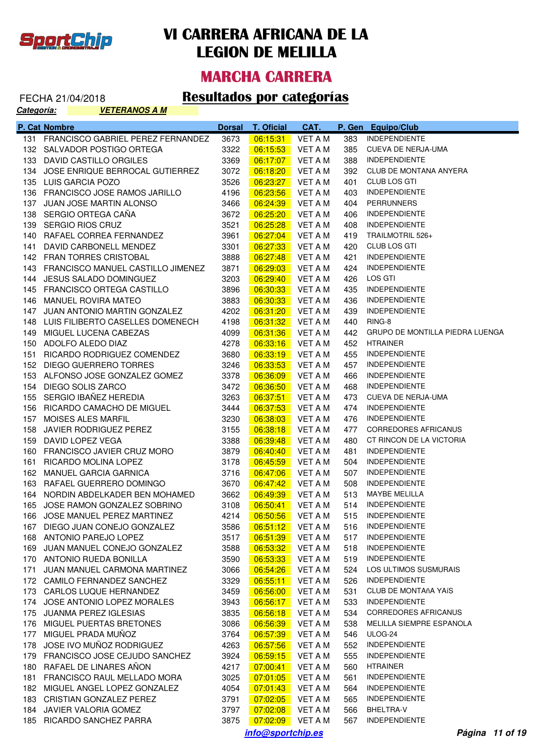

#### **MARCHA CARRERA**

#### FECHA 21/04/2018 **Resultados por categorías**

**Categoría: VETERANOS A M**

| INDEPENDIENTE<br>131 FRANCISCO GABRIEL PEREZ FERNANDEZ<br>3673<br>06:15:31<br><b>VET A M</b><br>383<br>CUEVA DE NERJA-UMA<br>132 SALVADOR POSTIGO ORTEGA<br>3322<br>06:15:53<br>385<br>VET A M<br><b>INDEPENDIENTE</b><br>133 DAVID CASTILLO ORGILES<br>3369<br>388<br> 06:17:07 <br>VET A M<br><b>CLUB DE MONTANA ANYERA</b><br>134 JOSE ENRIQUE BERROCAL GUTIERREZ<br>3072<br>06:18:20<br>VET A M<br>392<br><b>CLUB LOS GTI</b><br>3526<br>06:23:27<br>135 LUIS GARCIA POZO<br>VET A M<br>401<br><b>INDEPENDIENTE</b><br>136 FRANCISCO JOSE RAMOS JARILLO<br>4196<br>06:23:56<br>VET A M<br>403<br><b>PERRUNNERS</b><br>137 JUAN JOSE MARTIN ALONSO<br>3466<br>06:24:39<br>VET A M<br>404<br><b>INDEPENDIENTE</b><br>138 SERGIO ORTEGA CAÑA<br>3672<br>06:25:20<br>VET A M<br>406<br><b>INDEPENDIENTE</b><br>06:25:28<br>139 SERGIO RIOS CRUZ<br>3521<br>VET A M<br>408<br>TRAILMOTRIL 526+<br>140 RAFAEL CORREA FERNANDEZ<br>3961<br>06:27:04<br>VET A M<br>419<br>CLUB LOS GTI<br>06:27:33<br>141 DAVID CARBONELL MENDEZ<br>3301<br>VET A M<br>420<br><b>INDEPENDIENTE</b><br>06:27:48<br>142 FRAN TORRES CRISTOBAL<br>3888<br>VET A M<br>421<br><b>INDEPENDIENTE</b><br>06:29:03<br>143 FRANCISCO MANUEL CASTILLO JIMENEZ<br>3871<br>VET A M<br>424<br>LOS GTI<br>06:29:40<br>144 JESUS SALADO DOMINGUEZ<br>3203<br>VET A M<br>426<br><b>INDEPENDIENTE</b><br>06:30:33<br>145 FRANCISCO ORTEGA CASTILLO<br>3896<br>VET A M<br>435<br><b>INDEPENDIENTE</b><br>3883<br>146 MANUEL ROVIRA MATEO<br>06:30:33<br>VET A M<br>436<br><b>INDEPENDIENTE</b><br>06:31:20<br>147 JUAN ANTONIO MARTIN GONZALEZ<br>4202<br>VET A M<br>439<br>RING-8<br>06:31:32<br>148 LUIS FILIBERTO CASELLES DOMENECH<br>4198<br>VET A M<br>440<br>GRUPO DE MONTILLA PIEDRA LUENGA<br>06:31:36<br>149 MIGUEL LUCENA CABEZAS<br>4099<br>VET A M<br>442<br>4278<br>06:33:16<br>150 ADOLFO ALEDO DIAZ<br>VET A M<br>452 HTRAINER<br>06:33:19<br><b>INDEPENDIENTE</b><br>151 RICARDO RODRIGUEZ COMENDEZ<br>3680<br>VET A M<br>455<br>06:33:53<br><b>INDEPENDIENTE</b><br>152 DIEGO GUERRERO TORRES<br>3246<br>VET A M<br>457<br>3378<br>153 ALFONSO JOSE GONZALEZ GOMEZ<br>06:36:09<br>VET A M<br>466<br><b>INDEPENDIENTE</b><br>154 DIEGO SOLIS ZARCO<br>3472<br><b>INDEPENDIENTE</b><br>06:36:50<br>VET A M<br>468<br>155 SERGIO IBAÑEZ HEREDIA<br>3263<br>CUEVA DE NERJA-UMA<br>06:37:51<br>VET A M<br>473<br>06:37:53<br><b>INDEPENDIENTE</b><br>156 RICARDO CAMACHO DE MIGUEL<br>3444<br>VET A M<br>474<br>06:38:03<br><b>INDEPENDIENTE</b><br>157 MOISES ALES MARFIL<br>3230<br>VET A M<br>476<br><b>CORREDORES AFRICANUS</b><br>158 JAVIER RODRIGUEZ PEREZ<br>3155<br>06:38:18<br>VET A M<br>477<br>3388<br>CT RINCON DE LA VICTORIA<br>159 DAVID LOPEZ VEGA<br>06:39:48<br>VET A M<br>480<br>3879<br>160 FRANCISCO JAVIER CRUZ MORO<br>06:40:40<br>VET A M<br>481<br><b>INDEPENDIENTE</b><br><b>INDEPENDIENTE</b><br>161 RICARDO MOLINA LOPEZ<br>3178<br>06:45:59<br>VET A M<br>504<br>3716<br><b>INDEPENDIENTE</b><br>162 MANUEL GARCIA GARNICA<br>06:47:06<br>VET A M<br>507<br>163 RAFAEL GUERRERO DOMINGO<br>3670<br>06:47:42<br>VET A M<br>508<br><b>INDEPENDIENTE</b><br>164 NORDIN ABDELKADER BEN MOHAMED<br>3662<br>06:49:39<br>VET A M<br>513<br>MAYBE MELILLA<br>514 INDEPENDIENTE<br>165 JOSE RAMON GONZALEZ SOBRINO<br>3108<br>06:50:41<br>VET A M<br>515 INDEPENDIENTE<br>166 JOSE MANUEL PEREZ MARTINEZ<br>4214<br>06:50:56<br>VET A M<br>DIEGO JUAN CONEJO GONZALEZ<br><b>VET A M</b><br>3586<br>06:51:12<br><b>INDEPENDIENTE</b><br>167<br>516<br>168 ANTONIO PAREJO LOPEZ<br>3517<br><b>VET A M</b><br><b>INDEPENDIENTE</b><br>06:51:39<br>517<br>JUAN MANUEL CONEJO GONZALEZ<br>3588<br>06:53:32<br><b>VET A M</b><br><b>INDEPENDIENTE</b><br>169<br>518<br>170 ANTONIO RUEDA BONILLA<br>06:53:33<br>VET A M<br><b>INDEPENDIENTE</b><br>3590<br>519<br>JUAN MANUEL CARMONA MARTINEZ<br>06:54:26<br><b>VET A M</b><br>LOS ULTIMOS SUSMURAIS<br>171<br>3066<br>524<br>3329<br>06:55:11<br>VET A M<br><b>INDEPENDIENTE</b><br>172 CAMILO FERNANDEZ SANCHEZ<br>526<br>CARLOS LUQUE HERNANDEZ<br>06:56:00<br>VET A M<br>CLUB DE MONTAñA YAÍS<br>173<br>3459<br>531<br>JOSE ANTONIO LOPEZ MORALES<br>VET A M<br>533<br><b>INDEPENDIENTE</b><br>174<br>3943<br>06:56:17<br>JUANMA PEREZ IGLESIAS<br>06:56:18<br>VET A M<br><b>CORREDORES AFRICANUS</b><br>175<br>3835<br>534<br>176 MIGUEL PUERTAS BRETONES<br>06:56:39<br>VET A M<br>MELILLA SIEMPRE ESPANOLA<br>3086<br>538<br>MIGUEL PRADA MUÑOZ<br>ULOG-24<br>177<br>3764<br>06:57:39<br>VET A M<br>546<br>JOSE IVO MUÑOZ RODRIGUEZ<br>178<br>4263<br>06:57:56<br><b>INDEPENDIENTE</b><br>VET A M<br>552<br>179 FRANCISCO JOSE CEJUDO SANCHEZ<br>06:59:15<br>VET A M<br><b>INDEPENDIENTE</b><br>3924<br>555<br>RAFAEL DE LINARES AÑON<br>VET A M<br><b>HTRAINER</b><br>180<br>4217<br>07:00:41<br>560<br>FRANCISCO RAUL MELLADO MORA<br>3025<br>VET A M<br><b>INDEPENDIENTE</b><br>181<br>07:01:05<br>561<br>182 MIGUEL ANGEL LOPEZ GONZALEZ<br>4054<br>VET A M<br><b>INDEPENDIENTE</b><br>07:01:43<br>564<br>CRISTIAN GONZALEZ PEREZ<br>VET A M<br><b>INDEPENDIENTE</b><br>183<br>3791<br>07:02:05<br>565<br>JAVIER VALORIA GOMEZ<br>VET A M<br>BHELTRA-V<br>184<br>3797<br>07:02:08<br>566<br>RICARDO SANCHEZ PARRA<br><b>INDEPENDIENTE</b><br>185<br>3875<br>07:02:09<br>VET A M<br>567<br>info@sportchip.es | P. Cat Nombre | <b>Dorsal</b> | <b>T. Oficial</b> | CAT. | P. Gen Equipo/Club |
|--------------------------------------------------------------------------------------------------------------------------------------------------------------------------------------------------------------------------------------------------------------------------------------------------------------------------------------------------------------------------------------------------------------------------------------------------------------------------------------------------------------------------------------------------------------------------------------------------------------------------------------------------------------------------------------------------------------------------------------------------------------------------------------------------------------------------------------------------------------------------------------------------------------------------------------------------------------------------------------------------------------------------------------------------------------------------------------------------------------------------------------------------------------------------------------------------------------------------------------------------------------------------------------------------------------------------------------------------------------------------------------------------------------------------------------------------------------------------------------------------------------------------------------------------------------------------------------------------------------------------------------------------------------------------------------------------------------------------------------------------------------------------------------------------------------------------------------------------------------------------------------------------------------------------------------------------------------------------------------------------------------------------------------------------------------------------------------------------------------------------------------------------------------------------------------------------------------------------------------------------------------------------------------------------------------------------------------------------------------------------------------------------------------------------------------------------------------------------------------------------------------------------------------------------------------------------------------------------------------------------------------------------------------------------------------------------------------------------------------------------------------------------------------------------------------------------------------------------------------------------------------------------------------------------------------------------------------------------------------------------------------------------------------------------------------------------------------------------------------------------------------------------------------------------------------------------------------------------------------------------------------------------------------------------------------------------------------------------------------------------------------------------------------------------------------------------------------------------------------------------------------------------------------------------------------------------------------------------------------------------------------------------------------------------------------------------------------------------------------------------------------------------------------------------------------------------------------------------------------------------------------------------------------------------------------------------------------------------------------------------------------------------------------------------------------------------------------------------------------------------------------------------------------------------------------------------------------------------------------------------------------------------------------------------------------------------------------------------------------------------------------------------------------------------------------------------------------------------------------------------------------------------------------------------------------------------------------------------------------------------------------------------------------------------------------------------------------------------------------------------------------------------------------------------------------------------------------------------------------------------------------------------------------------------------------------------------------------------------------------------------------------------------------------------------------------------------------------------------------------------------------------------------------------------------------------------------------------------------------------------------------------------------------------------------------------------------------------------------------|---------------|---------------|-------------------|------|--------------------|
|                                                                                                                                                                                                                                                                                                                                                                                                                                                                                                                                                                                                                                                                                                                                                                                                                                                                                                                                                                                                                                                                                                                                                                                                                                                                                                                                                                                                                                                                                                                                                                                                                                                                                                                                                                                                                                                                                                                                                                                                                                                                                                                                                                                                                                                                                                                                                                                                                                                                                                                                                                                                                                                                                                                                                                                                                                                                                                                                                                                                                                                                                                                                                                                                                                                                                                                                                                                                                                                                                                                                                                                                                                                                                                                                                                                                                                                                                                                                                                                                                                                                                                                                                                                                                                                                                                                                                                                                                                                                                                                                                                                                                                                                                                                                                                                                                                                                                                                                                                                                                                                                                                                                                                                                                                                                                                                                                              |               |               |                   |      |                    |
|                                                                                                                                                                                                                                                                                                                                                                                                                                                                                                                                                                                                                                                                                                                                                                                                                                                                                                                                                                                                                                                                                                                                                                                                                                                                                                                                                                                                                                                                                                                                                                                                                                                                                                                                                                                                                                                                                                                                                                                                                                                                                                                                                                                                                                                                                                                                                                                                                                                                                                                                                                                                                                                                                                                                                                                                                                                                                                                                                                                                                                                                                                                                                                                                                                                                                                                                                                                                                                                                                                                                                                                                                                                                                                                                                                                                                                                                                                                                                                                                                                                                                                                                                                                                                                                                                                                                                                                                                                                                                                                                                                                                                                                                                                                                                                                                                                                                                                                                                                                                                                                                                                                                                                                                                                                                                                                                                              |               |               |                   |      |                    |
|                                                                                                                                                                                                                                                                                                                                                                                                                                                                                                                                                                                                                                                                                                                                                                                                                                                                                                                                                                                                                                                                                                                                                                                                                                                                                                                                                                                                                                                                                                                                                                                                                                                                                                                                                                                                                                                                                                                                                                                                                                                                                                                                                                                                                                                                                                                                                                                                                                                                                                                                                                                                                                                                                                                                                                                                                                                                                                                                                                                                                                                                                                                                                                                                                                                                                                                                                                                                                                                                                                                                                                                                                                                                                                                                                                                                                                                                                                                                                                                                                                                                                                                                                                                                                                                                                                                                                                                                                                                                                                                                                                                                                                                                                                                                                                                                                                                                                                                                                                                                                                                                                                                                                                                                                                                                                                                                                              |               |               |                   |      |                    |
|                                                                                                                                                                                                                                                                                                                                                                                                                                                                                                                                                                                                                                                                                                                                                                                                                                                                                                                                                                                                                                                                                                                                                                                                                                                                                                                                                                                                                                                                                                                                                                                                                                                                                                                                                                                                                                                                                                                                                                                                                                                                                                                                                                                                                                                                                                                                                                                                                                                                                                                                                                                                                                                                                                                                                                                                                                                                                                                                                                                                                                                                                                                                                                                                                                                                                                                                                                                                                                                                                                                                                                                                                                                                                                                                                                                                                                                                                                                                                                                                                                                                                                                                                                                                                                                                                                                                                                                                                                                                                                                                                                                                                                                                                                                                                                                                                                                                                                                                                                                                                                                                                                                                                                                                                                                                                                                                                              |               |               |                   |      |                    |
|                                                                                                                                                                                                                                                                                                                                                                                                                                                                                                                                                                                                                                                                                                                                                                                                                                                                                                                                                                                                                                                                                                                                                                                                                                                                                                                                                                                                                                                                                                                                                                                                                                                                                                                                                                                                                                                                                                                                                                                                                                                                                                                                                                                                                                                                                                                                                                                                                                                                                                                                                                                                                                                                                                                                                                                                                                                                                                                                                                                                                                                                                                                                                                                                                                                                                                                                                                                                                                                                                                                                                                                                                                                                                                                                                                                                                                                                                                                                                                                                                                                                                                                                                                                                                                                                                                                                                                                                                                                                                                                                                                                                                                                                                                                                                                                                                                                                                                                                                                                                                                                                                                                                                                                                                                                                                                                                                              |               |               |                   |      |                    |
|                                                                                                                                                                                                                                                                                                                                                                                                                                                                                                                                                                                                                                                                                                                                                                                                                                                                                                                                                                                                                                                                                                                                                                                                                                                                                                                                                                                                                                                                                                                                                                                                                                                                                                                                                                                                                                                                                                                                                                                                                                                                                                                                                                                                                                                                                                                                                                                                                                                                                                                                                                                                                                                                                                                                                                                                                                                                                                                                                                                                                                                                                                                                                                                                                                                                                                                                                                                                                                                                                                                                                                                                                                                                                                                                                                                                                                                                                                                                                                                                                                                                                                                                                                                                                                                                                                                                                                                                                                                                                                                                                                                                                                                                                                                                                                                                                                                                                                                                                                                                                                                                                                                                                                                                                                                                                                                                                              |               |               |                   |      |                    |
|                                                                                                                                                                                                                                                                                                                                                                                                                                                                                                                                                                                                                                                                                                                                                                                                                                                                                                                                                                                                                                                                                                                                                                                                                                                                                                                                                                                                                                                                                                                                                                                                                                                                                                                                                                                                                                                                                                                                                                                                                                                                                                                                                                                                                                                                                                                                                                                                                                                                                                                                                                                                                                                                                                                                                                                                                                                                                                                                                                                                                                                                                                                                                                                                                                                                                                                                                                                                                                                                                                                                                                                                                                                                                                                                                                                                                                                                                                                                                                                                                                                                                                                                                                                                                                                                                                                                                                                                                                                                                                                                                                                                                                                                                                                                                                                                                                                                                                                                                                                                                                                                                                                                                                                                                                                                                                                                                              |               |               |                   |      |                    |
|                                                                                                                                                                                                                                                                                                                                                                                                                                                                                                                                                                                                                                                                                                                                                                                                                                                                                                                                                                                                                                                                                                                                                                                                                                                                                                                                                                                                                                                                                                                                                                                                                                                                                                                                                                                                                                                                                                                                                                                                                                                                                                                                                                                                                                                                                                                                                                                                                                                                                                                                                                                                                                                                                                                                                                                                                                                                                                                                                                                                                                                                                                                                                                                                                                                                                                                                                                                                                                                                                                                                                                                                                                                                                                                                                                                                                                                                                                                                                                                                                                                                                                                                                                                                                                                                                                                                                                                                                                                                                                                                                                                                                                                                                                                                                                                                                                                                                                                                                                                                                                                                                                                                                                                                                                                                                                                                                              |               |               |                   |      |                    |
|                                                                                                                                                                                                                                                                                                                                                                                                                                                                                                                                                                                                                                                                                                                                                                                                                                                                                                                                                                                                                                                                                                                                                                                                                                                                                                                                                                                                                                                                                                                                                                                                                                                                                                                                                                                                                                                                                                                                                                                                                                                                                                                                                                                                                                                                                                                                                                                                                                                                                                                                                                                                                                                                                                                                                                                                                                                                                                                                                                                                                                                                                                                                                                                                                                                                                                                                                                                                                                                                                                                                                                                                                                                                                                                                                                                                                                                                                                                                                                                                                                                                                                                                                                                                                                                                                                                                                                                                                                                                                                                                                                                                                                                                                                                                                                                                                                                                                                                                                                                                                                                                                                                                                                                                                                                                                                                                                              |               |               |                   |      |                    |
|                                                                                                                                                                                                                                                                                                                                                                                                                                                                                                                                                                                                                                                                                                                                                                                                                                                                                                                                                                                                                                                                                                                                                                                                                                                                                                                                                                                                                                                                                                                                                                                                                                                                                                                                                                                                                                                                                                                                                                                                                                                                                                                                                                                                                                                                                                                                                                                                                                                                                                                                                                                                                                                                                                                                                                                                                                                                                                                                                                                                                                                                                                                                                                                                                                                                                                                                                                                                                                                                                                                                                                                                                                                                                                                                                                                                                                                                                                                                                                                                                                                                                                                                                                                                                                                                                                                                                                                                                                                                                                                                                                                                                                                                                                                                                                                                                                                                                                                                                                                                                                                                                                                                                                                                                                                                                                                                                              |               |               |                   |      |                    |
|                                                                                                                                                                                                                                                                                                                                                                                                                                                                                                                                                                                                                                                                                                                                                                                                                                                                                                                                                                                                                                                                                                                                                                                                                                                                                                                                                                                                                                                                                                                                                                                                                                                                                                                                                                                                                                                                                                                                                                                                                                                                                                                                                                                                                                                                                                                                                                                                                                                                                                                                                                                                                                                                                                                                                                                                                                                                                                                                                                                                                                                                                                                                                                                                                                                                                                                                                                                                                                                                                                                                                                                                                                                                                                                                                                                                                                                                                                                                                                                                                                                                                                                                                                                                                                                                                                                                                                                                                                                                                                                                                                                                                                                                                                                                                                                                                                                                                                                                                                                                                                                                                                                                                                                                                                                                                                                                                              |               |               |                   |      |                    |
|                                                                                                                                                                                                                                                                                                                                                                                                                                                                                                                                                                                                                                                                                                                                                                                                                                                                                                                                                                                                                                                                                                                                                                                                                                                                                                                                                                                                                                                                                                                                                                                                                                                                                                                                                                                                                                                                                                                                                                                                                                                                                                                                                                                                                                                                                                                                                                                                                                                                                                                                                                                                                                                                                                                                                                                                                                                                                                                                                                                                                                                                                                                                                                                                                                                                                                                                                                                                                                                                                                                                                                                                                                                                                                                                                                                                                                                                                                                                                                                                                                                                                                                                                                                                                                                                                                                                                                                                                                                                                                                                                                                                                                                                                                                                                                                                                                                                                                                                                                                                                                                                                                                                                                                                                                                                                                                                                              |               |               |                   |      |                    |
|                                                                                                                                                                                                                                                                                                                                                                                                                                                                                                                                                                                                                                                                                                                                                                                                                                                                                                                                                                                                                                                                                                                                                                                                                                                                                                                                                                                                                                                                                                                                                                                                                                                                                                                                                                                                                                                                                                                                                                                                                                                                                                                                                                                                                                                                                                                                                                                                                                                                                                                                                                                                                                                                                                                                                                                                                                                                                                                                                                                                                                                                                                                                                                                                                                                                                                                                                                                                                                                                                                                                                                                                                                                                                                                                                                                                                                                                                                                                                                                                                                                                                                                                                                                                                                                                                                                                                                                                                                                                                                                                                                                                                                                                                                                                                                                                                                                                                                                                                                                                                                                                                                                                                                                                                                                                                                                                                              |               |               |                   |      |                    |
|                                                                                                                                                                                                                                                                                                                                                                                                                                                                                                                                                                                                                                                                                                                                                                                                                                                                                                                                                                                                                                                                                                                                                                                                                                                                                                                                                                                                                                                                                                                                                                                                                                                                                                                                                                                                                                                                                                                                                                                                                                                                                                                                                                                                                                                                                                                                                                                                                                                                                                                                                                                                                                                                                                                                                                                                                                                                                                                                                                                                                                                                                                                                                                                                                                                                                                                                                                                                                                                                                                                                                                                                                                                                                                                                                                                                                                                                                                                                                                                                                                                                                                                                                                                                                                                                                                                                                                                                                                                                                                                                                                                                                                                                                                                                                                                                                                                                                                                                                                                                                                                                                                                                                                                                                                                                                                                                                              |               |               |                   |      |                    |
|                                                                                                                                                                                                                                                                                                                                                                                                                                                                                                                                                                                                                                                                                                                                                                                                                                                                                                                                                                                                                                                                                                                                                                                                                                                                                                                                                                                                                                                                                                                                                                                                                                                                                                                                                                                                                                                                                                                                                                                                                                                                                                                                                                                                                                                                                                                                                                                                                                                                                                                                                                                                                                                                                                                                                                                                                                                                                                                                                                                                                                                                                                                                                                                                                                                                                                                                                                                                                                                                                                                                                                                                                                                                                                                                                                                                                                                                                                                                                                                                                                                                                                                                                                                                                                                                                                                                                                                                                                                                                                                                                                                                                                                                                                                                                                                                                                                                                                                                                                                                                                                                                                                                                                                                                                                                                                                                                              |               |               |                   |      |                    |
|                                                                                                                                                                                                                                                                                                                                                                                                                                                                                                                                                                                                                                                                                                                                                                                                                                                                                                                                                                                                                                                                                                                                                                                                                                                                                                                                                                                                                                                                                                                                                                                                                                                                                                                                                                                                                                                                                                                                                                                                                                                                                                                                                                                                                                                                                                                                                                                                                                                                                                                                                                                                                                                                                                                                                                                                                                                                                                                                                                                                                                                                                                                                                                                                                                                                                                                                                                                                                                                                                                                                                                                                                                                                                                                                                                                                                                                                                                                                                                                                                                                                                                                                                                                                                                                                                                                                                                                                                                                                                                                                                                                                                                                                                                                                                                                                                                                                                                                                                                                                                                                                                                                                                                                                                                                                                                                                                              |               |               |                   |      |                    |
|                                                                                                                                                                                                                                                                                                                                                                                                                                                                                                                                                                                                                                                                                                                                                                                                                                                                                                                                                                                                                                                                                                                                                                                                                                                                                                                                                                                                                                                                                                                                                                                                                                                                                                                                                                                                                                                                                                                                                                                                                                                                                                                                                                                                                                                                                                                                                                                                                                                                                                                                                                                                                                                                                                                                                                                                                                                                                                                                                                                                                                                                                                                                                                                                                                                                                                                                                                                                                                                                                                                                                                                                                                                                                                                                                                                                                                                                                                                                                                                                                                                                                                                                                                                                                                                                                                                                                                                                                                                                                                                                                                                                                                                                                                                                                                                                                                                                                                                                                                                                                                                                                                                                                                                                                                                                                                                                                              |               |               |                   |      |                    |
|                                                                                                                                                                                                                                                                                                                                                                                                                                                                                                                                                                                                                                                                                                                                                                                                                                                                                                                                                                                                                                                                                                                                                                                                                                                                                                                                                                                                                                                                                                                                                                                                                                                                                                                                                                                                                                                                                                                                                                                                                                                                                                                                                                                                                                                                                                                                                                                                                                                                                                                                                                                                                                                                                                                                                                                                                                                                                                                                                                                                                                                                                                                                                                                                                                                                                                                                                                                                                                                                                                                                                                                                                                                                                                                                                                                                                                                                                                                                                                                                                                                                                                                                                                                                                                                                                                                                                                                                                                                                                                                                                                                                                                                                                                                                                                                                                                                                                                                                                                                                                                                                                                                                                                                                                                                                                                                                                              |               |               |                   |      |                    |
|                                                                                                                                                                                                                                                                                                                                                                                                                                                                                                                                                                                                                                                                                                                                                                                                                                                                                                                                                                                                                                                                                                                                                                                                                                                                                                                                                                                                                                                                                                                                                                                                                                                                                                                                                                                                                                                                                                                                                                                                                                                                                                                                                                                                                                                                                                                                                                                                                                                                                                                                                                                                                                                                                                                                                                                                                                                                                                                                                                                                                                                                                                                                                                                                                                                                                                                                                                                                                                                                                                                                                                                                                                                                                                                                                                                                                                                                                                                                                                                                                                                                                                                                                                                                                                                                                                                                                                                                                                                                                                                                                                                                                                                                                                                                                                                                                                                                                                                                                                                                                                                                                                                                                                                                                                                                                                                                                              |               |               |                   |      |                    |
|                                                                                                                                                                                                                                                                                                                                                                                                                                                                                                                                                                                                                                                                                                                                                                                                                                                                                                                                                                                                                                                                                                                                                                                                                                                                                                                                                                                                                                                                                                                                                                                                                                                                                                                                                                                                                                                                                                                                                                                                                                                                                                                                                                                                                                                                                                                                                                                                                                                                                                                                                                                                                                                                                                                                                                                                                                                                                                                                                                                                                                                                                                                                                                                                                                                                                                                                                                                                                                                                                                                                                                                                                                                                                                                                                                                                                                                                                                                                                                                                                                                                                                                                                                                                                                                                                                                                                                                                                                                                                                                                                                                                                                                                                                                                                                                                                                                                                                                                                                                                                                                                                                                                                                                                                                                                                                                                                              |               |               |                   |      |                    |
|                                                                                                                                                                                                                                                                                                                                                                                                                                                                                                                                                                                                                                                                                                                                                                                                                                                                                                                                                                                                                                                                                                                                                                                                                                                                                                                                                                                                                                                                                                                                                                                                                                                                                                                                                                                                                                                                                                                                                                                                                                                                                                                                                                                                                                                                                                                                                                                                                                                                                                                                                                                                                                                                                                                                                                                                                                                                                                                                                                                                                                                                                                                                                                                                                                                                                                                                                                                                                                                                                                                                                                                                                                                                                                                                                                                                                                                                                                                                                                                                                                                                                                                                                                                                                                                                                                                                                                                                                                                                                                                                                                                                                                                                                                                                                                                                                                                                                                                                                                                                                                                                                                                                                                                                                                                                                                                                                              |               |               |                   |      |                    |
|                                                                                                                                                                                                                                                                                                                                                                                                                                                                                                                                                                                                                                                                                                                                                                                                                                                                                                                                                                                                                                                                                                                                                                                                                                                                                                                                                                                                                                                                                                                                                                                                                                                                                                                                                                                                                                                                                                                                                                                                                                                                                                                                                                                                                                                                                                                                                                                                                                                                                                                                                                                                                                                                                                                                                                                                                                                                                                                                                                                                                                                                                                                                                                                                                                                                                                                                                                                                                                                                                                                                                                                                                                                                                                                                                                                                                                                                                                                                                                                                                                                                                                                                                                                                                                                                                                                                                                                                                                                                                                                                                                                                                                                                                                                                                                                                                                                                                                                                                                                                                                                                                                                                                                                                                                                                                                                                                              |               |               |                   |      |                    |
|                                                                                                                                                                                                                                                                                                                                                                                                                                                                                                                                                                                                                                                                                                                                                                                                                                                                                                                                                                                                                                                                                                                                                                                                                                                                                                                                                                                                                                                                                                                                                                                                                                                                                                                                                                                                                                                                                                                                                                                                                                                                                                                                                                                                                                                                                                                                                                                                                                                                                                                                                                                                                                                                                                                                                                                                                                                                                                                                                                                                                                                                                                                                                                                                                                                                                                                                                                                                                                                                                                                                                                                                                                                                                                                                                                                                                                                                                                                                                                                                                                                                                                                                                                                                                                                                                                                                                                                                                                                                                                                                                                                                                                                                                                                                                                                                                                                                                                                                                                                                                                                                                                                                                                                                                                                                                                                                                              |               |               |                   |      |                    |
|                                                                                                                                                                                                                                                                                                                                                                                                                                                                                                                                                                                                                                                                                                                                                                                                                                                                                                                                                                                                                                                                                                                                                                                                                                                                                                                                                                                                                                                                                                                                                                                                                                                                                                                                                                                                                                                                                                                                                                                                                                                                                                                                                                                                                                                                                                                                                                                                                                                                                                                                                                                                                                                                                                                                                                                                                                                                                                                                                                                                                                                                                                                                                                                                                                                                                                                                                                                                                                                                                                                                                                                                                                                                                                                                                                                                                                                                                                                                                                                                                                                                                                                                                                                                                                                                                                                                                                                                                                                                                                                                                                                                                                                                                                                                                                                                                                                                                                                                                                                                                                                                                                                                                                                                                                                                                                                                                              |               |               |                   |      |                    |
|                                                                                                                                                                                                                                                                                                                                                                                                                                                                                                                                                                                                                                                                                                                                                                                                                                                                                                                                                                                                                                                                                                                                                                                                                                                                                                                                                                                                                                                                                                                                                                                                                                                                                                                                                                                                                                                                                                                                                                                                                                                                                                                                                                                                                                                                                                                                                                                                                                                                                                                                                                                                                                                                                                                                                                                                                                                                                                                                                                                                                                                                                                                                                                                                                                                                                                                                                                                                                                                                                                                                                                                                                                                                                                                                                                                                                                                                                                                                                                                                                                                                                                                                                                                                                                                                                                                                                                                                                                                                                                                                                                                                                                                                                                                                                                                                                                                                                                                                                                                                                                                                                                                                                                                                                                                                                                                                                              |               |               |                   |      |                    |
|                                                                                                                                                                                                                                                                                                                                                                                                                                                                                                                                                                                                                                                                                                                                                                                                                                                                                                                                                                                                                                                                                                                                                                                                                                                                                                                                                                                                                                                                                                                                                                                                                                                                                                                                                                                                                                                                                                                                                                                                                                                                                                                                                                                                                                                                                                                                                                                                                                                                                                                                                                                                                                                                                                                                                                                                                                                                                                                                                                                                                                                                                                                                                                                                                                                                                                                                                                                                                                                                                                                                                                                                                                                                                                                                                                                                                                                                                                                                                                                                                                                                                                                                                                                                                                                                                                                                                                                                                                                                                                                                                                                                                                                                                                                                                                                                                                                                                                                                                                                                                                                                                                                                                                                                                                                                                                                                                              |               |               |                   |      |                    |
|                                                                                                                                                                                                                                                                                                                                                                                                                                                                                                                                                                                                                                                                                                                                                                                                                                                                                                                                                                                                                                                                                                                                                                                                                                                                                                                                                                                                                                                                                                                                                                                                                                                                                                                                                                                                                                                                                                                                                                                                                                                                                                                                                                                                                                                                                                                                                                                                                                                                                                                                                                                                                                                                                                                                                                                                                                                                                                                                                                                                                                                                                                                                                                                                                                                                                                                                                                                                                                                                                                                                                                                                                                                                                                                                                                                                                                                                                                                                                                                                                                                                                                                                                                                                                                                                                                                                                                                                                                                                                                                                                                                                                                                                                                                                                                                                                                                                                                                                                                                                                                                                                                                                                                                                                                                                                                                                                              |               |               |                   |      |                    |
|                                                                                                                                                                                                                                                                                                                                                                                                                                                                                                                                                                                                                                                                                                                                                                                                                                                                                                                                                                                                                                                                                                                                                                                                                                                                                                                                                                                                                                                                                                                                                                                                                                                                                                                                                                                                                                                                                                                                                                                                                                                                                                                                                                                                                                                                                                                                                                                                                                                                                                                                                                                                                                                                                                                                                                                                                                                                                                                                                                                                                                                                                                                                                                                                                                                                                                                                                                                                                                                                                                                                                                                                                                                                                                                                                                                                                                                                                                                                                                                                                                                                                                                                                                                                                                                                                                                                                                                                                                                                                                                                                                                                                                                                                                                                                                                                                                                                                                                                                                                                                                                                                                                                                                                                                                                                                                                                                              |               |               |                   |      |                    |
|                                                                                                                                                                                                                                                                                                                                                                                                                                                                                                                                                                                                                                                                                                                                                                                                                                                                                                                                                                                                                                                                                                                                                                                                                                                                                                                                                                                                                                                                                                                                                                                                                                                                                                                                                                                                                                                                                                                                                                                                                                                                                                                                                                                                                                                                                                                                                                                                                                                                                                                                                                                                                                                                                                                                                                                                                                                                                                                                                                                                                                                                                                                                                                                                                                                                                                                                                                                                                                                                                                                                                                                                                                                                                                                                                                                                                                                                                                                                                                                                                                                                                                                                                                                                                                                                                                                                                                                                                                                                                                                                                                                                                                                                                                                                                                                                                                                                                                                                                                                                                                                                                                                                                                                                                                                                                                                                                              |               |               |                   |      |                    |
|                                                                                                                                                                                                                                                                                                                                                                                                                                                                                                                                                                                                                                                                                                                                                                                                                                                                                                                                                                                                                                                                                                                                                                                                                                                                                                                                                                                                                                                                                                                                                                                                                                                                                                                                                                                                                                                                                                                                                                                                                                                                                                                                                                                                                                                                                                                                                                                                                                                                                                                                                                                                                                                                                                                                                                                                                                                                                                                                                                                                                                                                                                                                                                                                                                                                                                                                                                                                                                                                                                                                                                                                                                                                                                                                                                                                                                                                                                                                                                                                                                                                                                                                                                                                                                                                                                                                                                                                                                                                                                                                                                                                                                                                                                                                                                                                                                                                                                                                                                                                                                                                                                                                                                                                                                                                                                                                                              |               |               |                   |      |                    |
|                                                                                                                                                                                                                                                                                                                                                                                                                                                                                                                                                                                                                                                                                                                                                                                                                                                                                                                                                                                                                                                                                                                                                                                                                                                                                                                                                                                                                                                                                                                                                                                                                                                                                                                                                                                                                                                                                                                                                                                                                                                                                                                                                                                                                                                                                                                                                                                                                                                                                                                                                                                                                                                                                                                                                                                                                                                                                                                                                                                                                                                                                                                                                                                                                                                                                                                                                                                                                                                                                                                                                                                                                                                                                                                                                                                                                                                                                                                                                                                                                                                                                                                                                                                                                                                                                                                                                                                                                                                                                                                                                                                                                                                                                                                                                                                                                                                                                                                                                                                                                                                                                                                                                                                                                                                                                                                                                              |               |               |                   |      |                    |
|                                                                                                                                                                                                                                                                                                                                                                                                                                                                                                                                                                                                                                                                                                                                                                                                                                                                                                                                                                                                                                                                                                                                                                                                                                                                                                                                                                                                                                                                                                                                                                                                                                                                                                                                                                                                                                                                                                                                                                                                                                                                                                                                                                                                                                                                                                                                                                                                                                                                                                                                                                                                                                                                                                                                                                                                                                                                                                                                                                                                                                                                                                                                                                                                                                                                                                                                                                                                                                                                                                                                                                                                                                                                                                                                                                                                                                                                                                                                                                                                                                                                                                                                                                                                                                                                                                                                                                                                                                                                                                                                                                                                                                                                                                                                                                                                                                                                                                                                                                                                                                                                                                                                                                                                                                                                                                                                                              |               |               |                   |      |                    |
|                                                                                                                                                                                                                                                                                                                                                                                                                                                                                                                                                                                                                                                                                                                                                                                                                                                                                                                                                                                                                                                                                                                                                                                                                                                                                                                                                                                                                                                                                                                                                                                                                                                                                                                                                                                                                                                                                                                                                                                                                                                                                                                                                                                                                                                                                                                                                                                                                                                                                                                                                                                                                                                                                                                                                                                                                                                                                                                                                                                                                                                                                                                                                                                                                                                                                                                                                                                                                                                                                                                                                                                                                                                                                                                                                                                                                                                                                                                                                                                                                                                                                                                                                                                                                                                                                                                                                                                                                                                                                                                                                                                                                                                                                                                                                                                                                                                                                                                                                                                                                                                                                                                                                                                                                                                                                                                                                              |               |               |                   |      |                    |
|                                                                                                                                                                                                                                                                                                                                                                                                                                                                                                                                                                                                                                                                                                                                                                                                                                                                                                                                                                                                                                                                                                                                                                                                                                                                                                                                                                                                                                                                                                                                                                                                                                                                                                                                                                                                                                                                                                                                                                                                                                                                                                                                                                                                                                                                                                                                                                                                                                                                                                                                                                                                                                                                                                                                                                                                                                                                                                                                                                                                                                                                                                                                                                                                                                                                                                                                                                                                                                                                                                                                                                                                                                                                                                                                                                                                                                                                                                                                                                                                                                                                                                                                                                                                                                                                                                                                                                                                                                                                                                                                                                                                                                                                                                                                                                                                                                                                                                                                                                                                                                                                                                                                                                                                                                                                                                                                                              |               |               |                   |      |                    |
|                                                                                                                                                                                                                                                                                                                                                                                                                                                                                                                                                                                                                                                                                                                                                                                                                                                                                                                                                                                                                                                                                                                                                                                                                                                                                                                                                                                                                                                                                                                                                                                                                                                                                                                                                                                                                                                                                                                                                                                                                                                                                                                                                                                                                                                                                                                                                                                                                                                                                                                                                                                                                                                                                                                                                                                                                                                                                                                                                                                                                                                                                                                                                                                                                                                                                                                                                                                                                                                                                                                                                                                                                                                                                                                                                                                                                                                                                                                                                                                                                                                                                                                                                                                                                                                                                                                                                                                                                                                                                                                                                                                                                                                                                                                                                                                                                                                                                                                                                                                                                                                                                                                                                                                                                                                                                                                                                              |               |               |                   |      |                    |
|                                                                                                                                                                                                                                                                                                                                                                                                                                                                                                                                                                                                                                                                                                                                                                                                                                                                                                                                                                                                                                                                                                                                                                                                                                                                                                                                                                                                                                                                                                                                                                                                                                                                                                                                                                                                                                                                                                                                                                                                                                                                                                                                                                                                                                                                                                                                                                                                                                                                                                                                                                                                                                                                                                                                                                                                                                                                                                                                                                                                                                                                                                                                                                                                                                                                                                                                                                                                                                                                                                                                                                                                                                                                                                                                                                                                                                                                                                                                                                                                                                                                                                                                                                                                                                                                                                                                                                                                                                                                                                                                                                                                                                                                                                                                                                                                                                                                                                                                                                                                                                                                                                                                                                                                                                                                                                                                                              |               |               |                   |      |                    |
|                                                                                                                                                                                                                                                                                                                                                                                                                                                                                                                                                                                                                                                                                                                                                                                                                                                                                                                                                                                                                                                                                                                                                                                                                                                                                                                                                                                                                                                                                                                                                                                                                                                                                                                                                                                                                                                                                                                                                                                                                                                                                                                                                                                                                                                                                                                                                                                                                                                                                                                                                                                                                                                                                                                                                                                                                                                                                                                                                                                                                                                                                                                                                                                                                                                                                                                                                                                                                                                                                                                                                                                                                                                                                                                                                                                                                                                                                                                                                                                                                                                                                                                                                                                                                                                                                                                                                                                                                                                                                                                                                                                                                                                                                                                                                                                                                                                                                                                                                                                                                                                                                                                                                                                                                                                                                                                                                              |               |               |                   |      |                    |
|                                                                                                                                                                                                                                                                                                                                                                                                                                                                                                                                                                                                                                                                                                                                                                                                                                                                                                                                                                                                                                                                                                                                                                                                                                                                                                                                                                                                                                                                                                                                                                                                                                                                                                                                                                                                                                                                                                                                                                                                                                                                                                                                                                                                                                                                                                                                                                                                                                                                                                                                                                                                                                                                                                                                                                                                                                                                                                                                                                                                                                                                                                                                                                                                                                                                                                                                                                                                                                                                                                                                                                                                                                                                                                                                                                                                                                                                                                                                                                                                                                                                                                                                                                                                                                                                                                                                                                                                                                                                                                                                                                                                                                                                                                                                                                                                                                                                                                                                                                                                                                                                                                                                                                                                                                                                                                                                                              |               |               |                   |      |                    |
|                                                                                                                                                                                                                                                                                                                                                                                                                                                                                                                                                                                                                                                                                                                                                                                                                                                                                                                                                                                                                                                                                                                                                                                                                                                                                                                                                                                                                                                                                                                                                                                                                                                                                                                                                                                                                                                                                                                                                                                                                                                                                                                                                                                                                                                                                                                                                                                                                                                                                                                                                                                                                                                                                                                                                                                                                                                                                                                                                                                                                                                                                                                                                                                                                                                                                                                                                                                                                                                                                                                                                                                                                                                                                                                                                                                                                                                                                                                                                                                                                                                                                                                                                                                                                                                                                                                                                                                                                                                                                                                                                                                                                                                                                                                                                                                                                                                                                                                                                                                                                                                                                                                                                                                                                                                                                                                                                              |               |               |                   |      |                    |
|                                                                                                                                                                                                                                                                                                                                                                                                                                                                                                                                                                                                                                                                                                                                                                                                                                                                                                                                                                                                                                                                                                                                                                                                                                                                                                                                                                                                                                                                                                                                                                                                                                                                                                                                                                                                                                                                                                                                                                                                                                                                                                                                                                                                                                                                                                                                                                                                                                                                                                                                                                                                                                                                                                                                                                                                                                                                                                                                                                                                                                                                                                                                                                                                                                                                                                                                                                                                                                                                                                                                                                                                                                                                                                                                                                                                                                                                                                                                                                                                                                                                                                                                                                                                                                                                                                                                                                                                                                                                                                                                                                                                                                                                                                                                                                                                                                                                                                                                                                                                                                                                                                                                                                                                                                                                                                                                                              |               |               |                   |      |                    |
|                                                                                                                                                                                                                                                                                                                                                                                                                                                                                                                                                                                                                                                                                                                                                                                                                                                                                                                                                                                                                                                                                                                                                                                                                                                                                                                                                                                                                                                                                                                                                                                                                                                                                                                                                                                                                                                                                                                                                                                                                                                                                                                                                                                                                                                                                                                                                                                                                                                                                                                                                                                                                                                                                                                                                                                                                                                                                                                                                                                                                                                                                                                                                                                                                                                                                                                                                                                                                                                                                                                                                                                                                                                                                                                                                                                                                                                                                                                                                                                                                                                                                                                                                                                                                                                                                                                                                                                                                                                                                                                                                                                                                                                                                                                                                                                                                                                                                                                                                                                                                                                                                                                                                                                                                                                                                                                                                              |               |               |                   |      |                    |
|                                                                                                                                                                                                                                                                                                                                                                                                                                                                                                                                                                                                                                                                                                                                                                                                                                                                                                                                                                                                                                                                                                                                                                                                                                                                                                                                                                                                                                                                                                                                                                                                                                                                                                                                                                                                                                                                                                                                                                                                                                                                                                                                                                                                                                                                                                                                                                                                                                                                                                                                                                                                                                                                                                                                                                                                                                                                                                                                                                                                                                                                                                                                                                                                                                                                                                                                                                                                                                                                                                                                                                                                                                                                                                                                                                                                                                                                                                                                                                                                                                                                                                                                                                                                                                                                                                                                                                                                                                                                                                                                                                                                                                                                                                                                                                                                                                                                                                                                                                                                                                                                                                                                                                                                                                                                                                                                                              |               |               |                   |      |                    |
|                                                                                                                                                                                                                                                                                                                                                                                                                                                                                                                                                                                                                                                                                                                                                                                                                                                                                                                                                                                                                                                                                                                                                                                                                                                                                                                                                                                                                                                                                                                                                                                                                                                                                                                                                                                                                                                                                                                                                                                                                                                                                                                                                                                                                                                                                                                                                                                                                                                                                                                                                                                                                                                                                                                                                                                                                                                                                                                                                                                                                                                                                                                                                                                                                                                                                                                                                                                                                                                                                                                                                                                                                                                                                                                                                                                                                                                                                                                                                                                                                                                                                                                                                                                                                                                                                                                                                                                                                                                                                                                                                                                                                                                                                                                                                                                                                                                                                                                                                                                                                                                                                                                                                                                                                                                                                                                                                              |               |               |                   |      |                    |
|                                                                                                                                                                                                                                                                                                                                                                                                                                                                                                                                                                                                                                                                                                                                                                                                                                                                                                                                                                                                                                                                                                                                                                                                                                                                                                                                                                                                                                                                                                                                                                                                                                                                                                                                                                                                                                                                                                                                                                                                                                                                                                                                                                                                                                                                                                                                                                                                                                                                                                                                                                                                                                                                                                                                                                                                                                                                                                                                                                                                                                                                                                                                                                                                                                                                                                                                                                                                                                                                                                                                                                                                                                                                                                                                                                                                                                                                                                                                                                                                                                                                                                                                                                                                                                                                                                                                                                                                                                                                                                                                                                                                                                                                                                                                                                                                                                                                                                                                                                                                                                                                                                                                                                                                                                                                                                                                                              |               |               |                   |      |                    |
|                                                                                                                                                                                                                                                                                                                                                                                                                                                                                                                                                                                                                                                                                                                                                                                                                                                                                                                                                                                                                                                                                                                                                                                                                                                                                                                                                                                                                                                                                                                                                                                                                                                                                                                                                                                                                                                                                                                                                                                                                                                                                                                                                                                                                                                                                                                                                                                                                                                                                                                                                                                                                                                                                                                                                                                                                                                                                                                                                                                                                                                                                                                                                                                                                                                                                                                                                                                                                                                                                                                                                                                                                                                                                                                                                                                                                                                                                                                                                                                                                                                                                                                                                                                                                                                                                                                                                                                                                                                                                                                                                                                                                                                                                                                                                                                                                                                                                                                                                                                                                                                                                                                                                                                                                                                                                                                                                              |               |               |                   |      |                    |
|                                                                                                                                                                                                                                                                                                                                                                                                                                                                                                                                                                                                                                                                                                                                                                                                                                                                                                                                                                                                                                                                                                                                                                                                                                                                                                                                                                                                                                                                                                                                                                                                                                                                                                                                                                                                                                                                                                                                                                                                                                                                                                                                                                                                                                                                                                                                                                                                                                                                                                                                                                                                                                                                                                                                                                                                                                                                                                                                                                                                                                                                                                                                                                                                                                                                                                                                                                                                                                                                                                                                                                                                                                                                                                                                                                                                                                                                                                                                                                                                                                                                                                                                                                                                                                                                                                                                                                                                                                                                                                                                                                                                                                                                                                                                                                                                                                                                                                                                                                                                                                                                                                                                                                                                                                                                                                                                                              |               |               |                   |      |                    |
|                                                                                                                                                                                                                                                                                                                                                                                                                                                                                                                                                                                                                                                                                                                                                                                                                                                                                                                                                                                                                                                                                                                                                                                                                                                                                                                                                                                                                                                                                                                                                                                                                                                                                                                                                                                                                                                                                                                                                                                                                                                                                                                                                                                                                                                                                                                                                                                                                                                                                                                                                                                                                                                                                                                                                                                                                                                                                                                                                                                                                                                                                                                                                                                                                                                                                                                                                                                                                                                                                                                                                                                                                                                                                                                                                                                                                                                                                                                                                                                                                                                                                                                                                                                                                                                                                                                                                                                                                                                                                                                                                                                                                                                                                                                                                                                                                                                                                                                                                                                                                                                                                                                                                                                                                                                                                                                                                              |               |               |                   |      |                    |
|                                                                                                                                                                                                                                                                                                                                                                                                                                                                                                                                                                                                                                                                                                                                                                                                                                                                                                                                                                                                                                                                                                                                                                                                                                                                                                                                                                                                                                                                                                                                                                                                                                                                                                                                                                                                                                                                                                                                                                                                                                                                                                                                                                                                                                                                                                                                                                                                                                                                                                                                                                                                                                                                                                                                                                                                                                                                                                                                                                                                                                                                                                                                                                                                                                                                                                                                                                                                                                                                                                                                                                                                                                                                                                                                                                                                                                                                                                                                                                                                                                                                                                                                                                                                                                                                                                                                                                                                                                                                                                                                                                                                                                                                                                                                                                                                                                                                                                                                                                                                                                                                                                                                                                                                                                                                                                                                                              |               |               |                   |      |                    |
|                                                                                                                                                                                                                                                                                                                                                                                                                                                                                                                                                                                                                                                                                                                                                                                                                                                                                                                                                                                                                                                                                                                                                                                                                                                                                                                                                                                                                                                                                                                                                                                                                                                                                                                                                                                                                                                                                                                                                                                                                                                                                                                                                                                                                                                                                                                                                                                                                                                                                                                                                                                                                                                                                                                                                                                                                                                                                                                                                                                                                                                                                                                                                                                                                                                                                                                                                                                                                                                                                                                                                                                                                                                                                                                                                                                                                                                                                                                                                                                                                                                                                                                                                                                                                                                                                                                                                                                                                                                                                                                                                                                                                                                                                                                                                                                                                                                                                                                                                                                                                                                                                                                                                                                                                                                                                                                                                              |               |               |                   |      |                    |
|                                                                                                                                                                                                                                                                                                                                                                                                                                                                                                                                                                                                                                                                                                                                                                                                                                                                                                                                                                                                                                                                                                                                                                                                                                                                                                                                                                                                                                                                                                                                                                                                                                                                                                                                                                                                                                                                                                                                                                                                                                                                                                                                                                                                                                                                                                                                                                                                                                                                                                                                                                                                                                                                                                                                                                                                                                                                                                                                                                                                                                                                                                                                                                                                                                                                                                                                                                                                                                                                                                                                                                                                                                                                                                                                                                                                                                                                                                                                                                                                                                                                                                                                                                                                                                                                                                                                                                                                                                                                                                                                                                                                                                                                                                                                                                                                                                                                                                                                                                                                                                                                                                                                                                                                                                                                                                                                                              |               |               |                   |      |                    |
|                                                                                                                                                                                                                                                                                                                                                                                                                                                                                                                                                                                                                                                                                                                                                                                                                                                                                                                                                                                                                                                                                                                                                                                                                                                                                                                                                                                                                                                                                                                                                                                                                                                                                                                                                                                                                                                                                                                                                                                                                                                                                                                                                                                                                                                                                                                                                                                                                                                                                                                                                                                                                                                                                                                                                                                                                                                                                                                                                                                                                                                                                                                                                                                                                                                                                                                                                                                                                                                                                                                                                                                                                                                                                                                                                                                                                                                                                                                                                                                                                                                                                                                                                                                                                                                                                                                                                                                                                                                                                                                                                                                                                                                                                                                                                                                                                                                                                                                                                                                                                                                                                                                                                                                                                                                                                                                                                              |               |               |                   |      |                    |
|                                                                                                                                                                                                                                                                                                                                                                                                                                                                                                                                                                                                                                                                                                                                                                                                                                                                                                                                                                                                                                                                                                                                                                                                                                                                                                                                                                                                                                                                                                                                                                                                                                                                                                                                                                                                                                                                                                                                                                                                                                                                                                                                                                                                                                                                                                                                                                                                                                                                                                                                                                                                                                                                                                                                                                                                                                                                                                                                                                                                                                                                                                                                                                                                                                                                                                                                                                                                                                                                                                                                                                                                                                                                                                                                                                                                                                                                                                                                                                                                                                                                                                                                                                                                                                                                                                                                                                                                                                                                                                                                                                                                                                                                                                                                                                                                                                                                                                                                                                                                                                                                                                                                                                                                                                                                                                                                                              |               |               |                   |      |                    |
|                                                                                                                                                                                                                                                                                                                                                                                                                                                                                                                                                                                                                                                                                                                                                                                                                                                                                                                                                                                                                                                                                                                                                                                                                                                                                                                                                                                                                                                                                                                                                                                                                                                                                                                                                                                                                                                                                                                                                                                                                                                                                                                                                                                                                                                                                                                                                                                                                                                                                                                                                                                                                                                                                                                                                                                                                                                                                                                                                                                                                                                                                                                                                                                                                                                                                                                                                                                                                                                                                                                                                                                                                                                                                                                                                                                                                                                                                                                                                                                                                                                                                                                                                                                                                                                                                                                                                                                                                                                                                                                                                                                                                                                                                                                                                                                                                                                                                                                                                                                                                                                                                                                                                                                                                                                                                                                                                              |               |               |                   |      |                    |
|                                                                                                                                                                                                                                                                                                                                                                                                                                                                                                                                                                                                                                                                                                                                                                                                                                                                                                                                                                                                                                                                                                                                                                                                                                                                                                                                                                                                                                                                                                                                                                                                                                                                                                                                                                                                                                                                                                                                                                                                                                                                                                                                                                                                                                                                                                                                                                                                                                                                                                                                                                                                                                                                                                                                                                                                                                                                                                                                                                                                                                                                                                                                                                                                                                                                                                                                                                                                                                                                                                                                                                                                                                                                                                                                                                                                                                                                                                                                                                                                                                                                                                                                                                                                                                                                                                                                                                                                                                                                                                                                                                                                                                                                                                                                                                                                                                                                                                                                                                                                                                                                                                                                                                                                                                                                                                                                                              |               |               |                   |      |                    |
|                                                                                                                                                                                                                                                                                                                                                                                                                                                                                                                                                                                                                                                                                                                                                                                                                                                                                                                                                                                                                                                                                                                                                                                                                                                                                                                                                                                                                                                                                                                                                                                                                                                                                                                                                                                                                                                                                                                                                                                                                                                                                                                                                                                                                                                                                                                                                                                                                                                                                                                                                                                                                                                                                                                                                                                                                                                                                                                                                                                                                                                                                                                                                                                                                                                                                                                                                                                                                                                                                                                                                                                                                                                                                                                                                                                                                                                                                                                                                                                                                                                                                                                                                                                                                                                                                                                                                                                                                                                                                                                                                                                                                                                                                                                                                                                                                                                                                                                                                                                                                                                                                                                                                                                                                                                                                                                                                              |               |               |                   |      | Página 11 of 19    |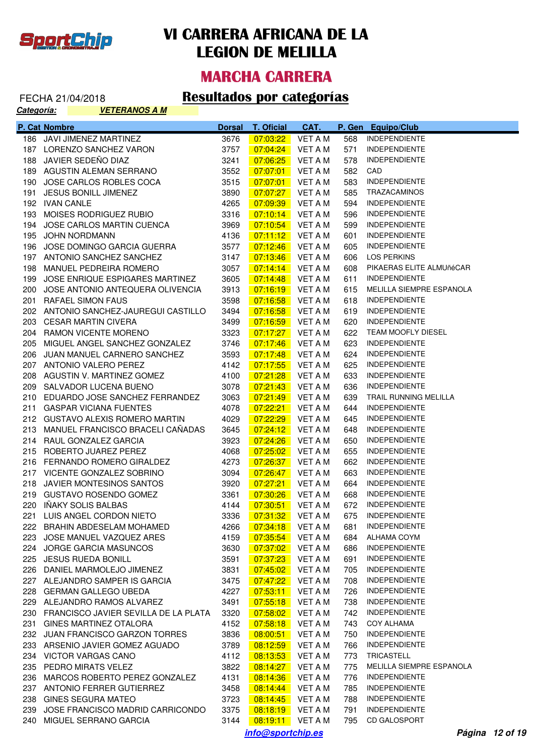

#### **MARCHA CARRERA**

| Categoría: | <u>VETERANOS A M</u>                     |               |                        |                |       |                          |
|------------|------------------------------------------|---------------|------------------------|----------------|-------|--------------------------|
|            | P. Cat Nombre                            | <b>Dorsal</b> | <b>T. Oficial</b>      | CAT.           |       | P. Gen Equipo/Club       |
|            | 186 JAVI JIMENEZ MARTINEZ                | 3676          | 07:03:22               | <b>VET A M</b> | 568   | <b>INDEPENDIENTE</b>     |
|            | 187 LORENZO SANCHEZ VARON                | 3757          | 07:04:24               | <b>VET A M</b> | 571   | <b>INDEPENDIENTE</b>     |
|            | 188 JAVIER SEDEÑO DIAZ                   | 3241          | 07:06:25               | <b>VET A M</b> | 578   | <b>INDEPENDIENTE</b>     |
|            | 189 AGUSTIN ALEMAN SERRANO               | 3552          | 07:07:01               | <b>VET A M</b> | 582   | CAD                      |
|            | 190 JOSE CARLOS ROBLES COCA              | 3515          | 07:07:01               | VET A M        | 583   | <b>INDEPENDIENTE</b>     |
| 191        | JESUS BONILL JIMENEZ                     | 3890          | 07:07:27               | <b>VET A M</b> | 585   | TRAZACAMINOS             |
|            | 192 IVAN CANLE                           | 4265          | 07:09:39               | <b>VET A M</b> | 594   | <b>INDEPENDIENTE</b>     |
|            | 193 MOISES RODRIGUEZ RUBIO               | 3316          | 07:10:14               | <b>VET A M</b> | 596   | <b>INDEPENDIENTE</b>     |
|            | 194 JOSE CARLOS MARTIN CUENCA            | 3969          | 07:10:54               | <b>VET A M</b> | 599   | <b>INDEPENDIENTE</b>     |
|            | 195 JOHN NORDMANN                        | 4136          | 07:11:12               | <b>VET A M</b> | 601   | <b>INDEPENDIENTE</b>     |
|            | 196 JOSE DOMINGO GARCIA GUERRA           | 3577          | 07:12:46               | VET A M        | 605   | <b>INDEPENDIENTE</b>     |
|            | 197 ANTONIO SANCHEZ SANCHEZ              | 3147          | 07:13:46               | VET A M        | 606   | <b>LOS PERKINS</b>       |
|            | 198 MANUEL PEDREIRA ROMERO               | 3057          | 07:14:14               | <b>VET A M</b> | 608   | PIKAERAS ELITE ALMUñéCAR |
| 199        | JOSE ENRIQUE ESPIGARES MARTINEZ          | 3605          | 07:14:48               | VET A M        | 611   | <b>INDEPENDIENTE</b>     |
| 200        | JOSE ANTONIO ANTEQUERA OLIVENCIA         | 3913          | 07:16:19               | <b>VET A M</b> | 615   | MELILLA SIEMPRE ESPANOLA |
|            | 201 RAFAEL SIMON FAUS                    | 3598          | 07:16:58               | <b>VET A M</b> | 618   | <b>INDEPENDIENTE</b>     |
|            | 202 ANTONIO SANCHEZ-JAUREGUI CASTILLO    | 3494          | 07:16:58               | <b>VET A M</b> | 619   | <b>INDEPENDIENTE</b>     |
|            | 203 CESAR MARTIN CIVERA                  | 3499          | 07:16:59               | VET A M        | 620   | <b>INDEPENDIENTE</b>     |
|            | 204 RAMON VICENTE MORENO                 | 3323          | 07:17:27               | VET A M        | 622   | TEAM MOOFLY DIESEL       |
|            | 205 MIGUEL ANGEL SANCHEZ GONZALEZ        | 3746          | 07:17:46               | <b>VET A M</b> | 623   | <b>INDEPENDIENTE</b>     |
|            | 206 JUAN MANUEL CARNERO SANCHEZ          | 3593          | 07:17:48               | <b>VET A M</b> | 624   | <b>INDEPENDIENTE</b>     |
|            | 207 ANTONIO VALERO PEREZ                 | 4142          | 07:17:55               | VET A M        | 625   | <b>INDEPENDIENTE</b>     |
|            | 208 AGUSTIN V. MARTINEZ GOMEZ            | 4100          | 07:21:28               | <b>VET A M</b> | 633   | <b>INDEPENDIENTE</b>     |
|            | 209 SALVADOR LUCENA BUENO                | 3078          | 07:21:43               | <b>VET A M</b> | 636   | <b>INDEPENDIENTE</b>     |
|            | 210 EDUARDO JOSE SANCHEZ FERRANDEZ       | 3063          | 07:21:49               | VET A M        | 639   | TRAIL RUNNING MELILLA    |
|            | 211 GASPAR VICIANA FUENTES               | 4078          | <u>07:22:21</u>        | VET A M        | 644   | <b>INDEPENDIENTE</b>     |
|            | 212 GUSTAVO ALEXIS ROMERO MARTIN         | 4029          | 07:22:29               | <b>VET A M</b> | 645   | <b>INDEPENDIENTE</b>     |
|            | 213 MANUEL FRANCISCO BRACELI CAÑADAS     | 3645          | 07:24:12               | <b>VET A M</b> | 648   | <b>INDEPENDIENTE</b>     |
|            | 214 RAUL GONZALEZ GARCIA                 | 3923          | 07:24:26               | VET A M        | 650   | <b>INDEPENDIENTE</b>     |
|            | 215 ROBERTO JUAREZ PEREZ                 | 4068          | 07:25:02               | <b>VET A M</b> | 655   | <b>INDEPENDIENTE</b>     |
|            | 216 FERNANDO ROMERO GIRALDEZ             | 4273          | 07:26:37               | VET A M        | 662   | <b>INDEPENDIENTE</b>     |
|            | 217 VICENTE GONZALEZ SOBRINO             | 3094          | 07:26:47               | VET A M        | 663   | <b>INDEPENDIENTE</b>     |
|            | 218 JAVIER MONTESINOS SANTOS             | 3920          | 07:27:21               | VET A M        | 664   | <b>INDEPENDIENTE</b>     |
|            | 219 GUSTAVO ROSENDO GOMEZ                | 3361          | 07:30:26               | VET A M        | 668   | <b>INDEPENDIENTE</b>     |
|            | 220 IÑAKY SOLIS BALBAS                   | 4144          | 07:30:51               | VET A M        | 672   | <b>INDEPENDIENTE</b>     |
|            | 221 LUIS ANGEL CORDON NIETO              | 3336          | <mark>.07:31:32</mark> | VET A M        |       | 675 INDEPENDIENTE        |
|            | 222 BRAHIN ABDESELAM MOHAMED             | 4266          | 07:34:18               | VET A M        | 681   | <b>INDEPENDIENTE</b>     |
|            | 223 JOSE MANUEL VAZQUEZ ARES             | 4159          | 07:35:54               | VET A M        | 684 - | ALHAMA COYM              |
|            | 224 JORGE GARCIA MASUNCOS                | 3630          | 07:37:02               | VET A M        | 686   | <b>INDEPENDIENTE</b>     |
|            | 225 JESUS RUEDA BONILL                   | 3591          | 07:37:23               | VET A M        | 691   | <b>INDEPENDIENTE</b>     |
|            | 226 DANIEL MARMOLEJO JIMENEZ             | 3831          | 07:45:02               | VET A M        | 705   | <b>INDEPENDIENTE</b>     |
|            | 227 ALEJANDRO SAMPER IS GARCIA           | 3475          | 07:47:22               | VET A M        | 708   | <b>INDEPENDIENTE</b>     |
|            | 228 GERMAN GALLEGO UBEDA                 | 4227          | 07:53:11               | VET A M        | 726   | <b>INDEPENDIENTE</b>     |
|            | 229 ALEJANDRO RAMOS ALVAREZ              | 3491          | 07:55:18               | VET A M        | 738   | <b>INDEPENDIENTE</b>     |
|            | 230 FRANCISCO JAVIER SEVILLA DE LA PLATA | 3320          | 07:58:02               | VET A M        | 742   | <b>INDEPENDIENTE</b>     |
|            | 231 GINES MARTINEZ OTALORA               | 4152          | 07:58:18               | VET A M        | 743   | COY ALHAMA               |
|            | 232 JUAN FRANCISCO GARZON TORRES         | 3836          | 08:00:51               | VET A M        | 750   | <b>INDEPENDIENTE</b>     |
|            | 233 ARSENIO JAVIER GOMEZ AGUADO          | 3789          | 08:12:59               | VET A M        | 766   | <b>INDEPENDIENTE</b>     |
|            | 234 VICTOR VARGAS CANO                   | 4112          | 08:13:53               | <b>VET A M</b> | 773   | TRICASTELL               |
|            | 235 PEDRO MIRATS VELEZ                   | 3822          | 08:14:27               | VET A M        | 775   | MELILLA SIEMPRE ESPANOLA |
|            | 236 MARCOS ROBERTO PEREZ GONZALEZ        | 4131          | 08:14:36               | VET A M        | 776   | <b>INDEPENDIENTE</b>     |
|            | 237 ANTONIO FERRER GUTIERREZ             | 3458          | 08:14:44               | VET A M        | 785   | <b>INDEPENDIENTE</b>     |
|            | 238 GINES SEGURA MATEO                   | 3723          | 08:14:45               | VET A M        | 788   | <b>INDEPENDIENTE</b>     |
|            | 239 JOSE FRANCISCO MADRID CARRICONDO     | 3375          | 08:18:19               | VET A M        | 791   | <b>INDEPENDIENTE</b>     |
|            | 240 MIGUEL SERRANO GARCIA                | 3144          | 08:19:11    VET A M    |                | 795   | <b>CD GALOSPORT</b>      |
|            |                                          |               | info@sportchip.es      |                |       | Página 12 of 19          |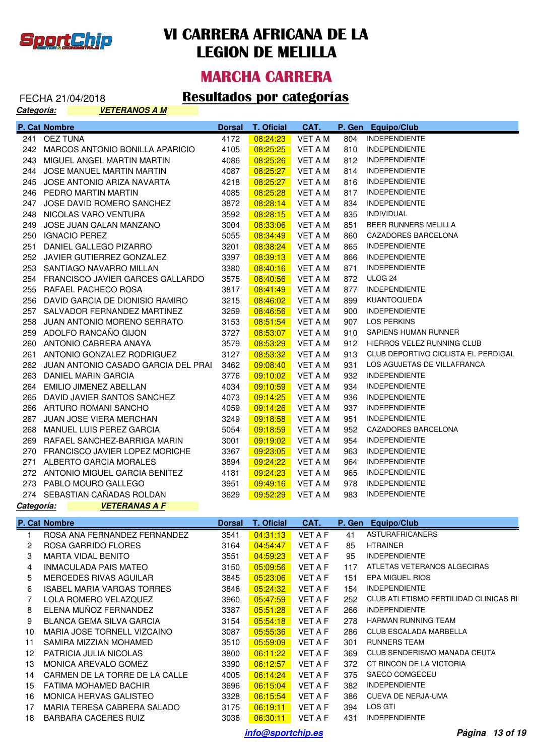

#### **MARCHA CARRERA**

#### FECHA 21/04/2018 **Resultados por categorías**

**Categoría: VETERANOS A M**

|            | P. Cat Nombre                           | <b>Dorsal</b> | <b>T. Oficial</b> | CAT.           | P. Gen | <b>Equipo/Club</b>                  |
|------------|-----------------------------------------|---------------|-------------------|----------------|--------|-------------------------------------|
| 241        | <b>OEZ TUNA</b>                         | 4172          | 08:24:23          | <b>VET A M</b> | 804    | <b>INDEPENDIENTE</b>                |
| 242        | MARCOS ANTONIO BONILLA APARICIO         | 4105          | 08:25:25          | <b>VET A M</b> | 810    | <b>INDEPENDIENTE</b>                |
| 243        | MIGUEL ANGEL MARTIN MARTIN              | 4086          | 08:25:26          | <b>VET A M</b> | 812    | <b>INDEPENDIENTE</b>                |
| 244        | JOSE MANUEL MARTIN MARTIN               | 4087          | 08:25:27          | <b>VET A M</b> | 814    | <b>INDEPENDIENTE</b>                |
| 245        | JOSE ANTONIO ARIZA NAVARTA              | 4218          | 08:25:27          | <b>VET A M</b> | 816    | <b>INDEPENDIENTE</b>                |
|            | 246 PEDRO MARTIN MARTIN                 | 4085          | 08:25:28          | <b>VET A M</b> | 817    | <b>INDEPENDIENTE</b>                |
| 247        | JOSE DAVID ROMERO SANCHEZ               | 3872          | 08:28:14          | <b>VET A M</b> | 834    | <b>INDEPENDIENTE</b>                |
| 248        | NICOLAS VARO VENTURA                    | 3592          | 08:28:15          | <b>VET A M</b> | 835    | <b>INDIVIDUAL</b>                   |
| 249        | JOSE JUAN GALAN MANZANO                 | 3004          | 08:33:06          | <b>VET A M</b> | 851    | BEER RUNNERS MELILLA                |
| 250        | <b>IGNACIO PEREZ</b>                    | 5055          | 08:34:49          | <b>VET A M</b> | 860    | CAZADORES BARCELONA                 |
| 251        | DANIEL GALLEGO PIZARRO                  | 3201          | 08:38:24          | <b>VET A M</b> | 865    | <b>INDEPENDIENTE</b>                |
| 252        | JAVIER GUTIERREZ GONZALEZ               | 3397          | 08:39:13          | VET A M        | 866    | <b>INDEPENDIENTE</b>                |
| 253        | SANTIAGO NAVARRO MILLAN                 | 3380          | 08:40:16          | <b>VET A M</b> | 871    | <b>INDEPENDIENTE</b>                |
| 254        | FRANCISCO JAVIER GARCES GALLARDO        | 3575          | 08:40:56          | <b>VET A M</b> | 872    | ULOG 24                             |
| 255        | RAFAEL PACHECO ROSA                     | 3817          | 08:41:49          | <b>VET A M</b> | 877    | <b>INDEPENDIENTE</b>                |
| 256        | DAVID GARCIA DE DIONISIO RAMIRO         | 3215          | 08:46:02          | <b>VET A M</b> | 899    | KUANTOQUEDA                         |
| 257        | SALVADOR FERNANDEZ MARTINEZ             | 3259          | 08:46:56          | <b>VET A M</b> | 900    | <b>INDEPENDIENTE</b>                |
| 258        | JUAN ANTONIO MORENO SERRATO             | 3153          | 08:51:54          | <b>VET A M</b> | 907    | LOS PERKINS                         |
| 259        | ADOLFO RANCAÑO GIJON                    | 3727          | 08:53:07          | <b>VET A M</b> | 910    | SAPIENS HUMAN RUNNER                |
|            | 260 ANTONIO CABRERA ANAYA               | 3579          | 08:53:29          | <b>VET A M</b> | 912    | HIERROS VELEZ RUNNING CLUB          |
| 261        | ANTONIO GONZALEZ RODRIGUEZ              | 3127          | 08:53:32          | <b>VET A M</b> | 913    | CLUB DEPORTIVO CICLISTA EL PERDIGAL |
|            | 262 JUAN ANTONIO CASADO GARCIA DEL PRAI | 3462          | 09:08:40          | <b>VET A M</b> | 931    | LOS AGUJETAS DE VILLAFRANCA         |
| 263        | DANIEL MARIN GARCIA                     | 3776          | 09:10:02          | <b>VET A M</b> | 932    | <b>INDEPENDIENTE</b>                |
|            | 264 EMILIO JIMENEZ ABELLAN              | 4034          | 09:10:59          | VET A M        | 934    | <b>INDEPENDIENTE</b>                |
| 265        | DAVID JAVIER SANTOS SANCHEZ             | 4073          | 09:14:25          | <b>VET A M</b> | 936    | <b>INDEPENDIENTE</b>                |
|            | 266 ARTURO ROMANI SANCHO                | 4059          | 09:14:26          | <b>VET A M</b> | 937    | <b>INDEPENDIENTE</b>                |
| 267        | JUAN JOSE VIERA MERCHAN                 | 3249          | 09:18:58          | <b>VET A M</b> | 951    | <b>INDEPENDIENTE</b>                |
| 268        | MANUEL LUIS PEREZ GARCIA                | 5054          | 09:18:59          | <b>VET A M</b> | 952    | <b>CAZADORES BARCELONA</b>          |
| 269        | RAFAEL SANCHEZ-BARRIGA MARIN            | 3001          | 09:19:02          | <b>VET A M</b> | 954    | <b>INDEPENDIENTE</b>                |
| 270        | <b>FRANCISCO JAVIER LOPEZ MORICHE</b>   | 3367          | 09:23:05          | <b>VET A M</b> | 963    | <b>INDEPENDIENTE</b>                |
| 271        | ALBERTO GARCIA MORALES                  | 3894          | 09:24:22          | <b>VET A M</b> | 964    | <b>INDEPENDIENTE</b>                |
| 272        | ANTONIO MIGUEL GARCIA BENITEZ           | 4181          | 09:24:23          | <b>VET A M</b> | 965    | <b>INDEPENDIENTE</b>                |
| 273        | PABLO MOURO GALLEGO                     | 3951          | 09:49:16          | <b>VET A M</b> | 978    | <b>INDEPENDIENTE</b>                |
|            | 274 SEBASTIAN CAÑADAS ROLDAN            | 3629          | 09:52:29          | <b>VET A M</b> | 983    | <b>INDEPENDIENTE</b>                |
| Categoría: | <b>VETERANAS A F</b>                    |               |                   |                |        |                                     |
|            | P. Cat Nombre                           | <b>Dorsal</b> | T. Oficial        | CAT.           | P. Gen | <b>Equipo/Club</b>                  |

|    | ROSA ANA FERNANDEZ FERNANDEZ   | 3541 | 04:31:13 | <b>VET A F</b> | 41  | ASTURAFRICANERS                        |
|----|--------------------------------|------|----------|----------------|-----|----------------------------------------|
| 2  | ROSA GARRIDO FLORES            | 3164 | 04:54:47 | <b>VET A F</b> | 85  | <b>HTRAINER</b>                        |
| 3  | <b>MARTA VIDAL BENITO</b>      | 3551 | 04:59:23 | <b>VET A F</b> | 95  | <b>INDEPENDIENTE</b>                   |
| 4  | INMACULADA PAIS MATEO          | 3150 | 05:09:56 | <b>VET A F</b> | 117 | ATLETAS VETERANOS ALGECIRAS            |
| 5  | MERCEDES RIVAS AGUILAR         | 3845 | 05:23:06 | <b>VET A F</b> | 151 | EPA MIGUEL RIOS                        |
| 6  | ISABEL MARIA VARGAS TORRES     | 3846 | 05:24:32 | <b>VET A F</b> | 154 | <b>INDEPENDIENTE</b>                   |
|    | LOLA ROMERO VELAZQUEZ          | 3960 | 05:47:59 | <b>VET A F</b> | 252 | CLUB ATLETISMO FERTILIDAD CLINICAS RII |
| 8  | ELENA MUÑOZ FERNANDEZ          | 3387 | 05:51:28 | <b>VET A F</b> | 266 | <b>INDEPENDIENTE</b>                   |
| 9  | BLANCA GEMA SILVA GARCIA       | 3154 | 05:54:18 | <b>VET A F</b> | 278 | <b>HARMAN RUNNING TEAM</b>             |
| 10 | MARIA JOSE TORNELL VIZCAINO    | 3087 | 05:55:36 | <b>VET A F</b> | 286 | CLUB ESCALADA MARBELLA                 |
| 11 | SAMIRA MIZZIAN MOHAMED         | 3510 | 05:59:09 | <b>VET A F</b> | 301 | <b>RUNNERS TEAM</b>                    |
| 12 | PATRICIA JULIA NICOLAS         | 3800 | 06:11:22 | <b>VET A F</b> | 369 | CLUB SENDERISMO MANADA CEUTA           |
| 13 | MONICA AREVALO GOMEZ           | 3390 | 06:12:57 | <b>VET A F</b> | 372 | CT RINCON DE LA VICTORIA               |
| 14 | CARMEN DE LA TORRE DE LA CALLE | 4005 | 06:14:24 | <b>VET A F</b> | 375 | SAECO COMGECEU                         |
| 15 | FATIMA MOHAMED BACHIR          | 3696 | 06:15:04 | <b>VET A F</b> | 382 | <b>INDEPENDIENTE</b>                   |
| 16 | MONICA HERVAS GALISTEO         | 3328 | 06:15:54 | <b>VET A F</b> | 386 | CUEVA DE NERJA-UMA                     |
| 17 | MARIA TERESA CABRERA SALADO    | 3175 | 06:19:11 | <b>VET A F</b> | 394 | LOS GTI                                |
| 18 | BARBARA CACERES RUIZ           | 3036 | 06:30:11 | <b>VET A F</b> | 431 | <b>INDEPENDIENTE</b>                   |
|    |                                |      |          |                |     |                                        |

**info@sportchip.es Página 13 of 19**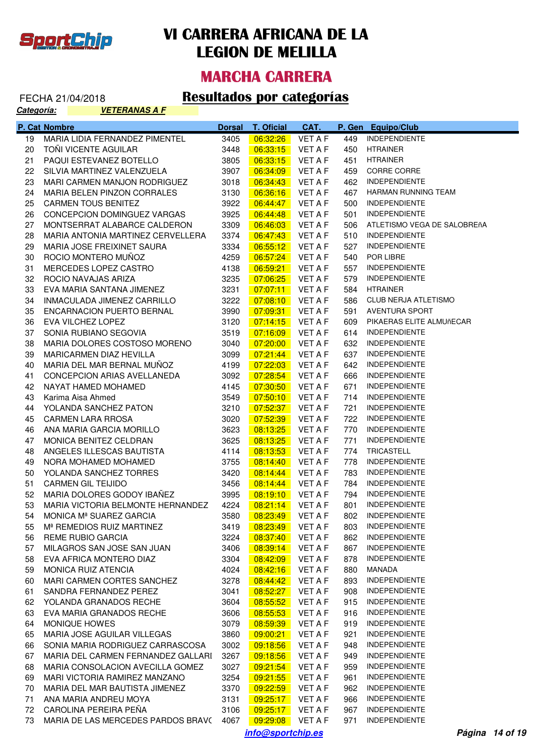

#### **MARCHA CARRERA**

#### FECHA 21/04/2018 **Resultados por categorías**

| Categoría: | <b>VETERANAS A F</b>           |               |                   |                |         |                      |
|------------|--------------------------------|---------------|-------------------|----------------|---------|----------------------|
|            | P. Cat Nombre                  | <b>Dorsal</b> | <b>T. Oficial</b> | CAT.           |         | P. Gen Equipo/Club   |
| 19         | MARIA LIDIA FERNANDEZ PIMENTEL | 3405          | 06:32:26          | <b>VFT A F</b> | 449     | <b>INDEPENDIENTE</b> |
| 20         | TOÑI VICENTE AGUILAR           | 3448          | 06:33:15          | VFT A F        | 450     | HTRAINER             |
| 21         | <b>PAQUI ESTEVANEZ BOTELLO</b> | 3805          | 06:33:15          | VFT A F        | 451     | <b>HTRAINER</b>      |
| nn.        | O(1)                           | 0007          | 00.01.00          | 1/TT A T       | $1 - 0$ | CODDE CODDE          |

| 20 | TOÑI VICENTE AGUILAR                                                                       | 3448 | 06:33:15 | <b>VET A F</b> | 450        | HTRAINER                    |
|----|--------------------------------------------------------------------------------------------|------|----------|----------------|------------|-----------------------------|
| 21 | PAQUI ESTEVANEZ BOTELLO                                                                    | 3805 | 06:33:15 | <b>VET A F</b> | 451        | <b>HTRAINER</b>             |
| 22 | SILVIA MARTINEZ VALENZUELA                                                                 | 3907 | 06:34:09 | VET A F        | 459        | CORRE CORRE                 |
| 23 | MARI CARMEN MANJON RODRIGUEZ                                                               | 3018 | 06:34:43 | VET A F        | 462        | <b>INDEPENDIENTE</b>        |
| 24 | MARIA BELEN PINZON CORRALES                                                                | 3130 | 06:36:16 | VET A F        | 467        | HARMAN RUNNING TEAM         |
| 25 | <b>CARMEN TOUS BENITEZ</b>                                                                 | 3922 | 06:44:47 | <b>VET A F</b> | 500        | <b>INDEPENDIENTE</b>        |
| 26 | CONCEPCION DOMINGUEZ VARGAS                                                                | 3925 | 06:44:48 | <b>VET A F</b> | 501        | <b>INDEPENDIENTE</b>        |
| 27 | MONTSERRAT ALABARCE CALDERON                                                               | 3309 | 06:46:03 | <b>VET A F</b> | 506        | ATLETISMO VEGA DE SALOBREñA |
| 28 | MARIA ANTONIA MARTINEZ CERVELLERA                                                          | 3374 | 06:47:43 | VET A F        | 510        | <b>INDEPENDIENTE</b>        |
| 29 | MARIA JOSE FREIXINET SAURA                                                                 | 3334 | 06:55:12 | <b>VET A F</b> | 527        | <b>INDEPENDIENTE</b>        |
| 30 | ROCIO MONTERO MUÑOZ                                                                        | 4259 | 06:57:24 | <b>VET A F</b> | 540        | POR LIBRE                   |
| 31 | MERCEDES LOPEZ CASTRO                                                                      | 4138 | 06:59:21 | VET A F        | 557        | <b>INDEPENDIENTE</b>        |
| 32 | ROCIO NAVAJAS ARIZA                                                                        | 3235 | 07:06:25 | VET A F        | 579        | <b>INDEPENDIENTE</b>        |
| 33 | EVA MARIA SANTANA JIMENEZ                                                                  | 3231 | 07:07:11 | VET A F        | 584        | <b>HTRAINER</b>             |
| 34 | INMACULADA JIMENEZ CARRILLO                                                                | 3222 | 07:08:10 | VET A F        | 586        | CLUB NERJA ATLETISMO        |
| 35 | ENCARNACION PUERTO BERNAL                                                                  | 3990 | 07:09:31 | VET A F        | 591        | AVENTURA SPORT              |
| 36 | EVA VILCHEZ LOPEZ                                                                          | 3120 | 07:14:15 | <b>VET A F</b> | 609        | PIKAERAS ELITE ALMUñECAR    |
| 37 | SONIA RUBIANO SEGOVIA                                                                      | 3519 | 07:16:09 | <b>VET A F</b> | 614        | <b>INDEPENDIENTE</b>        |
| 38 | MARIA DOLORES COSTOSO MORENO                                                               | 3040 | 07:20:00 | <b>VET A F</b> | 632        | <b>INDEPENDIENTE</b>        |
| 39 | MARICARMEN DIAZ HEVILLA                                                                    | 3099 | 07:21:44 | VET A F        | 637        | <b>INDEPENDIENTE</b>        |
| 40 | MARIA DEL MAR BERNAL MUÑOZ                                                                 | 4199 | 07:22:03 | <b>VET A F</b> | 642        | <b>INDEPENDIENTE</b>        |
| 41 | CONCEPCION ARIAS AVELLANEDA                                                                | 3092 | 07:28:54 | VET A F        | 666        | <b>INDEPENDIENTE</b>        |
| 42 | NAYAT HAMED MOHAMED                                                                        | 4145 | 07:30:50 | VET A F        | 671        | <b>INDEPENDIENTE</b>        |
| 43 | Karima Aisa Ahmed                                                                          | 3549 | 07:50:10 | <b>VET A F</b> | 714        | <b>INDEPENDIENTE</b>        |
| 44 | YOLANDA SANCHEZ PATON                                                                      | 3210 | 07:52:37 | VET A F        | 721        | <b>INDEPENDIENTE</b>        |
| 45 | <b>CARMEN LARA RROSA</b>                                                                   | 3020 | 07:52:39 | VET A F        | 722        | <b>INDEPENDIENTE</b>        |
| 46 | ANA MARIA GARCIA MORILLO                                                                   | 3623 | 08:13:25 | VET A F        | 770        | <b>INDEPENDIENTE</b>        |
| 47 | MONICA BENITEZ CELDRAN                                                                     | 3625 | 08:13:25 | VET A F        | 771        | <b>INDEPENDIENTE</b>        |
| 48 | ANGELES ILLESCAS BAUTISTA                                                                  | 4114 | 08:13:53 | VET A F        | 774        | TRICASTELL                  |
| 49 | NORA MOHAMED MOHAMED                                                                       | 3755 | 08:14:40 | VET A F        | 778        | <b>INDEPENDIENTE</b>        |
| 50 | YOLANDA SANCHEZ TORRES                                                                     | 3420 | 08:14:44 | VET A F        | 783        | <b>INDEPENDIENTE</b>        |
| 51 | <b>CARMEN GIL TEIJIDO</b>                                                                  | 3456 | 08:14:44 | VET A F        | 784        | <b>INDEPENDIENTE</b>        |
| 52 | MARIA DOLORES GODOY IBAÑEZ                                                                 | 3995 | 08:19:10 | VET A F        | 794        | <b>INDEPENDIENTE</b>        |
| 53 | MARIA VICTORIA BELMONTE HERNANDEZ                                                          | 4224 | 08:21:14 | <b>VET A F</b> | 801        | <b>INDEPENDIENTE</b>        |
| 54 | MONICA Mª SUAREZ GARCIA                                                                    | 3580 | 08:23:49 |                | 802        | <b>INDEPENDIENTE</b>        |
|    |                                                                                            | 3419 | 08:23:49 | VET A F        | 803        | <b>INDEPENDIENTE</b>        |
| 55 | M <sup>a</sup> REMEDIOS RUIZ MARTINEZ                                                      |      |          | VET A F        |            | <b>INDEPENDIENTE</b>        |
| 56 | REME RUBIO GARCIA<br>57 MILAGROS SAN JOSE SAN JUAN 3406 08:39:14 VET A F 867 INDEPENDIENTE | 3224 | 08:37:40 | VET A F        | 862        |                             |
|    | EVA AFRICA MONTERO DIAZ                                                                    | 3304 |          |                |            | <b>INDEPENDIENTE</b>        |
| 58 | <b>MONICA RUIZ ATENCIA</b>                                                                 | 4024 | 08:42:09 | VET A F        | 878<br>880 | MANADA                      |
| 59 | <b>MARI CARMEN CORTES SANCHEZ</b>                                                          |      | 08:42:16 | VET A F        |            | <b>INDEPENDIENTE</b>        |
| 60 |                                                                                            | 3278 | 08:44:42 | VET A F        | 893        | <b>INDEPENDIENTE</b>        |
| 61 | SANDRA FERNANDEZ PEREZ                                                                     | 3041 | 08:52:27 | VET A F        | 908        |                             |
| 62 | YOLANDA GRANADOS RECHE                                                                     | 3604 | 08:55:52 | <b>VET A F</b> | 915        | <b>INDEPENDIENTE</b>        |
| 63 | EVA MARIA GRANADOS RECHE                                                                   | 3606 | 08:55:53 | VET A F        | 916        | <b>INDEPENDIENTE</b>        |
| 64 | MONIQUE HOWES                                                                              | 3079 | 08:59:39 | VET A F        | 919        | <b>INDEPENDIENTE</b>        |
| 65 | MARIA JOSE AGUILAR VILLEGAS                                                                | 3860 | 09:00:21 | VET A F        | 921        | <b>INDEPENDIENTE</b>        |
| 66 | SONIA MARIA RODRIGUEZ CARRASCOSA                                                           | 3002 | 09:18:56 | VET A F        | 948        | <b>INDEPENDIENTE</b>        |
| 67 | MARIA DEL CARMEN FERNANDEZ GALLARI                                                         | 3267 | 09:18:56 | VET A F        | 949        | <b>INDEPENDIENTE</b>        |
| 68 | MARIA CONSOLACION AVECILLA GOMEZ                                                           | 3027 | 09:21:54 | VET A F        | 959        | <b>INDEPENDIENTE</b>        |
| 69 | MARI VICTORIA RAMIREZ MANZANO                                                              | 3254 | 09:21:55 | VET A F        | 961        | <b>INDEPENDIENTE</b>        |
| 70 | MARIA DEL MAR BAUTISTA JIMENEZ                                                             | 3370 | 09:22:59 | VET A F        | 962        | <b>INDEPENDIENTE</b>        |
| 71 | ANA MARIA ANDREU MOYA                                                                      | 3131 | 09:25:17 | VET A F        | 966        | <b>INDEPENDIENTE</b>        |
| 72 | CAROLINA PEREIRA PEÑA                                                                      | 3106 | 09:25:17 | VET A F        | 967        | <b>INDEPENDIENTE</b>        |
| 73 | MARIA DE LAS MERCEDES PARDOS BRAVO                                                         | 4067 | 09:29:08 | VET A F        | 971        | <b>INDEPENDIENTE</b>        |

**info@sportchip.es Página 14 of 19**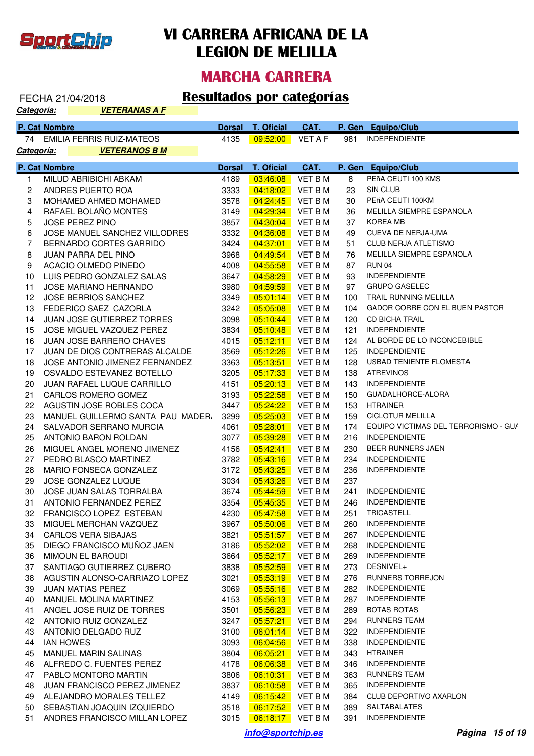

#### **MARCHA CARRERA**

#### FECHA 21/04/2018 **Resultados por categorías**

| <u> Categoría:</u>      |               | <b>VETERANAS A F</b>              |               |                   |                |        |                                       |
|-------------------------|---------------|-----------------------------------|---------------|-------------------|----------------|--------|---------------------------------------|
|                         | P. Cat Nombre |                                   | <b>Dorsal</b> | <b>T. Oficial</b> | CAT.           | P. Gen | Equipo/Club                           |
|                         |               | 74 EMILIA FERRIS RUIZ-MATEOS      | 4135          | 09:52:00          | <b>VET A F</b> | 981    | <b>INDEPENDIENTE</b>                  |
| <u>Categoría:</u>       |               | <u>VETERANOS B M</u>              |               |                   |                |        |                                       |
|                         | P. Cat Nombre |                                   | <b>Dorsal</b> | <b>T. Oficial</b> | CAT.           |        | P. Gen Equipo/Club                    |
| 1.                      |               | MILUD ABRIBICHI ABKAM             | 4189          | 03:46:08          | <b>VET BM</b>  | 8      | PEñA CEUTI 100 KMS                    |
| $\overline{\mathbf{c}}$ |               | ANDRES PUERTO ROA                 | 3333          | 04:18:02          | <b>VET B M</b> | 23     | SIN CLUB                              |
| 3                       |               | MOHAMED AHMED MOHAMED             | 3578          | 04:24:45          | <b>VET B M</b> | 30     | PEñA CEUTI 100KM                      |
| 4                       |               | RAFAEL BOLAÑO MONTES              | 3149          | 04:29:34          | <b>VET B M</b> | 36     | MELILLA SIEMPRE ESPANOLA              |
| 5                       |               | <b>JOSE PEREZ PINO</b>            | 3857          | 04:30:04          | <b>VET B M</b> | 37     | KOREA MB                              |
| 6                       |               | JOSE MANUEL SANCHEZ VILLODRES     | 3332          | 04:36:08          | <b>VET BM</b>  | 49     | CUEVA DE NERJA-UMA                    |
| 7                       |               | BERNARDO CORTES GARRIDO           | 3424          | 04:37:01          | <b>VET B M</b> | 51     | <b>CLUB NERJA ATLETISMO</b>           |
| 8                       |               | JUAN PARRA DEL PINO               | 3968          | 04:49:54          | <b>VET B M</b> | 76     | MELILLA SIEMPRE ESPANOLA              |
| 9                       |               | ACACIO OLMEDO PINEDO              | 4008          | 04:55:58          | <b>VET B M</b> | 87     | <b>RUN 04</b>                         |
| 10                      |               | LUIS PEDRO GONZALEZ SALAS         | 3647          | 04:58:29          | <b>VET B M</b> | 93     | <b>INDEPENDIENTE</b>                  |
| 11                      |               | <b>JOSE MARIANO HERNANDO</b>      | 3980          | 04:59:59          | <b>VET BM</b>  | 97     | <b>GRUPO GASELEC</b>                  |
| 12 <sup>2</sup>         |               | <b>JOSE BERRIOS SANCHEZ</b>       | 3349          | 05:01:14          | <b>VET B M</b> | 100    | TRAIL RUNNING MELILLA                 |
| 13                      |               | FEDERICO SAEZ CAZORLA             | 3242          | 05:05:08          | <b>VET B M</b> | 104    | <b>GADOR CORRE CON EL BUEN PASTOR</b> |
| 14                      |               | <b>JUAN JOSE GUTIERREZ TORRES</b> | 3098          | 05:10:44          | <b>VET BM</b>  | 120    | <b>CD BICHA TRAIL</b>                 |
| 15                      |               | JOSE MIGUEL VAZQUEZ PEREZ         | 3834          | 05:10:48          | VET B M        | 121    | INDEPENDIENTE                         |
| 16                      |               | JUAN JOSE BARRERO CHAVES          | 4015          | 05:12:11          | <b>VET BM</b>  | 124    | AL BORDE DE LO INCONCEBIBLE           |
| 17                      |               | JUAN DE DIOS CONTRERAS ALCALDE    | 3569          | 05:12:26          | <b>VET B M</b> | 125    | <b>INDEPENDIENTE</b>                  |
|                         |               |                                   |               |                   |                |        | <b>USBAD TENIENTE FLOMESTA</b>        |
| 18                      |               | JOSE ANTONIO JIMENEZ FERNANDEZ    | 3363          | 05:13:51          | <b>VET B M</b> | 128    |                                       |
| 19                      |               | OSVALDO ESTEVANEZ BOTELLO         | 3205          | 05:17:33          | <b>VET B M</b> |        | 138 ATREVINOS                         |
| 20                      |               | JUAN RAFAEL LUQUE CARRILLO        | 4151          | 05:20:13          | <b>VET B M</b> | 143    | <b>INDEPENDIENTE</b>                  |
| 21                      |               | CARLOS ROMERO GOMEZ               | 3193          | 05:22:58          | <b>VET B M</b> | 150    | GUADALHORCE-ALORA                     |
| 22                      |               | AGUSTIN JOSE ROBLES COCA          | 3447          | 05:24:22          | <b>VET B M</b> | 153    | HTRAINER                              |
| 23                      |               | MANUEL GUILLERMO SANTA PAU MADER. | 3299          | 05:25:03          | <b>VET B M</b> | 159    | <b>CICLOTUR MELILLA</b>               |
| 24                      |               | SALVADOR SERRANO MURCIA           | 4061          | 05:28:01          | VET B M        | 174    | EQUIPO VICTIMAS DEL TERRORISMO - GUA  |
| 25                      |               | ANTONIO BARON ROLDAN              | 3077          | 05:39:28          | <b>VET B M</b> | 216    | <b>INDEPENDIENTE</b>                  |
| 26                      |               | MIGUEL ANGEL MORENO JIMENEZ       | 4156          | 05:42:41          | <b>VET B M</b> | 230    | <b>BEER RUNNERS JAEN</b>              |
| 27                      |               | PEDRO BLASCO MARTINEZ             | 3782          | 05:43:16          | <b>VET BM</b>  | 234    | <b>INDEPENDIENTE</b>                  |
| 28                      |               | MARIO FONSECA GONZALEZ            | 3172          | 05:43:25          | VET B M        | 236    | <b>INDEPENDIENTE</b>                  |
| 29                      |               | JOSE GONZALEZ LUQUE               | 3034          | 05:43:26          | VET B M        | 237    |                                       |
| 30                      |               | JOSE JUAN SALAS TORRALBA          | 3674          | 05:44:59          | VET B M        | 241    | <b>INDEPENDIENTE</b>                  |
| 31                      |               | ANTONIO FERNANDEZ PEREZ           | 3354          | 05:45:35          | <b>VET BM</b>  | 246    | <b>INDEPENDIENTE</b>                  |
| 32                      |               | FRANCISCO LOPEZ ESTEBAN           | 4230          | 05:47:58          | <b>VET BM</b>  | 251    | TRICASTELL                            |
| 33                      |               | MIGUEL MERCHAN VAZQUEZ            | 3967          | 05:50:06          | <b>VET BM</b>  | 260    | <b>INDEPENDIENTE</b>                  |
| 34                      |               | <b>CARLOS VERA SIBAJAS</b>        | 3821          | 05:51:57          | VET B M        | 267    | <b>INDEPENDIENTE</b>                  |
| 35                      |               | DIEGO FRANCISCO MUÑOZ JAEN        | 3186          | 05:52:02          | VET B M        | 268    | <b>INDEPENDIENTE</b>                  |
| 36                      |               | MIMOUN EL BAROUDI                 | 3664          | 05:52:17          | VET B M        | 269    | <b>INDEPENDIENTE</b>                  |
| 37                      |               | SANTIAGO GUTIERREZ CUBERO         | 3838          | 05:52:59          | <b>VET BM</b>  | 273    | DESNIVEL+                             |
| 38                      |               | AGUSTIN ALONSO-CARRIAZO LOPEZ     | 3021          | 05:53:19          | <b>VET BM</b>  | 276    | <b>RUNNERS TORREJON</b>               |
| 39                      |               | <b>JUAN MATIAS PEREZ</b>          | 3069          | 05:55:16          | VET B M        | 282    | <b>INDEPENDIENTE</b>                  |
| 40                      |               | MANUEL MOLINA MARTINEZ            | 4153          | 05:56:13          | <b>VET BM</b>  | 287    | <b>INDEPENDIENTE</b>                  |
| 41                      |               | ANGEL JOSE RUIZ DE TORRES         | 3501          | 05:56:23          | VET B M        | 289    | <b>BOTAS ROTAS</b>                    |
| 42                      |               | ANTONIO RUIZ GONZALEZ             | 3247          | <u>05:57:21</u>   | VET B M        | 294    | <b>RUNNERS TEAM</b>                   |
| 43                      |               | ANTONIO DELGADO RUZ               | 3100          | 06:01:14          | VET B M        | 322    | <b>INDEPENDIENTE</b>                  |
| 44                      |               | <b>IAN HOWES</b>                  | 3093          | 06:04:56          | VET B M        | 338    | <b>INDEPENDIENTE</b>                  |
| 45                      |               | <b>MANUEL MARIN SALINAS</b>       | 3804          | 06:05:21          | VET B M        | 343    | <b>HTRAINER</b>                       |
| 46                      |               | ALFREDO C. FUENTES PEREZ          | 4178          | 06:06:38          | VET B M        | 346    | <b>INDEPENDIENTE</b>                  |
| 47                      |               | PABLO MONTORO MARTIN              | 3806          | 06:10:31          | VET B M        | 363    | <b>RUNNERS TEAM</b>                   |
| 48                      |               | JUAN FRANCISCO PEREZ JIMENEZ      | 3837          | 06:10:58          | VET B M        | 365    | <b>INDEPENDIENTE</b>                  |
| 49                      |               | ALEJANDRO MORALES TELLEZ          | 4149          | 06:15:42          | VET B M        | 384    | CLUB DEPORTIVO AXARLON                |
| 50                      |               | SEBASTIAN JOAQUIN IZQUIERDO       | 3518          | 06:17:52          | VET B M        | 389    | SALTABALATES                          |
| 51                      |               | ANDRES FRANCISCO MILLAN LOPEZ     | 3015          | 06:18:17          | <b>VET BM</b>  | 391    | <b>INDEPENDIENTE</b>                  |
|                         |               |                                   |               |                   |                |        |                                       |

**info@sportchip.es Página 15 of 19**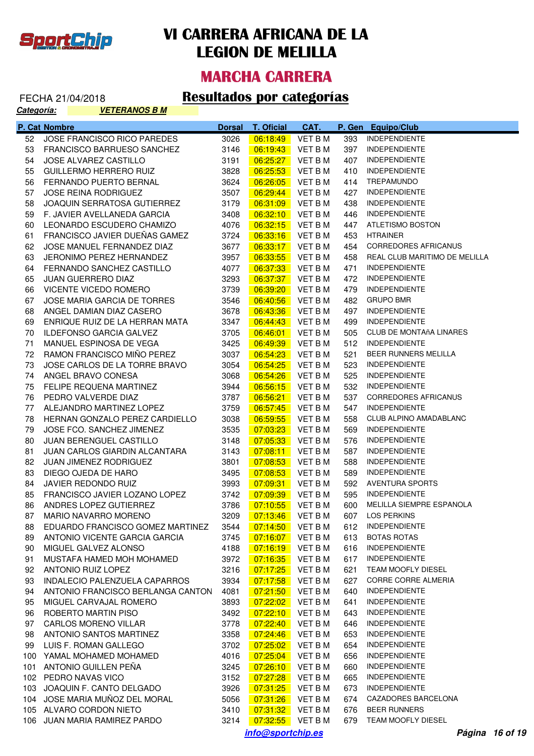

#### **MARCHA CARRERA**

#### FECHA 21/04/2018 **Resultados por categorías**

| Categoría: |               | <b>VETERANOS B M</b>               |               |                      |                    |        |                                |
|------------|---------------|------------------------------------|---------------|----------------------|--------------------|--------|--------------------------------|
|            | P. Cat Nombre |                                    | <b>Dorsal</b> | <b>T. Oficial</b>    | CAT.               | P. Gen | <b>Equipo/Club</b>             |
| 52         |               | JOSE FRANCISCO RICO PAREDES        | 3026          | 06:18:49             | VET B M            | 393    | <b>INDEPENDIENTE</b>           |
| 53         |               | FRANCISCO BARRUESO SANCHEZ         | 3146          | 06:19:43             | <b>VET B M</b>     | 397    | <b>INDEPENDIENTE</b>           |
| 54         |               | JOSE ALVAREZ CASTILLO              | 3191          | 06:25:27             | <b>VET B M</b>     | 407    | <b>INDEPENDIENTE</b>           |
| 55         |               | <b>GUILLERMO HERRERO RUIZ</b>      | 3828          | 06:25:53             | <b>VET B M</b>     | 410    | <b>INDEPENDIENTE</b>           |
| 56         |               | FERNANDO PUERTO BERNAL             | 3624          | 06:26:05             | <b>VET B M</b>     | 414    | TREPAMUNDO                     |
| 57         |               | <b>JOSE REINA RODRIGUEZ</b>        | 3507          | 06:29:44             | <b>VET B M</b>     | 427    | <b>INDEPENDIENTE</b>           |
| 58         |               | JOAQUIN SERRATOSA GUTIERREZ        | 3179          | 06:31:09             | VET B M            | 438    | <b>INDEPENDIENTE</b>           |
| 59         |               | F. JAVIER AVELLANEDA GARCIA        | 3408          | 06:32:10             | <b>VET B M</b>     | 446    | <b>INDEPENDIENTE</b>           |
| 60         |               | LEONARDO ESCUDERO CHAMIZO          | 4076          | 06:32:15             | VET B M            | 447    | ATLETISMO BOSTON               |
| 61         |               | FRANCISCO JAVIER DUEÑAS GAMEZ      | 3724          | 06:33:16             | <b>VET B M</b>     | 453    | <b>HTRAINER</b>                |
| 62         |               | JOSE MANUEL FERNANDEZ DIAZ         | 3677          | 06:33:17             | VET B M            | 454    | CORREDORES AFRICANUS           |
| 63         |               | JERONIMO PEREZ HERNANDEZ           | 3957          | 06:33:55             | <b>VET BM</b>      | 458    | REAL CLUB MARITIMO DE MELILLA  |
| 64         |               | FERNANDO SANCHEZ CASTILLO          | 4077          | 06:37:33             | <b>VET BM</b>      | 471    | <b>INDEPENDIENTE</b>           |
| 65         |               | <b>JUAN GUERRERO DIAZ</b>          | 3293          | 06:37:37             | <b>VET BM</b>      | 472    | <b>INDEPENDIENTE</b>           |
| 66         |               | VICENTE VICEDO ROMERO              | 3739          | 06:39:20             | <b>VET BM</b>      | 479    | <b>INDEPENDIENTE</b>           |
| 67         |               | <b>JOSE MARIA GARCIA DE TORRES</b> | 3546          | 06:40:56             | <b>VET BM</b>      | 482    | <b>GRUPO BMR</b>               |
| 68         |               | ANGEL DAMIAN DIAZ CASERO           | 3678          | 06:43:36             | <b>VET BM</b>      | 497    | <b>INDEPENDIENTE</b>           |
| 69         |               | ENRIQUE RUIZ DE LA HERRAN MATA     | 3347          | 06:44:43             | <b>VET BM</b>      | 499    | <b>INDEPENDIENTE</b>           |
| 70         |               | <b>ILDEFONSO GARCIA GALVEZ</b>     | 3705          | 06:46:01             | <b>VET BM</b>      | 505    | <b>CLUB DE MONTAñA LINARES</b> |
| 71         |               | MANUEL ESPINOSA DE VEGA            | 3425          | 06:49:39             | <b>VET BM</b>      | 512    | <b>INDEPENDIENTE</b>           |
| 72         |               | RAMON FRANCISCO MIÑO PEREZ         | 3037          | 06:54:23             | <b>VET BM</b>      | 521    | BEER RUNNERS MELILLA           |
| 73         |               | JOSE CARLOS DE LA TORRE BRAVO      | 3054          | 06:54:25             | <b>VET BM</b>      | 523    | <b>INDEPENDIENTE</b>           |
| 74         |               | ANGEL BRAVO CONESA                 | 3068          | 06:54:26             | <b>VET BM</b>      | 525    | <b>INDEPENDIENTE</b>           |
| 75         |               | FELIPE REQUENA MARTINEZ            | 3944          | 06:56:15             | <b>VET BM</b>      | 532    | <b>INDEPENDIENTE</b>           |
| 76         |               | PEDRO VALVERDE DIAZ                | 3787          | 06:56:21             | <b>VET BM</b>      | 537    | <b>CORREDORES AFRICANUS</b>    |
| 77         |               | ALEJANDRO MARTINEZ LOPEZ           | 3759          | 06:57:45             | <b>VET BM</b>      | 547    | <b>INDEPENDIENTE</b>           |
| 78         |               | HERNAN GONZALO PEREZ CARDIELLO     | 3038          | 06:59:55             | <b>VET BM</b>      | 558    | CLUB ALPINO AMADABLANC         |
| 79         |               | JOSE FCO. SANCHEZ JIMENEZ          | 3535          | 07:03:23             | <b>VET BM</b>      | 569    | <b>INDEPENDIENTE</b>           |
| 80         |               | <b>JUAN BERENGUEL CASTILLO</b>     | 3148          | 07:05:33             | <b>VET BM</b>      | 576    | <b>INDEPENDIENTE</b>           |
| 81         |               | JUAN CARLOS GIARDIN ALCANTARA      | 3143          | 07:08:11             | <b>VET BM</b>      | 587    | <b>INDEPENDIENTE</b>           |
| 82         |               | JUAN JIMENEZ RODRIGUEZ             | 3801          | 07:08:53             | VET B M            | 588    | <b>INDEPENDIENTE</b>           |
| 83         |               | DIEGO OJEDA DE HARO                | 3495          | 07:08:53             | VET B M            | 589    | <b>INDEPENDIENTE</b>           |
| 84         |               | JAVIER REDONDO RUIZ                | 3993          | 07:09:31             | VET B M            | 592    | <b>AVENTURA SPORTS</b>         |
| 85         |               | FRANCISCO JAVIER LOZANO LOPEZ      | 3742          | 07:09:39             | <b>VET BM</b>      | 595    | <b>INDEPENDIENTE</b>           |
| 86         |               | ANDRES LOPEZ GUTIERREZ             |               |                      |                    |        | 600 MELILLA SIEMPRE ESPANOLA   |
| 87         |               | MARIO NAVARRO MORENO               | 3209          | 07:13:46             | VET B M            | 607    | <b>LOS PERKINS</b>             |
| 88         |               | EDUARDO FRANCISCO GOMEZ MARTINEZ   | 3544          | 07:14:50             | VET B M            | 612    | <b>INDEPENDIENTE</b>           |
| 89         |               | ANTONIO VICENTE GARCIA GARCIA      | 3745          | 07:16:07             | VET B M            | 613    | <b>BOTAS ROTAS</b>             |
| 90         |               | MIGUEL GALVEZ ALONSO               | 4188          | 07:16:19             | VET B M            | 616    | <b>INDEPENDIENTE</b>           |
| 91         |               | MUSTAFA HAMED MOH MOHAMED          | 3972          | 07:16:35             | VET B M            | 617    | <b>INDEPENDIENTE</b>           |
| 92         |               | ANTONIO RUIZ LOPEZ                 | 3216          | 07:17:25             | VET B M            | 621    | TEAM MOOFLY DIESEL             |
| 93         |               | INDALECIO PALENZUELA CAPARROS      | 3934          | 07:17:58             | VET B M            | 627    | CORRE CORRE ALMERIA            |
| 94         |               | ANTONIO FRANCISCO BERLANGA CANTON  | 4081          | 07:21:50             | VET B M            | 640    | <b>INDEPENDIENTE</b>           |
| 95         |               | MIGUEL CARVAJAL ROMERO             | 3893          | 07:22:02             | VET B M            | 641    | <b>INDEPENDIENTE</b>           |
| 96         |               | ROBERTO MARTIN PISO                | 3492          | 07:22:10             | VET B M            | 643    | <b>INDEPENDIENTE</b>           |
| 97         |               | <b>CARLOS MORENO VILLAR</b>        | 3778          | 07:22:40             | VET B M            | 646    | <b>INDEPENDIENTE</b>           |
| 98         |               | ANTONIO SANTOS MARTINEZ            | 3358          |                      |                    | 653    | <b>INDEPENDIENTE</b>           |
| 99         |               | LUIS F. ROMAN GALLEGO              | 3702          | 07:24:46<br>07:25:02 | VET B M<br>VET B M | 654    | <b>INDEPENDIENTE</b>           |
|            |               |                                    |               |                      |                    |        | <b>INDEPENDIENTE</b>           |
|            |               | 100 YAMAL MOHAMED MOHAMED          | 4016          | 07:25:04             | VET B M            | 656    | <b>INDEPENDIENTE</b>           |
|            |               | 101 ANTONIO GUILLEN PEÑA           | 3245          | 07:26:10             | VET B M            | 660    | <b>INDEPENDIENTE</b>           |
|            |               | 102 PEDRO NAVAS VICO               | 3152          | 07:27:28             | VET B M            | 665    | <b>INDEPENDIENTE</b>           |
|            |               | 103 JOAQUIN F. CANTO DELGADO       | 3926          | 07:31:25             | VET B M            | 673    |                                |
|            |               | 104 JOSE MARIA MUÑOZ DEL MORAL     | 5056          | 07:31:26             | VET B M            | 674    | <b>CAZADORES BARCELONA</b>     |
|            |               | 105 ALVARO CORDON NIETO            | 3410          | 07:31:32             | VET B M            | 676    | <b>BEER RUNNERS</b>            |
|            |               | 106 JUAN MARIA RAMIREZ PARDO       | 3214          | 07:32:55             | VET B M            | 679    | TEAM MOOFLY DIESEL             |

**info@sportchip.es Página 16 of 19**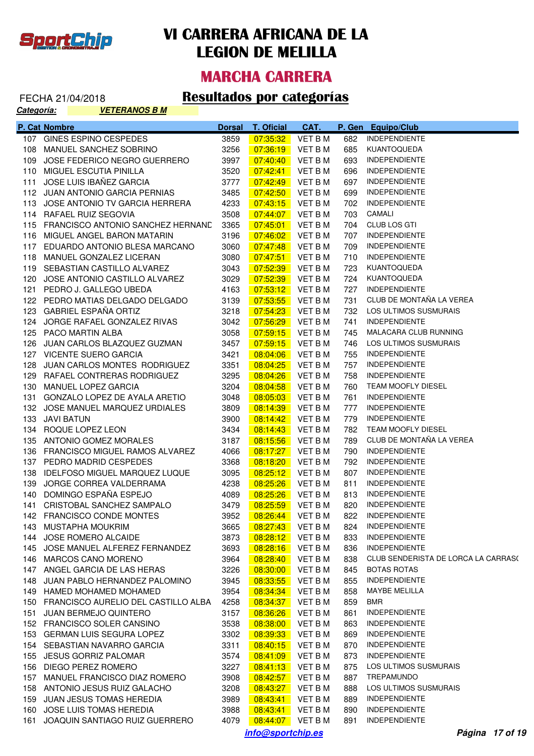

#### **MARCHA CARRERA**

| Categoría: | <u>VETERANOS B M</u>                    |               |                   |                |        |                                     |
|------------|-----------------------------------------|---------------|-------------------|----------------|--------|-------------------------------------|
|            | P. Cat Nombre                           | <b>Dorsal</b> | <b>T. Oficial</b> | CAT.           | P. Gen | <b>Equipo/Club</b>                  |
|            | 107 GINES ESPINO CESPEDES               | 3859          | 07:35:32          | <b>VET BM</b>  | 682    | <b>INDEPENDIENTE</b>                |
|            | 108 MANUEL SANCHEZ SOBRINO              | 3256          | 07:36:19          | <b>VET BM</b>  | 685    | KUANTOQUEDA                         |
| 109        | JOSE FEDERICO NEGRO GUERRERO            | 3997          | 07:40:40          | <b>VET BM</b>  | 693    | <b>INDEPENDIENTE</b>                |
|            | 110 MIGUEL ESCUTIA PINILLA              | 3520          | 07:42:41          | <b>VET BM</b>  | 696    | <b>INDEPENDIENTE</b>                |
| 111        | JOSE LUIS IBAÑEZ GARCIA                 | 3777          | 07:42:49          | <b>VET BM</b>  | 697    | <b>INDEPENDIENTE</b>                |
|            | 112 JUAN ANTONIO GARCIA PERNIAS         | 3485          | 07:42:50          | <b>VET BM</b>  | 699    | <b>INDEPENDIENTE</b>                |
|            | 113 JOSE ANTONIO TV GARCIA HERRERA      | 4233          | 07:43:15          | <b>VET BM</b>  | 702    | <b>INDEPENDIENTE</b>                |
|            | 114 RAFAEL RUIZ SEGOVIA                 | 3508          | 07:44:07          | <b>VET BM</b>  | 703    | CAMALI                              |
|            | 115 FRANCISCO ANTONIO SANCHEZ HERNANE   | 3365          | 07:45:01          | <b>VET BM</b>  | 704    | CLUB LOS GTI                        |
|            | 116 MIGUEL ANGEL BARON MATARIN          | 3196          | 07:46:02          | <b>VET BM</b>  | 707    | <b>INDEPENDIENTE</b>                |
|            | 117 EDUARDO ANTONIO BLESA MARCANO       | 3060          | 07:47:48          | <b>VET BM</b>  | 709    | <b>INDEPENDIENTE</b>                |
|            | 118 MANUEL GONZALEZ LICERAN             | 3080          | 07:47:51          | <b>VET BM</b>  | 710    | <b>INDEPENDIENTE</b>                |
|            | 119 SEBASTIAN CASTILLO ALVAREZ          | 3043          | 07:52:39          | <b>VET BM</b>  | 723    | KUANTOQUEDA                         |
|            | 120 JOSE ANTONIO CASTILLO ALVAREZ       | 3029          | 07:52:39          | <b>VET BM</b>  | 724    | KUANTOQUEDA                         |
|            | 121 PEDRO J. GALLEGO UBEDA              | 4163          | 07:53:12          | <b>VET BM</b>  | 727    | <b>INDEPENDIENTE</b>                |
|            | 122 PEDRO MATIAS DELGADO DELGADO        | 3139          | 07:53:55          | <b>VET BM</b>  | 731    | CLUB DE MONTAÑA LA VEREA            |
|            | 123 GABRIEL ESPAÑA ORTIZ                | 3218          | 07:54:23          | <b>VET BM</b>  | 732    | LOS ULTIMOS SUSMURAIS               |
|            | 124 JORGE RAFAEL GONZALEZ RIVAS         | 3042          | 07:56:29          | <b>VET BM</b>  | 741    | <b>INDEPENDIENTE</b>                |
|            | 125 PACO MARTIN ALBA                    | 3058          | 07:59:15          | <b>VET BM</b>  | 745    | MALACARA CLUB RUNNING               |
| 126        | JUAN CARLOS BLAZQUEZ GUZMAN             | 3457          | 07:59:15          | <b>VET BM</b>  | 746    | LOS ULTIMOS SUSMURAIS               |
|            | 127 VICENTE SUERO GARCIA                | 3421          | 08:04:06          | <b>VET BM</b>  | 755    | <b>INDEPENDIENTE</b>                |
| 128        | JUAN CARLOS MONTES RODRIGUEZ            | 3351          | 08:04:25          | <b>VET BM</b>  | 757    | <b>INDEPENDIENTE</b>                |
|            | 129 RAFAEL CONTRERAS RODRIGUEZ          | 3295          | 08:04:26          | <b>VET BM</b>  | 758    | <b>INDEPENDIENTE</b>                |
|            | 130 MANUEL LOPEZ GARCIA                 | 3204          | 08:04:58          | <b>VET BM</b>  | 760    | <b>TEAM MOOFLY DIESEL</b>           |
| 131        | GONZALO LOPEZ DE AYALA ARETIO           | 3048          | 08:05:03          | <b>VET BM</b>  | 761    | <b>INDEPENDIENTE</b>                |
|            | 132 JOSE MANUEL MARQUEZ URDIALES        | 3809          | 08:14:39          | <b>VET BM</b>  | 777    | <b>INDEPENDIENTE</b>                |
| 133        | <b>JAVI BATUN</b>                       | 3900          | 08:14:42          | <b>VET BM</b>  | 779    | <b>INDEPENDIENTE</b>                |
|            | 134 ROQUE LOPEZ LEON                    | 3434          | 08:14:43          | <b>VET BM</b>  | 782    | TEAM MOOFLY DIESEL                  |
|            | 135 ANTONIO GOMEZ MORALES               | 3187          | 08:15:56          | <b>VET BM</b>  | 789    | CLUB DE MONTAÑA LA VEREA            |
|            | 136 FRANCISCO MIGUEL RAMOS ALVAREZ      | 4066          | 08:17:27          | <b>VET BM</b>  | 790    | <b>INDEPENDIENTE</b>                |
|            | 137 PEDRO MADRID CESPEDES               | 3368          | 08:18:20          | <b>VET BM</b>  | 792    | <b>INDEPENDIENTE</b>                |
| 138        | IDELFOSO MIGUEL MARQUEZ LUQUE           | 3095          | 08:25:12          | VET B M        | 807    | <b>INDEPENDIENTE</b>                |
| 139        | JORGE CORREA VALDERRAMA                 | 4238          | 08:25:26          | VET B M        | 811    | <b>INDEPENDIENTE</b>                |
|            | 140 DOMINGO ESPAÑA ESPEJO               | 4089          | 08:25:26          | <b>VET BM</b>  | 813    | <b>INDEPENDIENTE</b>                |
|            | 141 CRISTOBAL SANCHEZ SAMPALO           | 3479          | 08:25:59          | VET B M        |        | 820 INDEPENDIENTE                   |
|            | 142 FRANCISCO CONDE MONTES              | 3952          | 08:26:44          | VET B M        | 822    | <b>INDEPENDIENTE</b>                |
|            | 143 MUSTAPHA MOUKRIM                    | 3665          | 08:27:43          | VET B M        | 824    | <b>INDEPENDIENTE</b>                |
|            | 144 JOSE ROMERO ALCAIDE                 | 3873          | 08:28:12          | VET B M        | 833    | <b>INDEPENDIENTE</b>                |
|            | 145 JOSE MANUEL ALFEREZ FERNANDEZ       | 3693          | 08:28:16          | <b>VET B M</b> | 836    | <b>INDEPENDIENTE</b>                |
|            | 146 MARCOS CANO MORENO                  | 3964          | 08:28:40          | VET B M        | 838    | CLUB SENDERISTA DE LORCA LA CARRAS( |
|            | 147 ANGEL GARCIA DE LAS HERAS           | 3226          | 08:30:00          | <b>VET B M</b> | 845    | <b>BOTAS ROTAS</b>                  |
|            | 148 JUAN PABLO HERNANDEZ PALOMINO       | 3945          | 08:33:55          | VET B M        | 855    | <b>INDEPENDIENTE</b>                |
|            | 149 HAMED MOHAMED MOHAMED               | 3954          | 08:34:34          | VET B M        | 858    | MAYBE MELILLA                       |
|            | 150 FRANCISCO AURELIO DEL CASTILLO ALBA | 4258          | 08:34:37          | <b>VET BM</b>  | 859    | <b>BMR</b>                          |
|            |                                         | 3157          |                   | VET B M        |        | <b>INDEPENDIENTE</b>                |
|            | 151 JUAN BERMEJO QUINTERO               |               | 08:36:26          | VET B M        | 861    | <b>INDEPENDIENTE</b>                |
|            | 152 FRANCISCO SOLER CANSINO             | 3538          | 08:38:00          |                | 863    |                                     |
|            | 153 GERMAN LUIS SEGURA LOPEZ            | 3302          | 08:39:33          | VET B M        | 869    | <b>INDEPENDIENTE</b>                |
|            | 154 SEBASTIAN NAVARRO GARCIA            | 3311          | 08:40:15          | VET B M        | 870    | <b>INDEPENDIENTE</b>                |
|            | 155 JESUS GORRIZ PALOMAR                | 3574          | 08:41:09          | VET B M        | 873    | <b>INDEPENDIENTE</b>                |
|            | 156 DIEGO PEREZ ROMERO                  | 3227          | 08:41:13          | VET B M        | 875    | LOS ULTIMOS SUSMURAIS               |
|            | 157 MANUEL FRANCISCO DIAZ ROMERO        | 3908          | 08:42:57          | VET B M        | 887    | TREPAMUNDO                          |
|            | 158 ANTONIO JESUS RUIZ GALACHO          | 3208          | 08:43:27          | VET B M        | 888    | LOS ULTIMOS SUSMURAIS               |
|            | 159 JUAN JESUS TOMAS HEREDIA            | 3989          | 08:43:41          | VET B M        | 889    | <b>INDEPENDIENTE</b>                |
|            | 160 JOSE LUIS TOMAS HEREDIA             | 3988          | 08:43:41          | VET B M        | 890    | <b>INDEPENDIENTE</b>                |
|            | 161 JOAQUIN SANTIAGO RUIZ GUERRERO      | 4079          | 08:44:07          | VET B M        | 891    | <b>INDEPENDIENTE</b>                |
|            |                                         |               | info@sportchip.es |                |        | Página 17 of 19                     |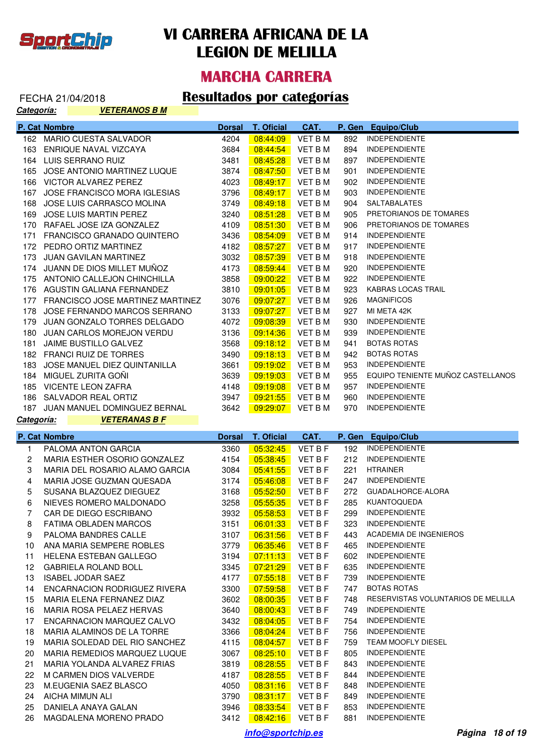

#### **MARCHA CARRERA**

#### FECHA 21/04/2018 **Resultados por categorías**

| Categoría: | <b>VETERANOS B M</b>                          |               |                      |                    |            |                                              |
|------------|-----------------------------------------------|---------------|----------------------|--------------------|------------|----------------------------------------------|
|            | P. Cat Nombre                                 | <b>Dorsal</b> | <b>T. Oficial</b>    | CAT.               | P. Gen     | <b>Equipo/Club</b>                           |
|            | 162 MARIO CUESTA SALVADOR                     | 4204          | 08:44:09             | <b>VET BM</b>      | 892        | <b>INDEPENDIENTE</b>                         |
|            | 163 ENRIQUE NAVAL VIZCAYA                     | 3684          | 08:44:54             | <b>VET BM</b>      | 894        | <b>INDEPENDIENTE</b>                         |
|            | 164 LUIS SERRANO RUIZ                         | 3481          | 08:45:28             | <b>VET BM</b>      | 897        | <b>INDEPENDIENTE</b>                         |
|            | 165 JOSE ANTONIO MARTINEZ LUQUE               | 3874          | 08:47:50             | <b>VET BM</b>      | 901        | <b>INDEPENDIENTE</b>                         |
|            | 166 VICTOR ALVAREZ PEREZ                      | 4023          | 08:49:17             | <b>VET B M</b>     | 902        | <b>INDEPENDIENTE</b>                         |
|            | 167 JOSE FRANCISCO MORA IGLESIAS              | 3796          | 08:49:17             | <b>VET B M</b>     | 903        | <b>INDEPENDIENTE</b>                         |
| 168        | JOSE LUIS CARRASCO MOLINA                     | 3749          | 08:49:18             | <b>VET B M</b>     | 904        | SALTABALATES                                 |
| 169        | JOSE LUIS MARTIN PEREZ                        | 3240          | 08:51:28             | <b>VET BM</b>      | 905        | PRETORIANOS DE TOMARES                       |
|            | 170 RAFAEL JOSE IZA GONZALEZ                  | 4109          | 08:51:30             | <b>VET BM</b>      | 906        | PRETORIANOS DE TOMARES                       |
|            | 171 FRANCISCO GRANADO QUINTERO                | 3436          | 08:54:09             | <b>VET B M</b>     | 914        | <b>INDEPENDIENTE</b>                         |
|            | 172 PEDRO ORTIZ MARTINEZ                      | 4182          | 08:57:27             | <b>VET B M</b>     | 917        | <b>INDEPENDIENTE</b>                         |
|            | 173 JUAN GAVILAN MARTINEZ                     | 3032          | 08:57:39             | <b>VET B M</b>     | 918        | <b>INDEPENDIENTE</b>                         |
|            | 174 JUANN DE DIOS MILLET MUÑOZ                | 4173          | 08:59:44             | <b>VET B M</b>     | 920        | <b>INDEPENDIENTE</b>                         |
|            | 175 ANTONIO CALLEJON CHINCHILLA               | 3858          | 09:00:22             | <b>VET BM</b>      | 922        | <b>INDEPENDIENTE</b>                         |
|            | 176 AGUSTIN GALIANA FERNANDEZ                 | 3810          | 09:01:05             | <b>VET BM</b>      | 923        | KABRAS LOCAS TRAIL                           |
|            | 177 FRANCISCO JOSE MARTINEZ MARTINEZ          | 3076          | 09:07:27             | <b>VET BM</b>      | 926        | <b>MAGNÍFICOS</b>                            |
| 178        | JOSE FERNANDO MARCOS SERRANO                  | 3133          | 09:07:27             | <b>VET B M</b>     | 927        | MI META 42K                                  |
| 179        | JUAN GONZALO TORRES DELGADO                   | 4072          | 09:08:39             | <b>VET B M</b>     | 930        | <b>INDEPENDIENTE</b>                         |
|            | 180 JUAN CARLOS MOREJON VERDU                 | 3136          | 09:14:36             | <b>VET BM</b>      | 939        | <b>INDEPENDIENTE</b>                         |
|            | 181 JAIME BUSTILLO GALVEZ                     | 3568          | 09:18:12             | <b>VET B M</b>     | 941        | <b>BOTAS ROTAS</b>                           |
|            | 182 FRANCI RUIZ DE TORRES                     | 3490          | 09:18:13             | <b>VET BM</b>      | 942        | <b>BOTAS ROTAS</b>                           |
|            | 183 JOSE MANUEL DIEZ QUINTANILLA              | 3661          | 09:19:02             | <b>VET BM</b>      | 953        | <b>INDEPENDIENTE</b>                         |
|            | 184 MIGUEL ZURITA GOÑI                        | 3639          | 09:19:03             | <b>VET B M</b>     | 955        | EQUIPO TENIENTE MUÑOZ CASTELLANOS            |
|            | 185 VICENTE LEON ZAFRA                        | 4148          | 09:19:08             | <b>VET B M</b>     | 957        | <b>INDEPENDIENTE</b>                         |
|            | 186 SALVADOR REAL ORTIZ                       | 3947          | 09:21:55             | <b>VET BM</b>      | 960        | INDEPENDIENTE                                |
|            | 187 JUAN MANUEL DOMINGUEZ BERNAL              | 3642          | 09:29:07             | VET B M            | 970        | <b>INDEPENDIENTE</b>                         |
|            |                                               |               |                      |                    |            |                                              |
| Categoría: | <b>VETERANAS B F</b>                          |               |                      |                    |            |                                              |
|            | P. Cat Nombre                                 | <b>Dorsal</b> | T. Oficial           | CAT.               | P. Gen     | Equipo/Club                                  |
| 1          | PALOMA ANTON GARCIA                           | 3360          | 05:32:45             | VET B F            | 192        | <b>INDEPENDIENTE</b>                         |
| 2          | MARIA ESTHER OSORIO GONZALEZ                  | 4154          | 05:38:45             | VET B F            | 212        | <b>INDEPENDIENTE</b>                         |
| 3          | MARIA DEL ROSARIO ALAMO GARCIA                | 3084          | 05:41:55             | VET B F            | 221        | <b>HTRAINER</b>                              |
| 4          | MARIA JOSE GUZMAN QUESADA                     | 3174          | 05:46:08             | VET B F            | 247        | <b>INDEPENDIENTE</b>                         |
| 5          | SUSANA BLAZQUEZ DIEGUEZ                       | 3168          | 05:52:50             | <b>VET B F</b>     | 272        | GUADALHORCE-ALORA                            |
| 6          | NIEVES ROMERO MALDONADO                       | 3258          | 05:55:35             | VET B F            | 285        | KUANTOQUEDA                                  |
| 7          | CAR DE DIEGO ESCRIBANO                        | 3932          | 05:58:53             | <b>VET B F</b>     | 299        | <b>INDEPENDIENTE</b>                         |
| 8          | FATIMA OBLADEN MARCOS                         | 3151          | 06:01:33             | VET B F            | 323        | <b>INDEPENDIENTE</b>                         |
| 9          | PALOMA BANDRES CALLE                          | 3107          | 06:31:56             | VET B F            | 443        | ACADEMIA DE INGENIEROS                       |
| 10         | ANA MARIA SEMPERE ROBLES                      | 3779          | 06:35:46             | VET B F            | 465        | <b>INDEPENDIENTE</b>                         |
| 11         | <b>HELENA ESTEBAN GALLEGO</b>                 | 3194          | 07:11:13             | VET B F            | 602        | <b>INDEPENDIENTE</b>                         |
| 12         | <b>GABRIELA ROLAND BOLL</b>                   | 3345          | 07:21:29             | VET B F            | 635        | <b>INDEPENDIENTE</b>                         |
| 13         | <b>ISABEL JODAR SAEZ</b>                      | 4177          | 07:55:18             | VET B F            | 739        | <b>INDEPENDIENTE</b>                         |
| 14         | ENCARNACION RODRIGUEZ RIVERA                  | 3300          | 07:59:58             | VET B F            | 747        | <b>BOTAS ROTAS</b>                           |
| 15         | MARIA ELENA FERNANEZ DIAZ                     | 3602          | 08:00:35             | VET B F            | 748        | RESERVISTAS VOLUNTARIOS DE MELILLA           |
| 16         | MARIA ROSA PELAEZ HERVAS                      | 3640          | 08:00:43             | VET B F            | 749        | <b>INDEPENDIENTE</b>                         |
| 17         | ENCARNACION MARQUEZ CALVO                     | 3432          | 08:04:05             | VET B F            | 754        | <b>INDEPENDIENTE</b>                         |
| 18         | MARIA ALAMINOS DE LA TORRE                    | 3366          | 08:04:24             | VET B F            | 756        | <b>INDEPENDIENTE</b>                         |
| 19         | MARIA SOLEDAD DEL RIO SANCHEZ                 | 4115          | 08:04:57             | VET B F            | 759        | TEAM MOOFLY DIESEL                           |
| 20         | MARIA REMEDIOS MARQUEZ LUQUE                  | 3067          | 08:25:10             | VET B F            | 805        | <b>INDEPENDIENTE</b>                         |
| 21         | MARIA YOLANDA ALVAREZ FRIAS                   | 3819          | 08:28:55             | VET B F            | 843        | <b>INDEPENDIENTE</b>                         |
| 22         | M CARMEN DIOS VALVERDE                        | 4187          | 08:28:55             | VET B F            | 844        | <b>INDEPENDIENTE</b>                         |
| 23         | M.EUGENIA SAEZ BLASCO                         | 4050          | 08:31:16             | VET B F            | 848        | <b>INDEPENDIENTE</b>                         |
| 24         | AICHA MIMUN ALI                               | 3790          | 08:31:17             | VET B F            | 849        | <b>INDEPENDIENTE</b>                         |
| 25<br>26   | DANIELA ANAYA GALAN<br>MAGDALENA MORENO PRADO | 3946<br>3412  | 08:33:54<br>08:42:16 | VET B F<br>VET B F | 853<br>881 | <b>INDEPENDIENTE</b><br><b>INDEPENDIENTE</b> |

**info@sportchip.es Página 18 of 19**